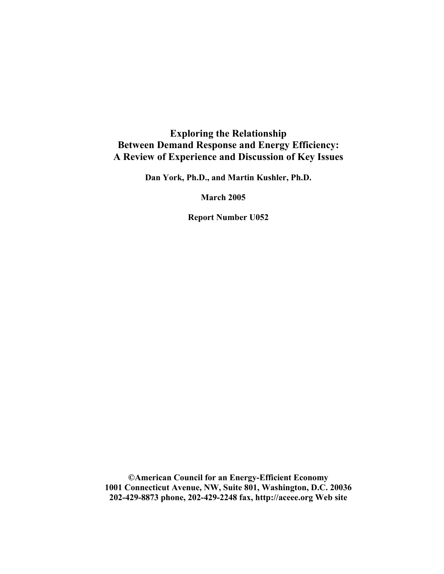## **Exploring the Relationship Between Demand Response and Energy Efficiency: A Review of Experience and Discussion of Key Issues**

**Dan York, Ph.D., and Martin Kushler, Ph.D.** 

**March 2005** 

**Report Number U052** 

**©American Council for an Energy-Efficient Economy 1001 Connecticut Avenue, NW, Suite 801, Washington, D.C. 20036 202-429-8873 phone, 202-429-2248 fax, http://aceee.org Web site**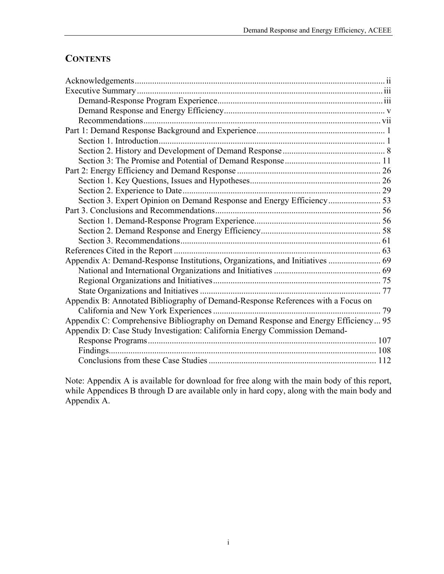# **CONTENTS**

| Section 3. Expert Opinion on Demand Response and Energy Efficiency 53              |  |
|------------------------------------------------------------------------------------|--|
|                                                                                    |  |
|                                                                                    |  |
|                                                                                    |  |
|                                                                                    |  |
|                                                                                    |  |
| Appendix A: Demand-Response Institutions, Organizations, and Initiatives  69       |  |
|                                                                                    |  |
|                                                                                    |  |
|                                                                                    |  |
| Appendix B: Annotated Bibliography of Demand-Response References with a Focus on   |  |
|                                                                                    |  |
| Appendix C: Comprehensive Bibliography on Demand Response and Energy Efficiency 95 |  |
| Appendix D: Case Study Investigation: California Energy Commission Demand-         |  |
|                                                                                    |  |
|                                                                                    |  |
|                                                                                    |  |

Note: Appendix A is available for download for free along with the main body of this report, while Appendices B through D are available only in hard copy, along with the main body and Appendix A.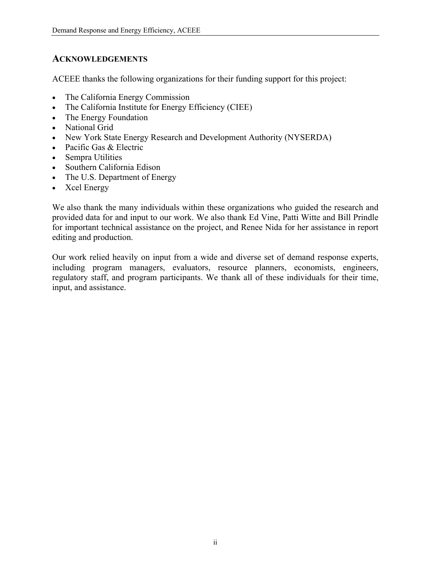### <span id="page-3-0"></span>**ACKNOWLEDGEMENTS**

ACEEE thanks the following organizations for their funding support for this project:

- The California Energy Commission
- The California Institute for Energy Efficiency (CIEE)
- The Energy Foundation
- National Grid
- New York State Energy Research and Development Authority (NYSERDA)
- Pacific Gas & Electric
- Sempra Utilities
- Southern California Edison
- The U.S. Department of Energy
- Xcel Energy

We also thank the many individuals within these organizations who guided the research and provided data for and input to our work. We also thank Ed Vine, Patti Witte and Bill Prindle for important technical assistance on the project, and Renee Nida for her assistance in report editing and production.

Our work relied heavily on input from a wide and diverse set of demand response experts, including program managers, evaluators, resource planners, economists, engineers, regulatory staff, and program participants. We thank all of these individuals for their time, input, and assistance.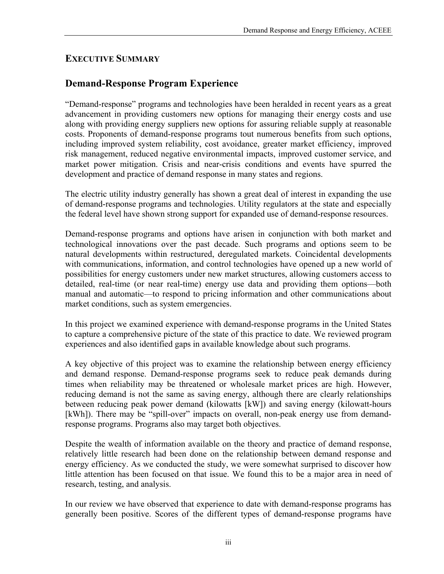## <span id="page-4-0"></span>**EXECUTIVE SUMMARY**

# **Demand-Response Program Experience**

"Demand-response" programs and technologies have been heralded in recent years as a great advancement in providing customers new options for managing their energy costs and use along with providing energy suppliers new options for assuring reliable supply at reasonable costs. Proponents of demand-response programs tout numerous benefits from such options, including improved system reliability, cost avoidance, greater market efficiency, improved risk management, reduced negative environmental impacts, improved customer service, and market power mitigation. Crisis and near-crisis conditions and events have spurred the development and practice of demand response in many states and regions.

The electric utility industry generally has shown a great deal of interest in expanding the use of demand-response programs and technologies. Utility regulators at the state and especially the federal level have shown strong support for expanded use of demand-response resources.

Demand-response programs and options have arisen in conjunction with both market and technological innovations over the past decade. Such programs and options seem to be natural developments within restructured, deregulated markets. Coincidental developments with communications, information, and control technologies have opened up a new world of possibilities for energy customers under new market structures, allowing customers access to detailed, real-time (or near real-time) energy use data and providing them options—both manual and automatic—to respond to pricing information and other communications about market conditions, such as system emergencies.

In this project we examined experience with demand-response programs in the United States to capture a comprehensive picture of the state of this practice to date. We reviewed program experiences and also identified gaps in available knowledge about such programs.

A key objective of this project was to examine the relationship between energy efficiency and demand response. Demand-response programs seek to reduce peak demands during times when reliability may be threatened or wholesale market prices are high. However, reducing demand is not the same as saving energy, although there are clearly relationships between reducing peak power demand (kilowatts [kW]) and saving energy (kilowatt-hours [kWh]). There may be "spill-over" impacts on overall, non-peak energy use from demandresponse programs. Programs also may target both objectives.

Despite the wealth of information available on the theory and practice of demand response, relatively little research had been done on the relationship between demand response and energy efficiency. As we conducted the study, we were somewhat surprised to discover how little attention has been focused on that issue. We found this to be a major area in need of research, testing, and analysis.

In our review we have observed that experience to date with demand-response programs has generally been positive. Scores of the different types of demand-response programs have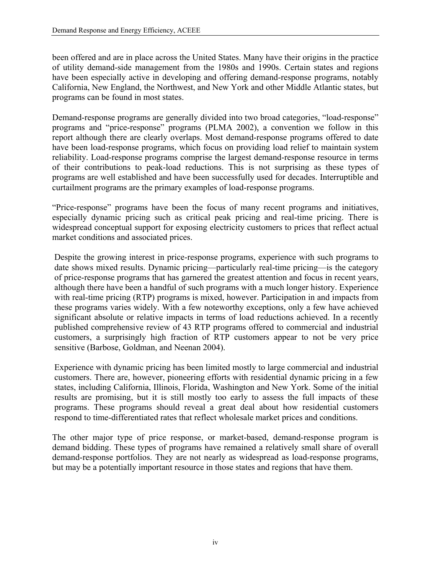been offered and are in place across the United States. Many have their origins in the practice of utility demand-side management from the 1980s and 1990s. Certain states and regions have been especially active in developing and offering demand-response programs, notably California, New England, the Northwest, and New York and other Middle Atlantic states, but programs can be found in most states.

Demand-response programs are generally divided into two broad categories, "load-response" programs and "price-response" programs (PLMA 2002), a convention we follow in this report although there are clearly overlaps. Most demand-response programs offered to date have been load-response programs, which focus on providing load relief to maintain system reliability. Load-response programs comprise the largest demand-response resource in terms of their contributions to peak-load reductions. This is not surprising as these types of programs are well established and have been successfully used for decades. Interruptible and curtailment programs are the primary examples of load-response programs.

"Price-response" programs have been the focus of many recent programs and initiatives, especially dynamic pricing such as critical peak pricing and real-time pricing. There is widespread conceptual support for exposing electricity customers to prices that reflect actual market conditions and associated prices.

Despite the growing interest in price-response programs, experience with such programs to date shows mixed results. Dynamic pricing—particularly real-time pricing—is the category of price-response programs that has garnered the greatest attention and focus in recent years, although there have been a handful of such programs with a much longer history. Experience with real-time pricing (RTP) programs is mixed, however. Participation in and impacts from these programs varies widely. With a few noteworthy exceptions, only a few have achieved significant absolute or relative impacts in terms of load reductions achieved. In a recently published comprehensive review of 43 RTP programs offered to commercial and industrial customers, a surprisingly high fraction of RTP customers appear to not be very price sensitive (Barbose, Goldman, and Neenan 2004).

Experience with dynamic pricing has been limited mostly to large commercial and industrial customers. There are, however, pioneering efforts with residential dynamic pricing in a few states, including California, Illinois, Florida, Washington and New York. Some of the initial results are promising, but it is still mostly too early to assess the full impacts of these programs. These programs should reveal a great deal about how residential customers respond to time-differentiated rates that reflect wholesale market prices and conditions.

The other major type of price response, or market-based, demand-response program is demand bidding. These types of programs have remained a relatively small share of overall demand-response portfolios. They are not nearly as widespread as load-response programs, but may be a potentially important resource in those states and regions that have them.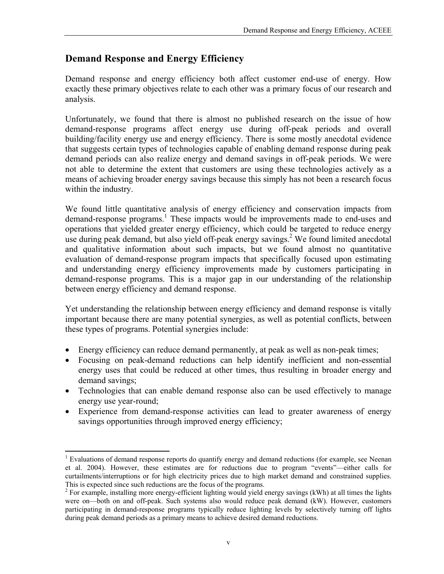## <span id="page-6-0"></span>**Demand Response and Energy Efficiency**

Demand response and energy efficiency both affect customer end-use of energy. How exactly these primary objectives relate to each other was a primary focus of our research and analysis.

Unfortunately, we found that there is almost no published research on the issue of how demand-response programs affect energy use during off-peak periods and overall building/facility energy use and energy efficiency. There is some mostly anecdotal evidence that suggests certain types of technologies capable of enabling demand response during peak demand periods can also realize energy and demand savings in off-peak periods. We were not able to determine the extent that customers are using these technologies actively as a means of achieving broader energy savings because this simply has not been a research focus within the industry.

We found little quantitative analysis of energy efficiency and conservation impacts from demand-response programs.<sup>[1](#page-6-1)</sup> These impacts would be improvements made to end-uses and operations that yielded greater energy efficiency, which could be targeted to reduce energy use during peak demand, but also yield off-peak energy savings.<sup>2</sup> We found limited anecdotal and qualitative information about such impacts, but we found almost no quantitative evaluation of demand-response program impacts that specifically focused upon estimating and understanding energy efficiency improvements made by customers participating in demand-response programs. This is a major gap in our understanding of the relationship between energy efficiency and demand response.

Yet understanding the relationship between energy efficiency and demand response is vitally important because there are many potential synergies, as well as potential conflicts, between these types of programs. Potential synergies include:

- Energy efficiency can reduce demand permanently, at peak as well as non-peak times;
- Focusing on peak-demand reductions can help identify inefficient and non-essential energy uses that could be reduced at other times, thus resulting in broader energy and demand savings;
- Technologies that can enable demand response also can be used effectively to manage energy use year-round;
- Experience from demand-response activities can lead to greater awareness of energy savings opportunities through improved energy efficiency;

 $\overline{a}$ 

<span id="page-6-1"></span><sup>&</sup>lt;sup>1</sup> Evaluations of demand response reports do quantify energy and demand reductions (for example, see Neenan et al. 2004). However, these estimates are for reductions due to program "events"—either calls for curtailments/interruptions or for high electricity prices due to high market demand and constrained supplies. This is expected since such reductions are the focus of the programs. 2

<span id="page-6-2"></span> $<sup>2</sup>$  For example, installing more energy-efficient lighting would yield energy savings (kWh) at all times the lights</sup> were on—both on and off-peak. Such systems also would reduce peak demand (kW). However, customers participating in demand-response programs typically reduce lighting levels by selectively turning off lights during peak demand periods as a primary means to achieve desired demand reductions.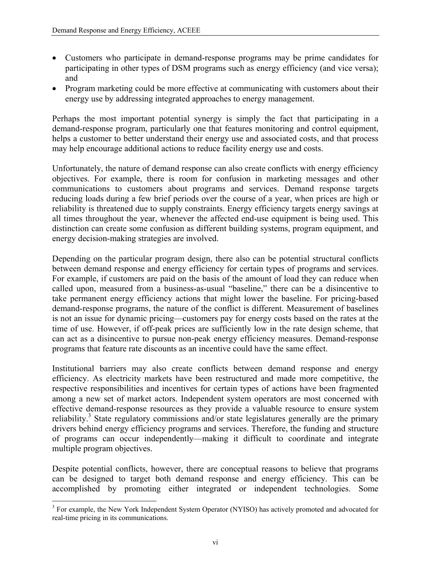- Customers who participate in demand-response programs may be prime candidates for participating in other types of DSM programs such as energy efficiency (and vice versa); and
- Program marketing could be more effective at communicating with customers about their energy use by addressing integrated approaches to energy management.

Perhaps the most important potential synergy is simply the fact that participating in a demand-response program, particularly one that features monitoring and control equipment, helps a customer to better understand their energy use and associated costs, and that process may help encourage additional actions to reduce facility energy use and costs.

Unfortunately, the nature of demand response can also create conflicts with energy efficiency objectives. For example, there is room for confusion in marketing messages and other communications to customers about programs and services. Demand response targets reducing loads during a few brief periods over the course of a year, when prices are high or reliability is threatened due to supply constraints. Energy efficiency targets energy savings at all times throughout the year, whenever the affected end-use equipment is being used. This distinction can create some confusion as different building systems, program equipment, and energy decision-making strategies are involved.

Depending on the particular program design, there also can be potential structural conflicts between demand response and energy efficiency for certain types of programs and services. For example, if customers are paid on the basis of the amount of load they can reduce when called upon, measured from a business-as-usual "baseline," there can be a disincentive to take permanent energy efficiency actions that might lower the baseline. For pricing-based demand-response programs, the nature of the conflict is different. Measurement of baselines is not an issue for dynamic pricing—customers pay for energy costs based on the rates at the time of use. However, if off-peak prices are sufficiently low in the rate design scheme, that can act as a disincentive to pursue non-peak energy efficiency measures. Demand-response programs that feature rate discounts as an incentive could have the same effect.

Institutional barriers may also create conflicts between demand response and energy efficiency. As electricity markets have been restructured and made more competitive, the respective responsibilities and incentives for certain types of actions have been fragmented among a new set of market actors. Independent system operators are most concerned with effective demand-response resources as they provide a valuable resource to ensure system reliability.<sup>[3](#page-7-0)</sup> State regulatory commissions and/or state legislatures generally are the primary drivers behind energy efficiency programs and services. Therefore, the funding and structure of programs can occur independently—making it difficult to coordinate and integrate multiple program objectives.

Despite potential conflicts, however, there are conceptual reasons to believe that programs can be designed to target both demand response and energy efficiency. This can be accomplished by promoting either integrated or independent technologies. Some

<span id="page-7-0"></span><sup>&</sup>lt;sup>3</sup> For example, the New York Independent System Operator (NYISO) has actively promoted and advocated for real-time pricing in its communications.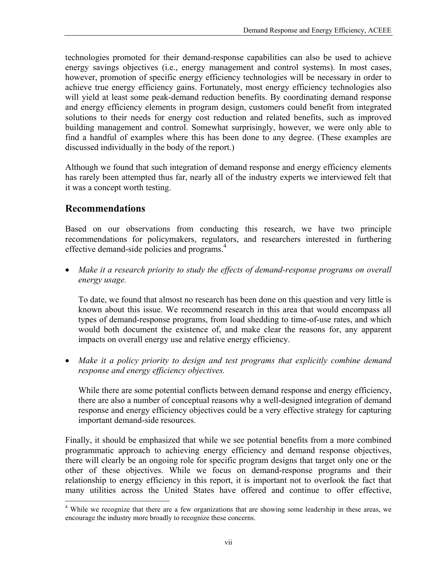<span id="page-8-0"></span>technologies promoted for their demand-response capabilities can also be used to achieve energy savings objectives (i.e., energy management and control systems). In most cases, however, promotion of specific energy efficiency technologies will be necessary in order to achieve true energy efficiency gains. Fortunately, most energy efficiency technologies also will yield at least some peak-demand reduction benefits. By coordinating demand response and energy efficiency elements in program design, customers could benefit from integrated solutions to their needs for energy cost reduction and related benefits, such as improved building management and control. Somewhat surprisingly, however, we were only able to find a handful of examples where this has been done to any degree. (These examples are discussed individually in the body of the report.)

Although we found that such integration of demand response and energy efficiency elements has rarely been attempted thus far, nearly all of the industry experts we interviewed felt that it was a concept worth testing.

## **Recommendations**

 $\overline{a}$ 

Based on our observations from conducting this research, we have two principle recommendations for policymakers, regulators, and researchers interested in furthering effective demand-side policies and programs. [4](#page-8-1)

• *Make it a research priority to study the effects of demand-response programs on overall energy usage.* 

To date, we found that almost no research has been done on this question and very little is known about this issue. We recommend research in this area that would encompass all types of demand-response programs, from load shedding to time-of-use rates, and which would both document the existence of, and make clear the reasons for, any apparent impacts on overall energy use and relative energy efficiency.

• *Make it a policy priority to design and test programs that explicitly combine demand response and energy efficiency objectives.* 

While there are some potential conflicts between demand response and energy efficiency, there are also a number of conceptual reasons why a well-designed integration of demand response and energy efficiency objectives could be a very effective strategy for capturing important demand-side resources.

Finally, it should be emphasized that while we see potential benefits from a more combined programmatic approach to achieving energy efficiency and demand response objectives, there will clearly be an ongoing role for specific program designs that target only one or the other of these objectives. While we focus on demand-response programs and their relationship to energy efficiency in this report, it is important not to overlook the fact that many utilities across the United States have offered and continue to offer effective,

<span id="page-8-1"></span><sup>&</sup>lt;sup>4</sup> While we recognize that there are a few organizations that are showing some leadership in these areas, we encourage the industry more broadly to recognize these concerns.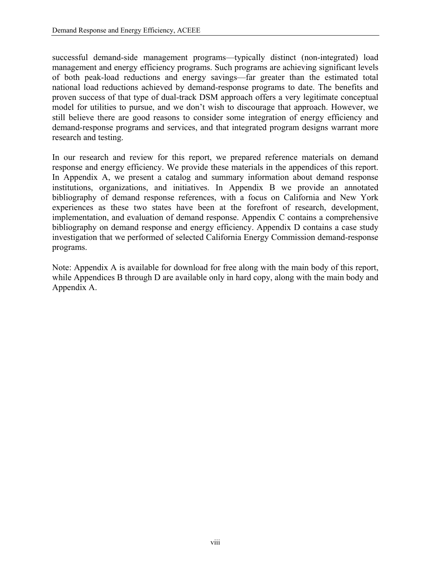successful demand-side management programs—typically distinct (non-integrated) load management and energy efficiency programs. Such programs are achieving significant levels of both peak-load reductions and energy savings—far greater than the estimated total national load reductions achieved by demand-response programs to date. The benefits and proven success of that type of dual-track DSM approach offers a very legitimate conceptual model for utilities to pursue, and we don't wish to discourage that approach. However, we still believe there are good reasons to consider some integration of energy efficiency and demand-response programs and services, and that integrated program designs warrant more research and testing.

In our research and review for this report, we prepared reference materials on demand response and energy efficiency. We provide these materials in the appendices of this report. In Appendix A, we present a catalog and summary information about demand response institutions, organizations, and initiatives. In Appendix B we provide an annotated bibliography of demand response references, with a focus on California and New York experiences as these two states have been at the forefront of research, development, implementation, and evaluation of demand response. Appendix C contains a comprehensive bibliography on demand response and energy efficiency. Appendix D contains a case study investigation that we performed of selected California Energy Commission demand-response programs.

Note: Appendix A is available for download for free along with the main body of this report, while Appendices B through D are available only in hard copy, along with the main body and Appendix A.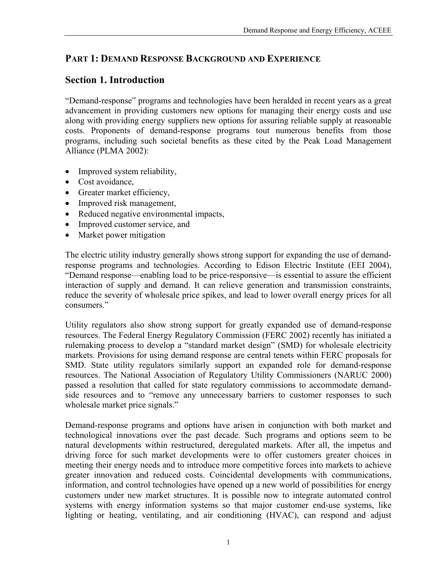## <span id="page-10-0"></span>**PART 1: DEMAND RESPONSE BACKGROUND AND EXPERIENCE**

## **Section 1. Introduction**

"Demand-response" programs and technologies have been heralded in recent years as a great advancement in providing customers new options for managing their energy costs and use along with providing energy suppliers new options for assuring reliable supply at reasonable costs. Proponents of demand-response programs tout numerous benefits from those programs, including such societal benefits as these cited by the Peak Load Management Alliance (PLMA 2002):

- Improved system reliability,
- Cost avoidance.
- Greater market efficiency,
- Improved risk management,
- Reduced negative environmental impacts,
- Improved customer service, and
- Market power mitigation

The electric utility industry generally shows strong support for expanding the use of demandresponse programs and technologies. According to Edison Electric Institute (EEI 2004), "Demand response—enabling load to be price-responsive—is essential to assure the efficient interaction of supply and demand. It can relieve generation and transmission constraints, reduce the severity of wholesale price spikes, and lead to lower overall energy prices for all consumers."

Utility regulators also show strong support for greatly expanded use of demand-response resources. The Federal Energy Regulatory Commission (FERC 2002) recently has initiated a rulemaking process to develop a "standard market design" (SMD) for wholesale electricity markets. Provisions for using demand response are central tenets within FERC proposals for SMD. State utility regulators similarly support an expanded role for demand-response resources. The National Association of Regulatory Utility Commissioners (NARUC 2000) passed a resolution that called for state regulatory commissions to accommodate demandside resources and to "remove any unnecessary barriers to customer responses to such wholesale market price signals."

Demand-response programs and options have arisen in conjunction with both market and technological innovations over the past decade. Such programs and options seem to be natural developments within restructured, deregulated markets. After all, the impetus and driving force for such market developments were to offer customers greater choices in meeting their energy needs and to introduce more competitive forces into markets to achieve greater innovation and reduced costs. Coincidental developments with communications, information, and control technologies have opened up a new world of possibilities for energy customers under new market structures. It is possible now to integrate automated control systems with energy information systems so that major customer end-use systems, like lighting or heating, ventilating, and air conditioning (HVAC), can respond and adjust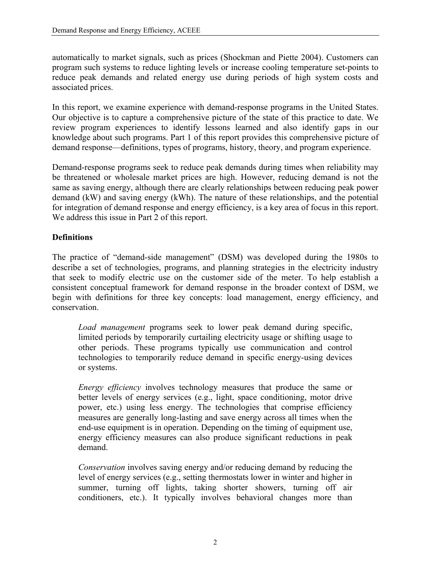automatically to market signals, such as prices (Shockman and Piette 2004). Customers can program such systems to reduce lighting levels or increase cooling temperature set-points to reduce peak demands and related energy use during periods of high system costs and associated prices.

In this report, we examine experience with demand-response programs in the United States. Our objective is to capture a comprehensive picture of the state of this practice to date. We review program experiences to identify lessons learned and also identify gaps in our knowledge about such programs. Part 1 of this report provides this comprehensive picture of demand response—definitions, types of programs, history, theory, and program experience.

Demand-response programs seek to reduce peak demands during times when reliability may be threatened or wholesale market prices are high. However, reducing demand is not the same as saving energy, although there are clearly relationships between reducing peak power demand (kW) and saving energy (kWh). The nature of these relationships, and the potential for integration of demand response and energy efficiency, is a key area of focus in this report. We address this issue in Part 2 of this report.

### **Definitions**

The practice of "demand-side management" (DSM) was developed during the 1980s to describe a set of technologies, programs, and planning strategies in the electricity industry that seek to modify electric use on the customer side of the meter. To help establish a consistent conceptual framework for demand response in the broader context of DSM, we begin with definitions for three key concepts: load management, energy efficiency, and conservation.

*Load management* programs seek to lower peak demand during specific, limited periods by temporarily curtailing electricity usage or shifting usage to other periods. These programs typically use communication and control technologies to temporarily reduce demand in specific energy-using devices or systems.

*Energy efficiency* involves technology measures that produce the same or better levels of energy services (e.g., light, space conditioning, motor drive power, etc.) using less energy. The technologies that comprise efficiency measures are generally long-lasting and save energy across all times when the end-use equipment is in operation. Depending on the timing of equipment use, energy efficiency measures can also produce significant reductions in peak demand.

*Conservation* involves saving energy and/or reducing demand by reducing the level of energy services (e.g., setting thermostats lower in winter and higher in summer, turning off lights, taking shorter showers, turning off air conditioners, etc.). It typically involves behavioral changes more than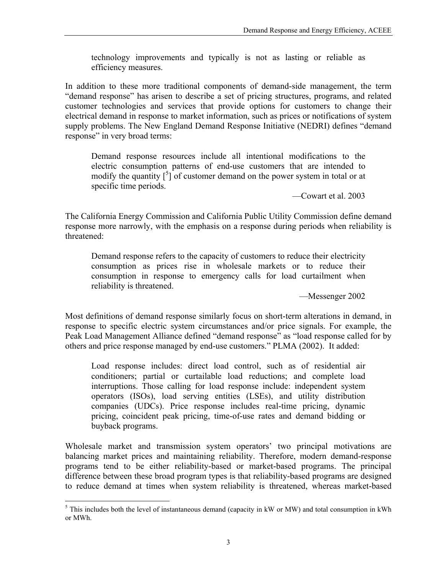technology improvements and typically is not as lasting or reliable as efficiency measures.

In addition to these more traditional components of demand-side management, the term "demand response" has arisen to describe a set of pricing structures, programs, and related customer technologies and services that provide options for customers to change their electrical demand in response to market information, such as prices or notifications of system supply problems. The New England Demand Response Initiative (NEDRI) defines "demand response" in very broad terms:

Demand response resources include all intentional modifications to the electric consumption patterns of end-use customers that are intended to modify the quantity  $\left[\begin{array}{c} 5 \end{array}\right]$  of customer demand on the power system in total or at specific time periods.

—Cowart et al. 2003

The California Energy Commission and California Public Utility Commission define demand response more narrowly, with the emphasis on a response during periods when reliability is threatened:

Demand response refers to the capacity of customers to reduce their electricity consumption as prices rise in wholesale markets or to reduce their consumption in response to emergency calls for load curtailment when reliability is threatened.

—Messenger 2002

Most definitions of demand response similarly focus on short-term alterations in demand, in response to specific electric system circumstances and/or price signals. For example, the Peak Load Management Alliance defined "demand response" as "load response called for by others and price response managed by end-use customers." PLMA (2002). It added:

Load response includes: direct load control, such as of residential air conditioners; partial or curtailable load reductions; and complete load interruptions. Those calling for load response include: independent system operators (ISOs), load serving entities (LSEs), and utility distribution companies (UDCs). Price response includes real-time pricing, dynamic pricing, coincident peak pricing, time-of-use rates and demand bidding or buyback programs.

Wholesale market and transmission system operators' two principal motivations are balancing market prices and maintaining reliability. Therefore, modern demand-response programs tend to be either reliability-based or market-based programs. The principal difference between these broad program types is that reliability-based programs are designed to reduce demand at times when system reliability is threatened, whereas market-based

<span id="page-12-0"></span><sup>&</sup>lt;sup>5</sup>This includes both the level of instantaneous demand (capacity in kW or MW) and total consumption in kWh or MWh.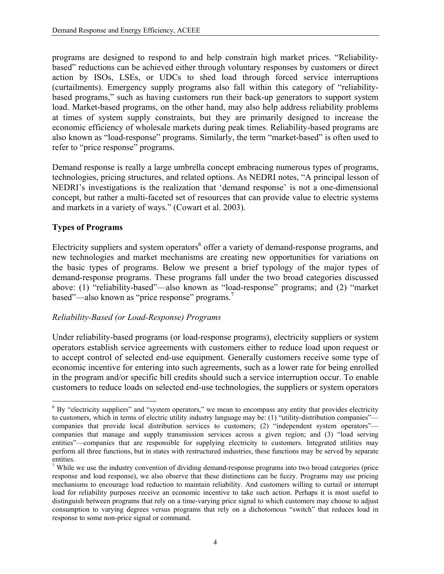programs are designed to respond to and help constrain high market prices. "Reliabilitybased" reductions can be achieved either through voluntary responses by customers or direct action by ISOs, LSEs, or UDCs to shed load through forced service interruptions (curtailments). Emergency supply programs also fall within this category of "reliabilitybased programs," such as having customers run their back-up generators to support system load. Market-based programs, on the other hand, may also help address reliability problems at times of system supply constraints, but they are primarily designed to increase the economic efficiency of wholesale markets during peak times. Reliability-based programs are also known as "load-response" programs. Similarly, the term "market-based" is often used to refer to "price response" programs.

Demand response is really a large umbrella concept embracing numerous types of programs, technologies, pricing structures, and related options. As NEDRI notes, "A principal lesson of NEDRI's investigations is the realization that 'demand response' is not a one-dimensional concept, but rather a multi-faceted set of resources that can provide value to electric systems and markets in a variety of ways." (Cowart et al. 2003).

### **Types of Programs**

Electricity suppliers and system operators<sup>[6](#page-13-0)</sup> offer a variety of demand-response programs, and new technologies and market mechanisms are creating new opportunities for variations on the basic types of programs. Below we present a brief typology of the major types of demand-response programs. These programs fall under the two broad categories discussed above: (1) "reliability-based"—also known as "load-response" programs; and (2) "market based"—also known as "price response" programs.<sup>[7](#page-13-1)</sup>

#### *Reliability-Based (or Load-Response) Programs*

Under reliability-based programs (or load-response programs), electricity suppliers or system operators establish service agreements with customers either to reduce load upon request or to accept control of selected end-use equipment. Generally customers receive some type of economic incentive for entering into such agreements, such as a lower rate for being enrolled in the program and/or specific bill credits should such a service interruption occur. To enable customers to reduce loads on selected end-use technologies, the suppliers or system operators

<span id="page-13-0"></span><sup>1</sup> <sup>6</sup> By "electricity suppliers" and "system operators," we mean to encompass any entity that provides electricity to customers, which in terms of electric utility industry language may be: (1) "utility-distribution companies" companies that provide local distribution services to customers; (2) "independent system operators" companies that manage and supply transmission services across a given region; and (3) "load serving entities"—companies that are responsible for supplying electricity to customers. Integrated utilities may perform all three functions, but in states with restructured industries, these functions may be served by separate entities.

<span id="page-13-1"></span><sup>&</sup>lt;sup>7</sup> While we use the industry convention of dividing demand-response programs into two broad categories (price response and load response), we also observe that these distinctions can be fuzzy. Programs may use pricing mechanisms to encourage load reduction to maintain reliability. And customers willing to curtail or interrupt load for reliability purposes receive an economic incentive to take such action. Perhaps it is most useful to distinguish between programs that rely on a time-varying price signal to which customers may choose to adjust consumption to varying degrees versus programs that rely on a dichotomous "switch" that reduces load in response to some non-price signal or command.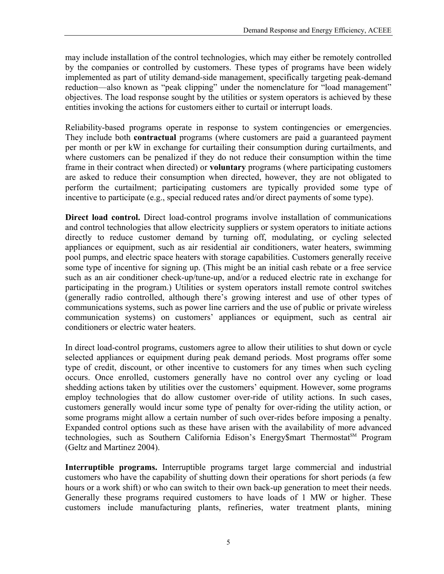may include installation of the control technologies, which may either be remotely controlled by the companies or controlled by customers. These types of programs have been widely implemented as part of utility demand-side management, specifically targeting peak-demand reduction—also known as "peak clipping" under the nomenclature for "load management" objectives. The load response sought by the utilities or system operators is achieved by these entities invoking the actions for customers either to curtail or interrupt loads.

Reliability-based programs operate in response to system contingencies or emergencies. They include both **contractual** programs (where customers are paid a guaranteed payment per month or per kW in exchange for curtailing their consumption during curtailments, and where customers can be penalized if they do not reduce their consumption within the time frame in their contract when directed) or **voluntary** programs (where participating customers are asked to reduce their consumption when directed, however, they are not obligated to perform the curtailment; participating customers are typically provided some type of incentive to participate (e.g., special reduced rates and/or direct payments of some type).

**Direct load control.** Direct load-control programs involve installation of communications and control technologies that allow electricity suppliers or system operators to initiate actions directly to reduce customer demand by turning off, modulating, or cycling selected appliances or equipment, such as air residential air conditioners, water heaters, swimming pool pumps, and electric space heaters with storage capabilities. Customers generally receive some type of incentive for signing up. (This might be an initial cash rebate or a free service such as an air conditioner check-up/tune-up, and/or a reduced electric rate in exchange for participating in the program.) Utilities or system operators install remote control switches (generally radio controlled, although there's growing interest and use of other types of communications systems, such as power line carriers and the use of public or private wireless communication systems) on customers' appliances or equipment, such as central air conditioners or electric water heaters.

In direct load-control programs, customers agree to allow their utilities to shut down or cycle selected appliances or equipment during peak demand periods. Most programs offer some type of credit, discount, or other incentive to customers for any times when such cycling occurs. Once enrolled, customers generally have no control over any cycling or load shedding actions taken by utilities over the customers' equipment. However, some programs employ technologies that do allow customer over-ride of utility actions. In such cases, customers generally would incur some type of penalty for over-riding the utility action, or some programs might allow a certain number of such over-rides before imposing a penalty. Expanded control options such as these have arisen with the availability of more advanced technologies, such as Southern California Edison's Energy\$mart Thermostat<sup>SM</sup> Program (Geltz and Martinez 2004).

**Interruptible programs.** Interruptible programs target large commercial and industrial customers who have the capability of shutting down their operations for short periods (a few hours or a work shift) or who can switch to their own back-up generation to meet their needs. Generally these programs required customers to have loads of 1 MW or higher. These customers include manufacturing plants, refineries, water treatment plants, mining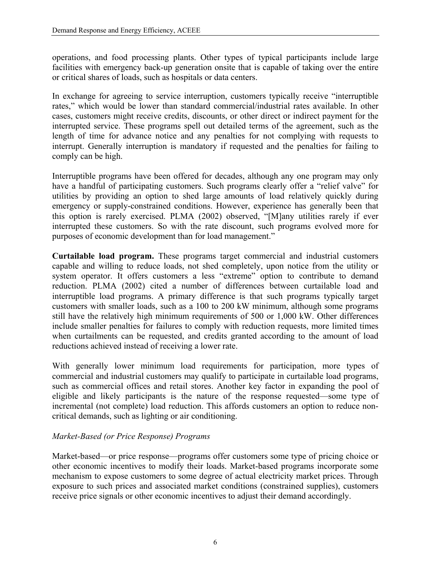operations, and food processing plants. Other types of typical participants include large facilities with emergency back-up generation onsite that is capable of taking over the entire or critical shares of loads, such as hospitals or data centers.

In exchange for agreeing to service interruption, customers typically receive "interruptible rates," which would be lower than standard commercial/industrial rates available. In other cases, customers might receive credits, discounts, or other direct or indirect payment for the interrupted service. These programs spell out detailed terms of the agreement, such as the length of time for advance notice and any penalties for not complying with requests to interrupt. Generally interruption is mandatory if requested and the penalties for failing to comply can be high.

Interruptible programs have been offered for decades, although any one program may only have a handful of participating customers. Such programs clearly offer a "relief valve" for utilities by providing an option to shed large amounts of load relatively quickly during emergency or supply-constrained conditions. However, experience has generally been that this option is rarely exercised. PLMA (2002) observed, "[M]any utilities rarely if ever interrupted these customers. So with the rate discount, such programs evolved more for purposes of economic development than for load management."

**Curtailable load program.** These programs target commercial and industrial customers capable and willing to reduce loads, not shed completely, upon notice from the utility or system operator. It offers customers a less "extreme" option to contribute to demand reduction. PLMA (2002) cited a number of differences between curtailable load and interruptible load programs. A primary difference is that such programs typically target customers with smaller loads, such as a 100 to 200 kW minimum, although some programs still have the relatively high minimum requirements of 500 or 1,000 kW. Other differences include smaller penalties for failures to comply with reduction requests, more limited times when curtailments can be requested, and credits granted according to the amount of load reductions achieved instead of receiving a lower rate.

With generally lower minimum load requirements for participation, more types of commercial and industrial customers may qualify to participate in curtailable load programs, such as commercial offices and retail stores. Another key factor in expanding the pool of eligible and likely participants is the nature of the response requested—some type of incremental (not complete) load reduction. This affords customers an option to reduce noncritical demands, such as lighting or air conditioning.

### *Market-Based (or Price Response) Programs*

Market-based—or price response—programs offer customers some type of pricing choice or other economic incentives to modify their loads. Market-based programs incorporate some mechanism to expose customers to some degree of actual electricity market prices. Through exposure to such prices and associated market conditions (constrained supplies), customers receive price signals or other economic incentives to adjust their demand accordingly.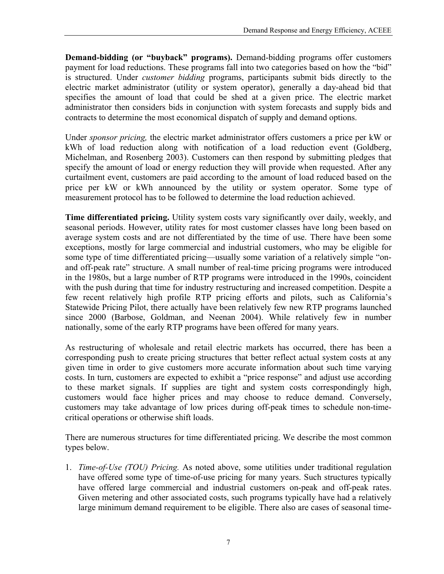**Demand-bidding (or "buyback" programs).** Demand-bidding programs offer customers payment for load reductions. These programs fall into two categories based on how the "bid" is structured. Under *customer bidding* programs, participants submit bids directly to the electric market administrator (utility or system operator), generally a day-ahead bid that specifies the amount of load that could be shed at a given price. The electric market administrator then considers bids in conjunction with system forecasts and supply bids and contracts to determine the most economical dispatch of supply and demand options.

Under *sponsor pricing,* the electric market administrator offers customers a price per kW or kWh of load reduction along with notification of a load reduction event (Goldberg, Michelman, and Rosenberg 2003). Customers can then respond by submitting pledges that specify the amount of load or energy reduction they will provide when requested. After any curtailment event, customers are paid according to the amount of load reduced based on the price per kW or kWh announced by the utility or system operator. Some type of measurement protocol has to be followed to determine the load reduction achieved.

**Time differentiated pricing.** Utility system costs vary significantly over daily, weekly, and seasonal periods. However, utility rates for most customer classes have long been based on average system costs and are not differentiated by the time of use. There have been some exceptions, mostly for large commercial and industrial customers, who may be eligible for some type of time differentiated pricing—usually some variation of a relatively simple "onand off-peak rate" structure. A small number of real-time pricing programs were introduced in the 1980s, but a large number of RTP programs were introduced in the 1990s, coincident with the push during that time for industry restructuring and increased competition. Despite a few recent relatively high profile RTP pricing efforts and pilots, such as California's Statewide Pricing Pilot, there actually have been relatively few new RTP programs launched since 2000 (Barbose, Goldman, and Neenan 2004). While relatively few in number nationally, some of the early RTP programs have been offered for many years.

As restructuring of wholesale and retail electric markets has occurred, there has been a corresponding push to create pricing structures that better reflect actual system costs at any given time in order to give customers more accurate information about such time varying costs. In turn, customers are expected to exhibit a "price response" and adjust use according to these market signals. If supplies are tight and system costs correspondingly high, customers would face higher prices and may choose to reduce demand. Conversely, customers may take advantage of low prices during off-peak times to schedule non-timecritical operations or otherwise shift loads.

There are numerous structures for time differentiated pricing. We describe the most common types below.

1. *Time-of-Use (TOU) Pricing.* As noted above, some utilities under traditional regulation have offered some type of time-of-use pricing for many years. Such structures typically have offered large commercial and industrial customers on-peak and off-peak rates. Given metering and other associated costs, such programs typically have had a relatively large minimum demand requirement to be eligible. There also are cases of seasonal time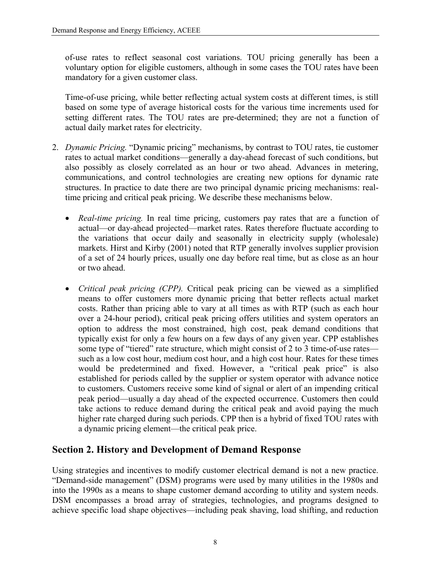<span id="page-17-0"></span>of-use rates to reflect seasonal cost variations. TOU pricing generally has been a voluntary option for eligible customers, although in some cases the TOU rates have been mandatory for a given customer class.

Time-of-use pricing, while better reflecting actual system costs at different times, is still based on some type of average historical costs for the various time increments used for setting different rates. The TOU rates are pre-determined; they are not a function of actual daily market rates for electricity.

- 2. *Dynamic Pricing.* "Dynamic pricing" mechanisms, by contrast to TOU rates, tie customer rates to actual market conditions—generally a day-ahead forecast of such conditions, but also possibly as closely correlated as an hour or two ahead. Advances in metering, communications, and control technologies are creating new options for dynamic rate structures. In practice to date there are two principal dynamic pricing mechanisms: realtime pricing and critical peak pricing. We describe these mechanisms below.
	- *Real-time pricing.* In real time pricing, customers pay rates that are a function of actual—or day-ahead projected—market rates. Rates therefore fluctuate according to the variations that occur daily and seasonally in electricity supply (wholesale) markets. Hirst and Kirby (2001) noted that RTP generally involves supplier provision of a set of 24 hourly prices, usually one day before real time, but as close as an hour or two ahead.
	- *Critical peak pricing (CPP).* Critical peak pricing can be viewed as a simplified means to offer customers more dynamic pricing that better reflects actual market costs. Rather than pricing able to vary at all times as with RTP (such as each hour over a 24-hour period), critical peak pricing offers utilities and system operators an option to address the most constrained, high cost, peak demand conditions that typically exist for only a few hours on a few days of any given year. CPP establishes some type of "tiered" rate structure, which might consist of 2 to 3 time-of-use rates such as a low cost hour, medium cost hour, and a high cost hour. Rates for these times would be predetermined and fixed. However, a "critical peak price" is also established for periods called by the supplier or system operator with advance notice to customers. Customers receive some kind of signal or alert of an impending critical peak period—usually a day ahead of the expected occurrence. Customers then could take actions to reduce demand during the critical peak and avoid paying the much higher rate charged during such periods. CPP then is a hybrid of fixed TOU rates with a dynamic pricing element—the critical peak price.

## **Section 2. History and Development of Demand Response**

Using strategies and incentives to modify customer electrical demand is not a new practice. "Demand-side management" (DSM) programs were used by many utilities in the 1980s and into the 1990s as a means to shape customer demand according to utility and system needs. DSM encompasses a broad array of strategies, technologies, and programs designed to achieve specific load shape objectives—including peak shaving, load shifting, and reduction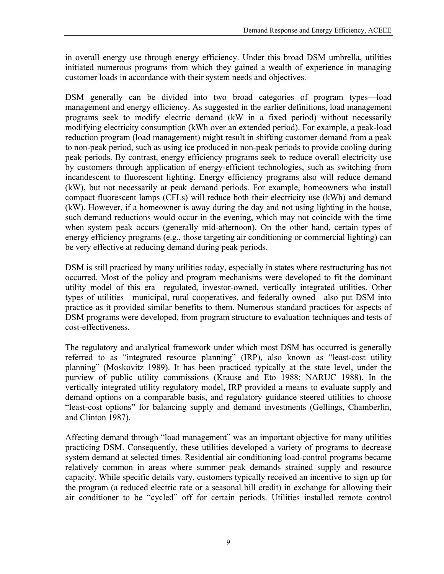in overall energy use through energy efficiency. Under this broad DSM umbrella, utilities initiated numerous programs from which they gained a wealth of experience in managing customer loads in accordance with their system needs and objectives.

DSM generally can be divided into two broad categories of program types—load management and energy efficiency. As suggested in the earlier definitions, load management programs seek to modify electric demand (kW in a fixed period) without necessarily modifying electricity consumption (kWh over an extended period). For example, a peak-load reduction program (load management) might result in shifting customer demand from a peak to non-peak period, such as using ice produced in non-peak periods to provide cooling during peak periods. By contrast, energy efficiency programs seek to reduce overall electricity use by customers through application of energy-efficient technologies, such as switching from incandescent to fluorescent lighting. Energy efficiency programs also will reduce demand (kW), but not necessarily at peak demand periods. For example, homeowners who install compact fluorescent lamps (CFLs) will reduce both their electricity use (kWh) and demand (kW). However, if a homeowner is away during the day and not using lighting in the house, such demand reductions would occur in the evening, which may not coincide with the time when system peak occurs (generally mid-afternoon). On the other hand, certain types of energy efficiency programs (e.g., those targeting air conditioning or commercial lighting) can be very effective at reducing demand during peak periods.

DSM is still practiced by many utilities today, especially in states where restructuring has not occurred. Most of the policy and program mechanisms were developed to fit the dominant utility model of this era—regulated, investor-owned, vertically integrated utilities. Other types of utilities—municipal, rural cooperatives, and federally owned—also put DSM into practice as it provided similar benefits to them. Numerous standard practices for aspects of DSM programs were developed, from program structure to evaluation techniques and tests of cost-effectiveness.

The regulatory and analytical framework under which most DSM has occurred is generally referred to as "integrated resource planning" (IRP), also known as "least-cost utility planning" (Moskovitz 1989). It has been practiced typically at the state level, under the purview of public utility commissions (Krause and Eto 1988; NARUC 1988). In the vertically integrated utility regulatory model, IRP provided a means to evaluate supply and demand options on a comparable basis, and regulatory guidance steered utilities to choose "least-cost options" for balancing supply and demand investments (Gellings, Chamberlin, and Clinton 1987).

Affecting demand through "load management" was an important objective for many utilities practicing DSM. Consequently, these utilities developed a variety of programs to decrease system demand at selected times. Residential air conditioning load-control programs became relatively common in areas where summer peak demands strained supply and resource capacity. While specific details vary, customers typically received an incentive to sign up for the program (a reduced electric rate or a seasonal bill credit) in exchange for allowing their air conditioner to be "cycled" off for certain periods. Utilities installed remote control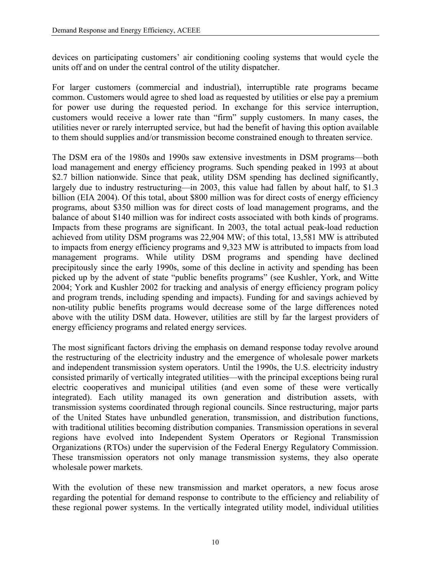devices on participating customers' air conditioning cooling systems that would cycle the units off and on under the central control of the utility dispatcher.

For larger customers (commercial and industrial), interruptible rate programs became common. Customers would agree to shed load as requested by utilities or else pay a premium for power use during the requested period. In exchange for this service interruption, customers would receive a lower rate than "firm" supply customers. In many cases, the utilities never or rarely interrupted service, but had the benefit of having this option available to them should supplies and/or transmission become constrained enough to threaten service.

The DSM era of the 1980s and 1990s saw extensive investments in DSM programs—both load management and energy efficiency programs. Such spending peaked in 1993 at about \$2.7 billion nationwide. Since that peak, utility DSM spending has declined significantly, largely due to industry restructuring—in 2003, this value had fallen by about half, to \$1.3 billion (EIA 2004). Of this total, about \$800 million was for direct costs of energy efficiency programs, about \$350 million was for direct costs of load management programs, and the balance of about \$140 million was for indirect costs associated with both kinds of programs. Impacts from these programs are significant. In 2003, the total actual peak-load reduction achieved from utility DSM programs was 22,904 MW; of this total, 13,581 MW is attributed to impacts from energy efficiency programs and 9,323 MW is attributed to impacts from load management programs. While utility DSM programs and spending have declined precipitously since the early 1990s, some of this decline in activity and spending has been picked up by the advent of state "public benefits programs" (see Kushler, York, and Witte 2004; York and Kushler 2002 for tracking and analysis of energy efficiency program policy and program trends, including spending and impacts). Funding for and savings achieved by non-utility public benefits programs would decrease some of the large differences noted above with the utility DSM data. However, utilities are still by far the largest providers of energy efficiency programs and related energy services.

The most significant factors driving the emphasis on demand response today revolve around the restructuring of the electricity industry and the emergence of wholesale power markets and independent transmission system operators. Until the 1990s, the U.S. electricity industry consisted primarily of vertically integrated utilities—with the principal exceptions being rural electric cooperatives and municipal utilities (and even some of these were vertically integrated). Each utility managed its own generation and distribution assets, with transmission systems coordinated through regional councils. Since restructuring, major parts of the United States have unbundled generation, transmission, and distribution functions, with traditional utilities becoming distribution companies. Transmission operations in several regions have evolved into Independent System Operators or Regional Transmission Organizations (RTOs) under the supervision of the Federal Energy Regulatory Commission. These transmission operators not only manage transmission systems, they also operate wholesale power markets.

With the evolution of these new transmission and market operators, a new focus arose regarding the potential for demand response to contribute to the efficiency and reliability of these regional power systems. In the vertically integrated utility model, individual utilities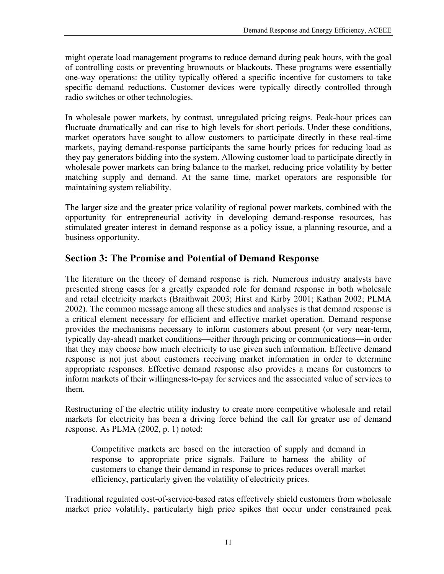<span id="page-20-0"></span>might operate load management programs to reduce demand during peak hours, with the goal of controlling costs or preventing brownouts or blackouts. These programs were essentially one-way operations: the utility typically offered a specific incentive for customers to take specific demand reductions. Customer devices were typically directly controlled through radio switches or other technologies.

In wholesale power markets, by contrast, unregulated pricing reigns. Peak-hour prices can fluctuate dramatically and can rise to high levels for short periods. Under these conditions, market operators have sought to allow customers to participate directly in these real-time markets, paying demand-response participants the same hourly prices for reducing load as they pay generators bidding into the system. Allowing customer load to participate directly in wholesale power markets can bring balance to the market, reducing price volatility by better matching supply and demand. At the same time, market operators are responsible for maintaining system reliability.

The larger size and the greater price volatility of regional power markets, combined with the opportunity for entrepreneurial activity in developing demand-response resources, has stimulated greater interest in demand response as a policy issue, a planning resource, and a business opportunity.

## **Section 3: The Promise and Potential of Demand Response**

The literature on the theory of demand response is rich. Numerous industry analysts have presented strong cases for a greatly expanded role for demand response in both wholesale and retail electricity markets (Braithwait 2003; Hirst and Kirby 2001; Kathan 2002; PLMA 2002). The common message among all these studies and analyses is that demand response is a critical element necessary for efficient and effective market operation. Demand response provides the mechanisms necessary to inform customers about present (or very near-term, typically day-ahead) market conditions—either through pricing or communications—in order that they may choose how much electricity to use given such information. Effective demand response is not just about customers receiving market information in order to determine appropriate responses. Effective demand response also provides a means for customers to inform markets of their willingness-to-pay for services and the associated value of services to them.

Restructuring of the electric utility industry to create more competitive wholesale and retail markets for electricity has been a driving force behind the call for greater use of demand response. As PLMA (2002, p. 1) noted:

Competitive markets are based on the interaction of supply and demand in response to appropriate price signals. Failure to harness the ability of customers to change their demand in response to prices reduces overall market efficiency, particularly given the volatility of electricity prices.

Traditional regulated cost-of-service-based rates effectively shield customers from wholesale market price volatility, particularly high price spikes that occur under constrained peak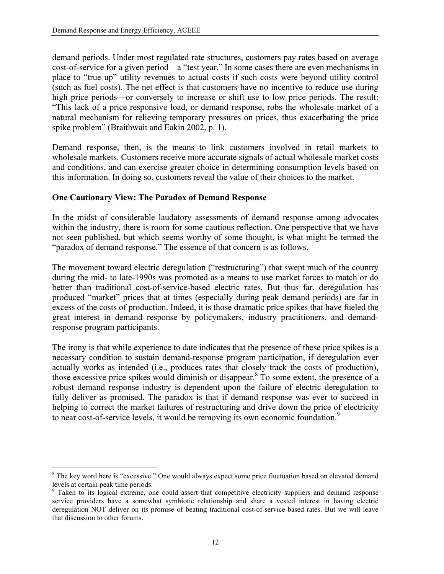demand periods. Under most regulated rate structures, customers pay rates based on average cost-of-service for a given period—a "test year." In some cases there are even mechanisms in place to "true up" utility revenues to actual costs if such costs were beyond utility control (such as fuel costs). The net effect is that customers have no incentive to reduce use during high price periods—or conversely to increase or shift use to low price periods. The result: "This lack of a price responsive load, or demand response, robs the wholesale market of a natural mechanism for relieving temporary pressures on prices, thus exacerbating the price spike problem" (Braithwait and Eakin 2002, p. 1).

Demand response, then, is the means to link customers involved in retail markets to wholesale markets. Customers receive more accurate signals of actual wholesale market costs and conditions, and can exercise greater choice in determining consumption levels based on this information. In doing so, customers reveal the value of their choices to the market.

#### **One Cautionary View: The Paradox of Demand Response**

In the midst of considerable laudatory assessments of demand response among advocates within the industry, there is room for some cautious reflection. One perspective that we have not seen published, but which seems worthy of some thought, is what might be termed the "paradox of demand response." The essence of that concern is as follows.

The movement toward electric deregulation ("restructuring") that swept much of the country during the mid- to late-1990s was promoted as a means to use market forces to match or do better than traditional cost-of-service-based electric rates. But thus far, deregulation has produced "market" prices that at times (especially during peak demand periods) are far in excess of the costs of production. Indeed, it is those dramatic price spikes that have fueled the great interest in demand response by policymakers, industry practitioners, and demandresponse program participants.

The irony is that while experience to date indicates that the presence of these price spikes is a necessary condition to sustain demand-response program participation, if deregulation ever actually works as intended (i.e., produces rates that closely track the costs of production), those excessive price spikes would diminish or disappear. $8$  To some extent, the presence of a robust demand response industry is dependent upon the failure of electric deregulation to fully deliver as promised. The paradox is that if demand response was ever to succeed in helping to correct the market failures of restructuring and drive down the price of electricity to near cost-of-service levels, it would be removing its own economic foundation.<sup>[9](#page-21-1)</sup>

<span id="page-21-0"></span><sup>1</sup> <sup>8</sup> The key word here is "excessive." One would always expect some price fluctuation based on elevated demand levels at certain peak time periods.

<span id="page-21-1"></span><sup>&</sup>lt;sup>9</sup> Taken to its logical extreme, one could assert that competitive electricity suppliers and demand response service providers have a somewhat symbiotic relationship and share a vested interest in having electric deregulation NOT deliver on its promise of beating traditional cost-of-service-based rates. But we will leave that discussion to other forums.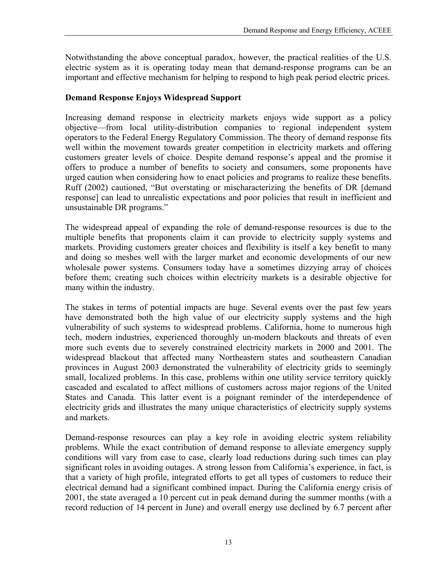Notwithstanding the above conceptual paradox, however, the practical realities of the U.S. electric system as it is operating today mean that demand-response programs can be an important and effective mechanism for helping to respond to high peak period electric prices.

### **Demand Response Enjoys Widespread Support**

Increasing demand response in electricity markets enjoys wide support as a policy objective—from local utility-distribution companies to regional independent system operators to the Federal Energy Regulatory Commission. The theory of demand response fits well within the movement towards greater competition in electricity markets and offering customers greater levels of choice. Despite demand response's appeal and the promise it offers to produce a number of benefits to society and consumers, some proponents have urged caution when considering how to enact policies and programs to realize these benefits. Ruff (2002) cautioned, "But overstating or mischaracterizing the benefits of DR [demand response] can lead to unrealistic expectations and poor policies that result in inefficient and unsustainable DR programs."

The widespread appeal of expanding the role of demand-response resources is due to the multiple benefits that proponents claim it can provide to electricity supply systems and markets. Providing customers greater choices and flexibility is itself a key benefit to many and doing so meshes well with the larger market and economic developments of our new wholesale power systems. Consumers today have a sometimes dizzying array of choices before them; creating such choices within electricity markets is a desirable objective for many within the industry.

The stakes in terms of potential impacts are huge. Several events over the past few years have demonstrated both the high value of our electricity supply systems and the high vulnerability of such systems to widespread problems. California, home to numerous high tech, modern industries, experienced thoroughly un-modern blackouts and threats of even more such events due to severely constrained electricity markets in 2000 and 2001. The widespread blackout that affected many Northeastern states and southeastern Canadian provinces in August 2003 demonstrated the vulnerability of electricity grids to seemingly small, localized problems. In this case, problems within one utility service territory quickly cascaded and escalated to affect millions of customers across major regions of the United States and Canada. This latter event is a poignant reminder of the interdependence of electricity grids and illustrates the many unique characteristics of electricity supply systems and markets.

Demand-response resources can play a key role in avoiding electric system reliability problems. While the exact contribution of demand response to alleviate emergency supply conditions will vary from case to case, clearly load reductions during such times can play significant roles in avoiding outages. A strong lesson from California's experience, in fact, is that a variety of high profile, integrated efforts to get all types of customers to reduce their electrical demand had a significant combined impact. During the California energy crisis of 2001, the state averaged a 10 percent cut in peak demand during the summer months (with a record reduction of 14 percent in June) and overall energy use declined by 6.7 percent after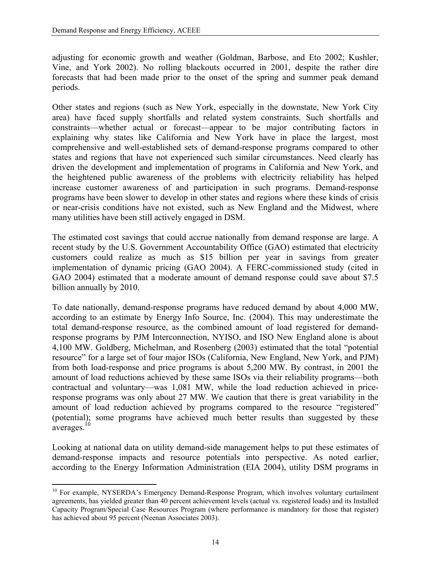$\overline{a}$ 

adjusting for economic growth and weather (Goldman, Barbose, and Eto 2002; Kushler, Vine, and York 2002). No rolling blackouts occurred in 2001, despite the rather dire forecasts that had been made prior to the onset of the spring and summer peak demand periods.

Other states and regions (such as New York, especially in the downstate, New York City area) have faced supply shortfalls and related system constraints. Such shortfalls and constraints—whether actual or forecast—appear to be major contributing factors in explaining why states like California and New York have in place the largest, most comprehensive and well-established sets of demand-response programs compared to other states and regions that have not experienced such similar circumstances. Need clearly has driven the development and implementation of programs in California and New York, and the heightened public awareness of the problems with electricity reliability has helped increase customer awareness of and participation in such programs. Demand-response programs have been slower to develop in other states and regions where these kinds of crisis or near-crisis conditions have not existed, such as New England and the Midwest, where many utilities have been still actively engaged in DSM.

The estimated cost savings that could accrue nationally from demand response are large. A recent study by the U.S. Government Accountability Office (GAO) estimated that electricity customers could realize as much as \$15 billion per year in savings from greater implementation of dynamic pricing (GAO 2004). A FERC-commissioned study (cited in GAO 2004) estimated that a moderate amount of demand response could save about \$7.5 billion annually by 2010.

To date nationally, demand-response programs have reduced demand by about 4,000 MW, according to an estimate by Energy Info Source, Inc. (2004). This may underestimate the total demand-response resource, as the combined amount of load registered for demandresponse programs by PJM Interconnection, NYISO, and ISO New England alone is about 4,100 MW. Goldberg, Michelman, and Rosenberg (2003) estimated that the total "potential resource" for a large set of four major ISOs (California, New England, New York, and PJM) from both load-response and price programs is about 5,200 MW. By contrast, in 2001 the amount of load reductions achieved by these same ISOs via their reliability programs—both contractual and voluntary—was 1,081 MW, while the load reduction achieved in priceresponse programs was only about 27 MW. We caution that there is great variability in the amount of load reduction achieved by programs compared to the resource "registered" (potential); some programs have achieved much better results than suggested by these averages[.10](#page-23-0) 

Looking at national data on utility demand-side management helps to put these estimates of demand-response impacts and resource potentials into perspective. As noted earlier, according to the Energy Information Administration (EIA 2004), utility DSM programs in

<span id="page-23-0"></span><sup>&</sup>lt;sup>10</sup> For example, NYSERDA's Emergency Demand-Response Program, which involves voluntary curtailment agreements, has yielded greater than 40 percent achievement levels (actual vs. registered loads) and its Installed Capacity Program/Special Case Resources Program (where performance is mandatory for those that register) has achieved about 95 percent (Neenan Associates 2003).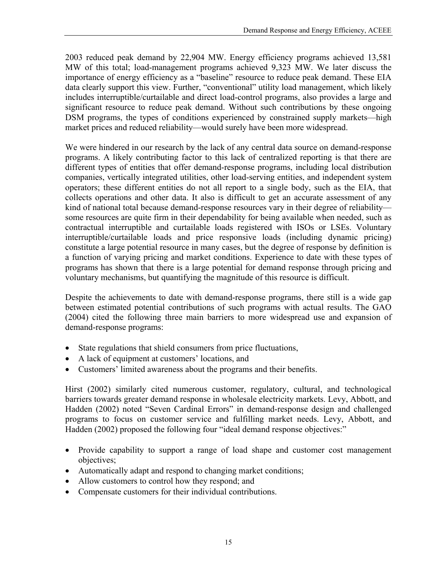2003 reduced peak demand by 22,904 MW. Energy efficiency programs achieved 13,581 MW of this total; load-management programs achieved 9,323 MW. We later discuss the importance of energy efficiency as a "baseline" resource to reduce peak demand. These EIA data clearly support this view. Further, "conventional" utility load management, which likely includes interruptible/curtailable and direct load-control programs, also provides a large and significant resource to reduce peak demand. Without such contributions by these ongoing DSM programs, the types of conditions experienced by constrained supply markets—high market prices and reduced reliability—would surely have been more widespread.

We were hindered in our research by the lack of any central data source on demand-response programs. A likely contributing factor to this lack of centralized reporting is that there are different types of entities that offer demand-response programs, including local distribution companies, vertically integrated utilities, other load-serving entities, and independent system operators; these different entities do not all report to a single body, such as the EIA, that collects operations and other data. It also is difficult to get an accurate assessment of any kind of national total because demand-response resources vary in their degree of reliability some resources are quite firm in their dependability for being available when needed, such as contractual interruptible and curtailable loads registered with ISOs or LSEs. Voluntary interruptible/curtailable loads and price responsive loads (including dynamic pricing) constitute a large potential resource in many cases, but the degree of response by definition is a function of varying pricing and market conditions. Experience to date with these types of programs has shown that there is a large potential for demand response through pricing and voluntary mechanisms, but quantifying the magnitude of this resource is difficult.

Despite the achievements to date with demand-response programs, there still is a wide gap between estimated potential contributions of such programs with actual results. The GAO (2004) cited the following three main barriers to more widespread use and expansion of demand-response programs:

- State regulations that shield consumers from price fluctuations,
- A lack of equipment at customers' locations, and
- Customers' limited awareness about the programs and their benefits.

Hirst (2002) similarly cited numerous customer, regulatory, cultural, and technological barriers towards greater demand response in wholesale electricity markets. Levy, Abbott, and Hadden (2002) noted "Seven Cardinal Errors" in demand-response design and challenged programs to focus on customer service and fulfilling market needs. Levy, Abbott, and Hadden (2002) proposed the following four "ideal demand response objectives:"

- Provide capability to support a range of load shape and customer cost management objectives;
- Automatically adapt and respond to changing market conditions;
- Allow customers to control how they respond; and
- Compensate customers for their individual contributions.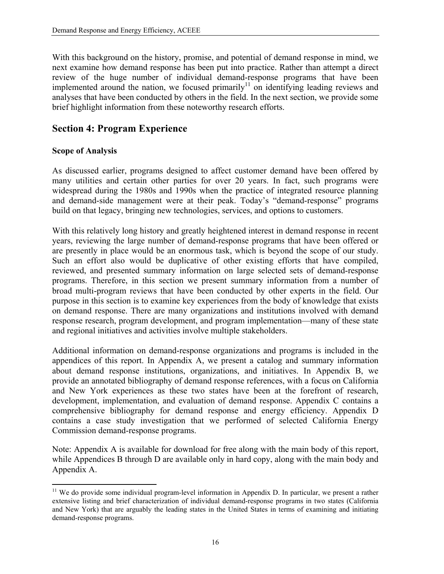With this background on the history, promise, and potential of demand response in mind, we next examine how demand response has been put into practice. Rather than attempt a direct review of the huge number of individual demand-response programs that have been implemented around the nation, we focused primarily<sup>11</sup> on identifying leading reviews and analyses that have been conducted by others in the field. In the next section, we provide some brief highlight information from these noteworthy research efforts.

## **Section 4: Program Experience**

### **Scope of Analysis**

1

As discussed earlier, programs designed to affect customer demand have been offered by many utilities and certain other parties for over 20 years. In fact, such programs were widespread during the 1980s and 1990s when the practice of integrated resource planning and demand-side management were at their peak. Today's "demand-response" programs build on that legacy, bringing new technologies, services, and options to customers.

With this relatively long history and greatly heightened interest in demand response in recent years, reviewing the large number of demand-response programs that have been offered or are presently in place would be an enormous task, which is beyond the scope of our study. Such an effort also would be duplicative of other existing efforts that have compiled, reviewed, and presented summary information on large selected sets of demand-response programs. Therefore, in this section we present summary information from a number of broad multi-program reviews that have been conducted by other experts in the field. Our purpose in this section is to examine key experiences from the body of knowledge that exists on demand response. There are many organizations and institutions involved with demand response research, program development, and program implementation—many of these state and regional initiatives and activities involve multiple stakeholders.

Additional information on demand-response organizations and programs is included in the appendices of this report. In Appendix A, we present a catalog and summary information about demand response institutions, organizations, and initiatives. In Appendix B, we provide an annotated bibliography of demand response references, with a focus on California and New York experiences as these two states have been at the forefront of research, development, implementation, and evaluation of demand response. Appendix C contains a comprehensive bibliography for demand response and energy efficiency. Appendix D contains a case study investigation that we performed of selected California Energy Commission demand-response programs.

Note: Appendix A is available for download for free along with the main body of this report, while Appendices B through D are available only in hard copy, along with the main body and Appendix A.

<span id="page-25-0"></span> $11$  We do provide some individual program-level information in Appendix D. In particular, we present a rather extensive listing and brief characterization of individual demand-response programs in two states (California and New York) that are arguably the leading states in the United States in terms of examining and initiating demand-response programs.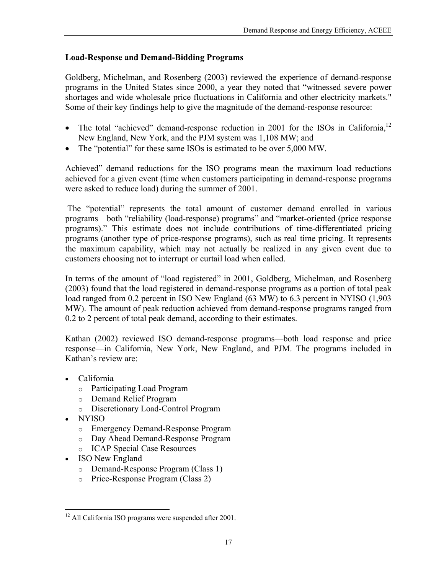### **Load-Response and Demand-Bidding Programs**

Goldberg, Michelman, and Rosenberg (2003) reviewed the experience of demand-response programs in the United States since 2000, a year they noted that "witnessed severe power shortages and wide wholesale price fluctuations in California and other electricity markets." Some of their key findings help to give the magnitude of the demand-response resource:

- The total "achieved" demand-response reduction in 2001 for the ISOs in California,<sup>12</sup> New England, New York, and the PJM system was 1,108 MW; and
- The "potential" for these same ISOs is estimated to be over 5,000 MW.

Achieved" demand reductions for the ISO programs mean the maximum load reductions achieved for a given event (time when customers participating in demand-response programs were asked to reduce load) during the summer of 2001.

The "potential" represents the total amount of customer demand enrolled in various programs—both "reliability (load-response) programs" and "market-oriented (price response programs)." This estimate does not include contributions of time-differentiated pricing programs (another type of price-response programs), such as real time pricing. It represents the maximum capability, which may not actually be realized in any given event due to customers choosing not to interrupt or curtail load when called.

In terms of the amount of "load registered" in 2001, Goldberg, Michelman, and Rosenberg (2003) found that the load registered in demand-response programs as a portion of total peak load ranged from 0.2 percent in ISO New England (63 MW) to 6.3 percent in NYISO (1,903 MW). The amount of peak reduction achieved from demand-response programs ranged from 0.2 to 2 percent of total peak demand, according to their estimates.

Kathan (2002) reviewed ISO demand-response programs—both load response and price response—in California, New York, New England, and PJM. The programs included in Kathan's review are:

- California
	- o Participating Load Program
	- o Demand Relief Program
	- o Discretionary Load-Control Program
- NYISO
	- o Emergency Demand-Response Program
	- o Day Ahead Demand-Response Program
	- o ICAP Special Case Resources
- ISO New England
	- o Demand-Response Program (Class 1)
	- o Price-Response Program (Class 2)

<span id="page-26-0"></span> $\overline{a}$ <sup>12</sup> All California ISO programs were suspended after 2001.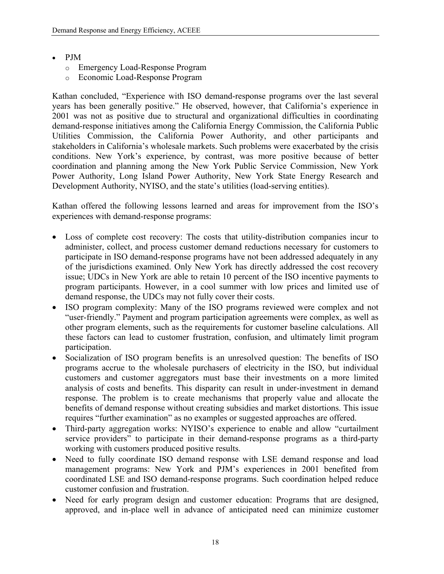- PJM
	- o Emergency Load-Response Program
	- o Economic Load-Response Program

Kathan concluded, "Experience with ISO demand-response programs over the last several years has been generally positive." He observed, however, that California's experience in 2001 was not as positive due to structural and organizational difficulties in coordinating demand-response initiatives among the California Energy Commission, the California Public Utilities Commission, the California Power Authority, and other participants and stakeholders in California's wholesale markets. Such problems were exacerbated by the crisis conditions. New York's experience, by contrast, was more positive because of better coordination and planning among the New York Public Service Commission, New York Power Authority, Long Island Power Authority, New York State Energy Research and Development Authority, NYISO, and the state's utilities (load-serving entities).

Kathan offered the following lessons learned and areas for improvement from the ISO's experiences with demand-response programs:

- Loss of complete cost recovery: The costs that utility-distribution companies incur to administer, collect, and process customer demand reductions necessary for customers to participate in ISO demand-response programs have not been addressed adequately in any of the jurisdictions examined. Only New York has directly addressed the cost recovery issue; UDCs in New York are able to retain 10 percent of the ISO incentive payments to program participants. However, in a cool summer with low prices and limited use of demand response, the UDCs may not fully cover their costs.
- ISO program complexity: Many of the ISO programs reviewed were complex and not "user-friendly." Payment and program participation agreements were complex, as well as other program elements, such as the requirements for customer baseline calculations. All these factors can lead to customer frustration, confusion, and ultimately limit program participation.
- Socialization of ISO program benefits is an unresolved question: The benefits of ISO programs accrue to the wholesale purchasers of electricity in the ISO, but individual customers and customer aggregators must base their investments on a more limited analysis of costs and benefits. This disparity can result in under-investment in demand response. The problem is to create mechanisms that properly value and allocate the benefits of demand response without creating subsidies and market distortions. This issue requires "further examination" as no examples or suggested approaches are offered.
- Third-party aggregation works: NYISO's experience to enable and allow "curtailment service providers" to participate in their demand-response programs as a third-party working with customers produced positive results.
- Need to fully coordinate ISO demand response with LSE demand response and load management programs: New York and PJM's experiences in 2001 benefited from coordinated LSE and ISO demand-response programs. Such coordination helped reduce customer confusion and frustration.
- Need for early program design and customer education: Programs that are designed, approved, and in-place well in advance of anticipated need can minimize customer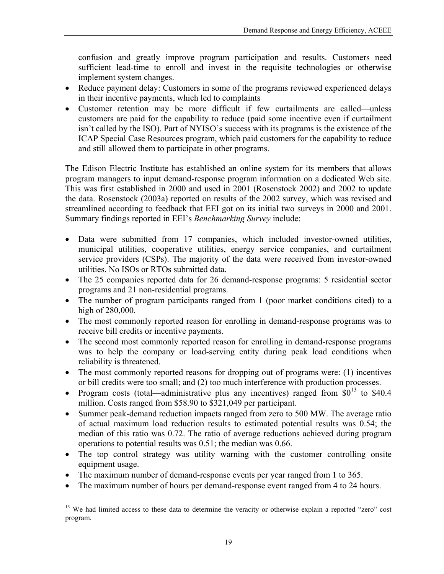confusion and greatly improve program participation and results. Customers need sufficient lead-time to enroll and invest in the requisite technologies or otherwise implement system changes.

- Reduce payment delay: Customers in some of the programs reviewed experienced delays in their incentive payments, which led to complaints
- Customer retention may be more difficult if few curtailments are called—unless customers are paid for the capability to reduce (paid some incentive even if curtailment isn't called by the ISO). Part of NYISO's success with its programs is the existence of the ICAP Special Case Resources program, which paid customers for the capability to reduce and still allowed them to participate in other programs.

The Edison Electric Institute has established an online system for its members that allows program managers to input demand-response program information on a dedicated Web site. This was first established in 2000 and used in 2001 (Rosenstock 2002) and 2002 to update the data. Rosenstock (2003a) reported on results of the 2002 survey, which was revised and streamlined according to feedback that EEI got on its initial two surveys in 2000 and 2001. Summary findings reported in EEI's *Benchmarking Survey* include:

- Data were submitted from 17 companies, which included investor-owned utilities, municipal utilities, cooperative utilities, energy service companies, and curtailment service providers (CSPs). The majority of the data were received from investor-owned utilities. No ISOs or RTOs submitted data.
- The 25 companies reported data for 26 demand-response programs: 5 residential sector programs and 21 non-residential programs.
- The number of program participants ranged from 1 (poor market conditions cited) to a high of 280,000.
- The most commonly reported reason for enrolling in demand-response programs was to receive bill credits or incentive payments.
- The second most commonly reported reason for enrolling in demand-response programs was to help the company or load-serving entity during peak load conditions when reliability is threatened.
- The most commonly reported reasons for dropping out of programs were: (1) incentives or bill credits were too small; and (2) too much interference with production processes.
- Program costs (total—administrative plus any incentives) ranged from  $\$0^{13}$  to \$40.4 million. Costs ranged from \$58.90 to \$321,049 per participant.
- Summer peak-demand reduction impacts ranged from zero to 500 MW. The average ratio of actual maximum load reduction results to estimated potential results was 0.54; the median of this ratio was 0.72. The ratio of average reductions achieved during program operations to potential results was 0.51; the median was 0.66.
- The top control strategy was utility warning with the customer controlling onsite equipment usage.
- The maximum number of demand-response events per year ranged from 1 to 365.

1

• The maximum number of hours per demand-response event ranged from 4 to 24 hours.

<span id="page-28-0"></span><sup>&</sup>lt;sup>13</sup> We had limited access to these data to determine the veracity or otherwise explain a reported "zero" cost program.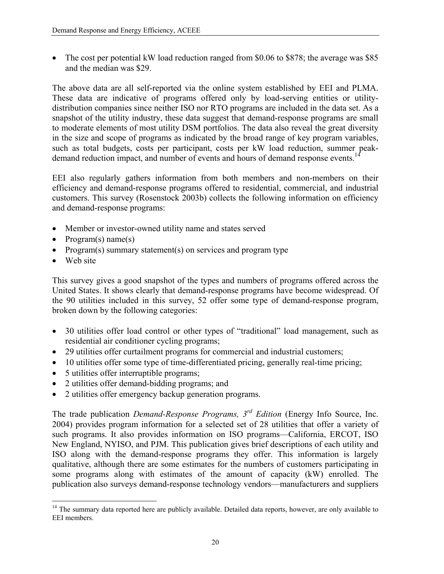The cost per potential kW load reduction ranged from \$0.06 to \$878; the average was \$85 and the median was \$29.

The above data are all self-reported via the online system established by EEI and PLMA. These data are indicative of programs offered only by load-serving entities or utilitydistribution companies since neither ISO nor RTO programs are included in the data set. As a snapshot of the utility industry, these data suggest that demand-response programs are small to moderate elements of most utility DSM portfolios. The data also reveal the great diversity in the size and scope of programs as indicated by the broad range of key program variables, such as total budgets, costs per participant, costs per kW load reduction, summer peakdemand reduction impact, and number of events and hours of demand response events.<sup>14</sup>

EEI also regularly gathers information from both members and non-members on their efficiency and demand-response programs offered to residential, commercial, and industrial customers. This survey (Rosenstock 2003b) collects the following information on efficiency and demand-response programs:

- Member or investor-owned utility name and states served
- Program(s) name(s)
- Program(s) summary statement(s) on services and program type
- Web site

 $\overline{a}$ 

This survey gives a good snapshot of the types and numbers of programs offered across the United States. It shows clearly that demand-response programs have become widespread. Of the 90 utilities included in this survey, 52 offer some type of demand-response program, broken down by the following categories:

- 30 utilities offer load control or other types of "traditional" load management, such as residential air conditioner cycling programs;
- 29 utilities offer curtailment programs for commercial and industrial customers;
- 10 utilities offer some type of time-differentiated pricing, generally real-time pricing;
- 5 utilities offer interruptible programs;
- 2 utilities offer demand-bidding programs; and
- 2 utilities offer emergency backup generation programs.

The trade publication *Demand-Response Programs, 3rd Edition* (Energy Info Source, Inc. 2004) provides program information for a selected set of 28 utilities that offer a variety of such programs. It also provides information on ISO programs—California, ERCOT, ISO New England, NYISO, and PJM. This publication gives brief descriptions of each utility and ISO along with the demand-response programs they offer. This information is largely qualitative, although there are some estimates for the numbers of customers participating in some programs along with estimates of the amount of capacity (kW) enrolled. The publication also surveys demand-response technology vendors—manufacturers and suppliers

<span id="page-29-0"></span><sup>&</sup>lt;sup>14</sup> The summary data reported here are publicly available. Detailed data reports, however, are only available to EEI members.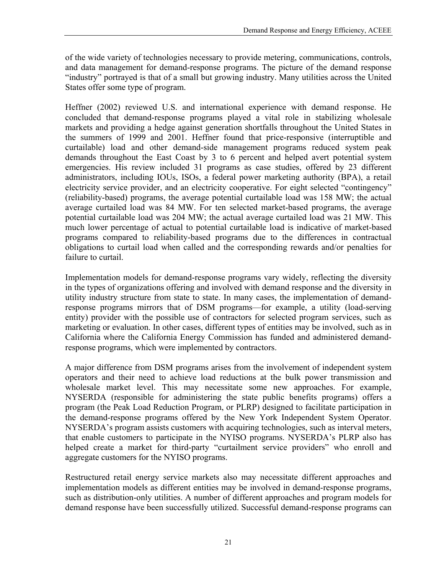of the wide variety of technologies necessary to provide metering, communications, controls, and data management for demand-response programs. The picture of the demand response "industry" portrayed is that of a small but growing industry. Many utilities across the United States offer some type of program.

Heffner (2002) reviewed U.S. and international experience with demand response. He concluded that demand-response programs played a vital role in stabilizing wholesale markets and providing a hedge against generation shortfalls throughout the United States in the summers of 1999 and 2001. Heffner found that price-responsive (interruptible and curtailable) load and other demand-side management programs reduced system peak demands throughout the East Coast by 3 to 6 percent and helped avert potential system emergencies. His review included 31 programs as case studies, offered by 23 different administrators, including IOUs, ISOs, a federal power marketing authority (BPA), a retail electricity service provider, and an electricity cooperative. For eight selected "contingency" (reliability-based) programs, the average potential curtailable load was 158 MW; the actual average curtailed load was 84 MW. For ten selected market-based programs, the average potential curtailable load was 204 MW; the actual average curtailed load was 21 MW. This much lower percentage of actual to potential curtailable load is indicative of market-based programs compared to reliability-based programs due to the differences in contractual obligations to curtail load when called and the corresponding rewards and/or penalties for failure to curtail.

Implementation models for demand-response programs vary widely, reflecting the diversity in the types of organizations offering and involved with demand response and the diversity in utility industry structure from state to state. In many cases, the implementation of demandresponse programs mirrors that of DSM programs—for example, a utility (load-serving entity) provider with the possible use of contractors for selected program services, such as marketing or evaluation. In other cases, different types of entities may be involved, such as in California where the California Energy Commission has funded and administered demandresponse programs, which were implemented by contractors.

A major difference from DSM programs arises from the involvement of independent system operators and their need to achieve load reductions at the bulk power transmission and wholesale market level. This may necessitate some new approaches. For example, NYSERDA (responsible for administering the state public benefits programs) offers a program (the Peak Load Reduction Program, or PLRP) designed to facilitate participation in the demand-response programs offered by the New York Independent System Operator. NYSERDA's program assists customers with acquiring technologies, such as interval meters, that enable customers to participate in the NYISO programs. NYSERDA's PLRP also has helped create a market for third-party "curtailment service providers" who enroll and aggregate customers for the NYISO programs.

Restructured retail energy service markets also may necessitate different approaches and implementation models as different entities may be involved in demand-response programs, such as distribution-only utilities. A number of different approaches and program models for demand response have been successfully utilized. Successful demand-response programs can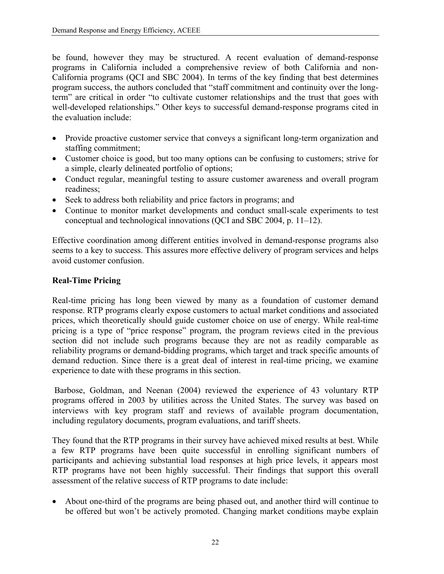be found, however they may be structured. A recent evaluation of demand-response programs in California included a comprehensive review of both California and non-California programs (QCI and SBC 2004). In terms of the key finding that best determines program success, the authors concluded that "staff commitment and continuity over the longterm" are critical in order "to cultivate customer relationships and the trust that goes with well-developed relationships." Other keys to successful demand-response programs cited in the evaluation include:

- Provide proactive customer service that conveys a significant long-term organization and staffing commitment;
- Customer choice is good, but too many options can be confusing to customers; strive for a simple, clearly delineated portfolio of options;
- Conduct regular, meaningful testing to assure customer awareness and overall program readiness;
- Seek to address both reliability and price factors in programs; and
- Continue to monitor market developments and conduct small-scale experiments to test conceptual and technological innovations (QCI and SBC 2004, p. 11–12).

Effective coordination among different entities involved in demand-response programs also seems to a key to success. This assures more effective delivery of program services and helps avoid customer confusion.

### **Real-Time Pricing**

Real-time pricing has long been viewed by many as a foundation of customer demand response. RTP programs clearly expose customers to actual market conditions and associated prices, which theoretically should guide customer choice on use of energy. While real-time pricing is a type of "price response" program, the program reviews cited in the previous section did not include such programs because they are not as readily comparable as reliability programs or demand-bidding programs, which target and track specific amounts of demand reduction. Since there is a great deal of interest in real-time pricing, we examine experience to date with these programs in this section.

Barbose, Goldman, and Neenan (2004) reviewed the experience of 43 voluntary RTP programs offered in 2003 by utilities across the United States. The survey was based on interviews with key program staff and reviews of available program documentation, including regulatory documents, program evaluations, and tariff sheets.

They found that the RTP programs in their survey have achieved mixed results at best. While a few RTP programs have been quite successful in enrolling significant numbers of participants and achieving substantial load responses at high price levels, it appears most RTP programs have not been highly successful. Their findings that support this overall assessment of the relative success of RTP programs to date include:

• About one-third of the programs are being phased out, and another third will continue to be offered but won't be actively promoted. Changing market conditions maybe explain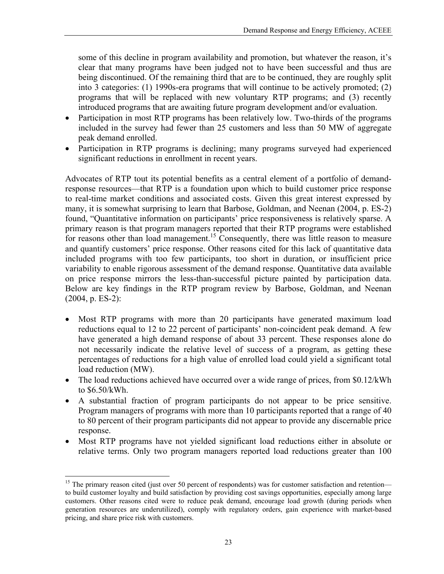some of this decline in program availability and promotion, but whatever the reason, it's clear that many programs have been judged not to have been successful and thus are being discontinued. Of the remaining third that are to be continued, they are roughly split into 3 categories: (1) 1990s-era programs that will continue to be actively promoted; (2) programs that will be replaced with new voluntary RTP programs; and (3) recently introduced programs that are awaiting future program development and/or evaluation.

- Participation in most RTP programs has been relatively low. Two-thirds of the programs included in the survey had fewer than 25 customers and less than 50 MW of aggregate peak demand enrolled.
- Participation in RTP programs is declining; many programs surveyed had experienced significant reductions in enrollment in recent years.

Advocates of RTP tout its potential benefits as a central element of a portfolio of demandresponse resources—that RTP is a foundation upon which to build customer price response to real-time market conditions and associated costs. Given this great interest expressed by many, it is somewhat surprising to learn that Barbose, Goldman, and Neenan (2004, p. ES-2) found, "Quantitative information on participants' price responsiveness is relatively sparse. A primary reason is that program managers reported that their RTP programs were established for reasons other than load management.<sup>15</sup> Consequently, there was little reason to measure and quantify customers' price response. Other reasons cited for this lack of quantitative data included programs with too few participants, too short in duration, or insufficient price variability to enable rigorous assessment of the demand response. Quantitative data available on price response mirrors the less-than-successful picture painted by participation data. Below are key findings in the RTP program review by Barbose, Goldman, and Neenan (2004, p. ES-2):

- Most RTP programs with more than 20 participants have generated maximum load reductions equal to 12 to 22 percent of participants' non-coincident peak demand. A few have generated a high demand response of about 33 percent. These responses alone do not necessarily indicate the relative level of success of a program, as getting these percentages of reductions for a high value of enrolled load could yield a significant total load reduction (MW).
- The load reductions achieved have occurred over a wide range of prices, from \$0.12/kWh to \$6.50/kWh.
- A substantial fraction of program participants do not appear to be price sensitive. Program managers of programs with more than 10 participants reported that a range of 40 to 80 percent of their program participants did not appear to provide any discernable price response.
- Most RTP programs have not yielded significant load reductions either in absolute or relative terms. Only two program managers reported load reductions greater than 100

1

<span id="page-32-0"></span><sup>&</sup>lt;sup>15</sup> The primary reason cited (just over 50 percent of respondents) was for customer satisfaction and retention to build customer loyalty and build satisfaction by providing cost savings opportunities, especially among large customers. Other reasons cited were to reduce peak demand, encourage load growth (during periods when generation resources are underutilized), comply with regulatory orders, gain experience with market-based pricing, and share price risk with customers.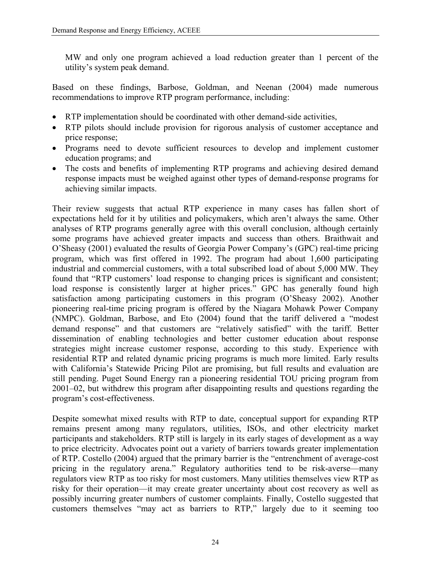MW and only one program achieved a load reduction greater than 1 percent of the utility's system peak demand.

Based on these findings, Barbose, Goldman, and Neenan (2004) made numerous recommendations to improve RTP program performance, including:

- RTP implementation should be coordinated with other demand-side activities,
- RTP pilots should include provision for rigorous analysis of customer acceptance and price response;
- Programs need to devote sufficient resources to develop and implement customer education programs; and
- The costs and benefits of implementing RTP programs and achieving desired demand response impacts must be weighed against other types of demand-response programs for achieving similar impacts.

Their review suggests that actual RTP experience in many cases has fallen short of expectations held for it by utilities and policymakers, which aren't always the same. Other analyses of RTP programs generally agree with this overall conclusion, although certainly some programs have achieved greater impacts and success than others. Braithwait and O'Sheasy (2001) evaluated the results of Georgia Power Company's (GPC) real-time pricing program, which was first offered in 1992. The program had about 1,600 participating industrial and commercial customers, with a total subscribed load of about 5,000 MW. They found that "RTP customers' load response to changing prices is significant and consistent; load response is consistently larger at higher prices." GPC has generally found high satisfaction among participating customers in this program (O'Sheasy 2002). Another pioneering real-time pricing program is offered by the Niagara Mohawk Power Company (NMPC). Goldman, Barbose, and Eto (2004) found that the tariff delivered a "modest demand response" and that customers are "relatively satisfied" with the tariff. Better dissemination of enabling technologies and better customer education about response strategies might increase customer response, according to this study. Experience with residential RTP and related dynamic pricing programs is much more limited. Early results with California's Statewide Pricing Pilot are promising, but full results and evaluation are still pending. Puget Sound Energy ran a pioneering residential TOU pricing program from 2001–02, but withdrew this program after disappointing results and questions regarding the program's cost-effectiveness.

Despite somewhat mixed results with RTP to date, conceptual support for expanding RTP remains present among many regulators, utilities, ISOs, and other electricity market participants and stakeholders. RTP still is largely in its early stages of development as a way to price electricity. Advocates point out a variety of barriers towards greater implementation of RTP. Costello (2004) argued that the primary barrier is the "entrenchment of average-cost pricing in the regulatory arena." Regulatory authorities tend to be risk-averse—many regulators view RTP as too risky for most customers. Many utilities themselves view RTP as risky for their operation—it may create greater uncertainty about cost recovery as well as possibly incurring greater numbers of customer complaints. Finally, Costello suggested that customers themselves "may act as barriers to RTP," largely due to it seeming too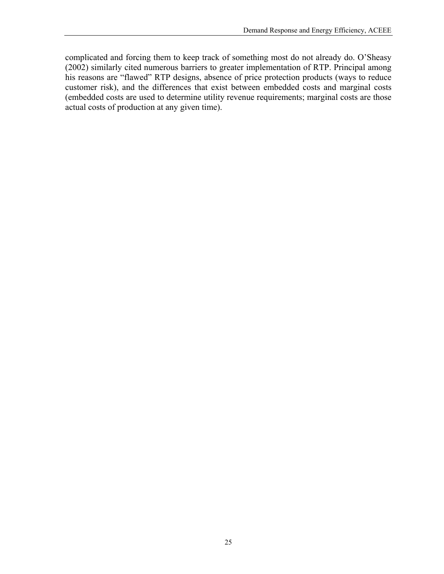complicated and forcing them to keep track of something most do not already do. O'Sheasy (2002) similarly cited numerous barriers to greater implementation of RTP. Principal among his reasons are "flawed" RTP designs, absence of price protection products (ways to reduce customer risk), and the differences that exist between embedded costs and marginal costs (embedded costs are used to determine utility revenue requirements; marginal costs are those actual costs of production at any given time).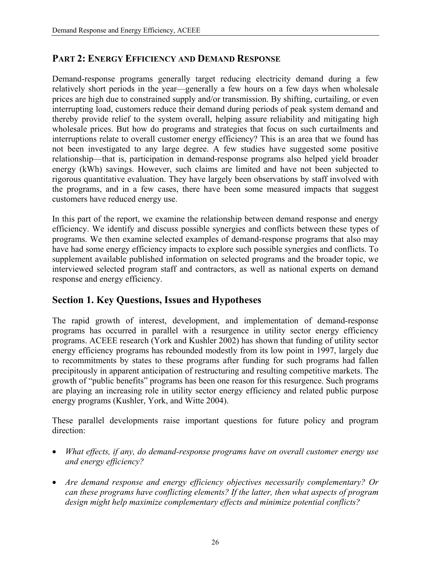### <span id="page-35-0"></span>**PART 2: ENERGY EFFICIENCY AND DEMAND RESPONSE**

Demand-response programs generally target reducing electricity demand during a few relatively short periods in the year—generally a few hours on a few days when wholesale prices are high due to constrained supply and/or transmission. By shifting, curtailing, or even interrupting load, customers reduce their demand during periods of peak system demand and thereby provide relief to the system overall, helping assure reliability and mitigating high wholesale prices. But how do programs and strategies that focus on such curtailments and interruptions relate to overall customer energy efficiency? This is an area that we found has not been investigated to any large degree. A few studies have suggested some positive relationship—that is, participation in demand-response programs also helped yield broader energy (kWh) savings. However, such claims are limited and have not been subjected to rigorous quantitative evaluation. They have largely been observations by staff involved with the programs, and in a few cases, there have been some measured impacts that suggest customers have reduced energy use.

In this part of the report, we examine the relationship between demand response and energy efficiency. We identify and discuss possible synergies and conflicts between these types of programs. We then examine selected examples of demand-response programs that also may have had some energy efficiency impacts to explore such possible synergies and conflicts. To supplement available published information on selected programs and the broader topic, we interviewed selected program staff and contractors, as well as national experts on demand response and energy efficiency.

### **Section 1. Key Questions, Issues and Hypotheses**

The rapid growth of interest, development, and implementation of demand-response programs has occurred in parallel with a resurgence in utility sector energy efficiency programs. ACEEE research (York and Kushler 2002) has shown that funding of utility sector energy efficiency programs has rebounded modestly from its low point in 1997, largely due to recommitments by states to these programs after funding for such programs had fallen precipitously in apparent anticipation of restructuring and resulting competitive markets. The growth of "public benefits" programs has been one reason for this resurgence. Such programs are playing an increasing role in utility sector energy efficiency and related public purpose energy programs (Kushler, York, and Witte 2004).

These parallel developments raise important questions for future policy and program direction:

- *What effects, if any, do demand-response programs have on overall customer energy use and energy efficiency?*
- *Are demand response and energy efficiency objectives necessarily complementary? Or can these programs have conflicting elements? If the latter, then what aspects of program design might help maximize complementary effects and minimize potential conflicts?*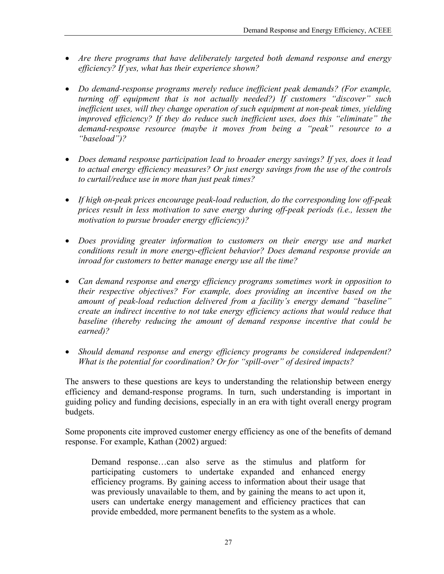- *Are there programs that have deliberately targeted both demand response and energy efficiency? If yes, what has their experience shown?*
- *Do demand-response programs merely reduce inefficient peak demands? (For example, turning off equipment that is not actually needed?) If customers "discover" such inefficient uses, will they change operation of such equipment at non-peak times, yielding improved efficiency? If they do reduce such inefficient uses, does this "eliminate" the demand-response resource (maybe it moves from being a "peak" resource to a "baseload")?*
- *Does demand response participation lead to broader energy savings? If yes, does it lead to actual energy efficiency measures? Or just energy savings from the use of the controls to curtail/reduce use in more than just peak times?*
- *If high on-peak prices encourage peak-load reduction, do the corresponding low off-peak prices result in less motivation to save energy during off-peak periods (i.e., lessen the motivation to pursue broader energy efficiency)?*
- *Does providing greater information to customers on their energy use and market conditions result in more energy-efficient behavior? Does demand response provide an inroad for customers to better manage energy use all the time?*
- *Can demand response and energy efficiency programs sometimes work in opposition to their respective objectives? For example, does providing an incentive based on the amount of peak-load reduction delivered from a facility's energy demand "baseline" create an indirect incentive to not take energy efficiency actions that would reduce that baseline (thereby reducing the amount of demand response incentive that could be earned)?*
- *Should demand response and energy efficiency programs be considered independent? What is the potential for coordination? Or for "spill-over" of desired impacts?*

The answers to these questions are keys to understanding the relationship between energy efficiency and demand-response programs. In turn, such understanding is important in guiding policy and funding decisions, especially in an era with tight overall energy program budgets.

Some proponents cite improved customer energy efficiency as one of the benefits of demand response. For example, Kathan (2002) argued:

Demand response…can also serve as the stimulus and platform for participating customers to undertake expanded and enhanced energy efficiency programs. By gaining access to information about their usage that was previously unavailable to them, and by gaining the means to act upon it, users can undertake energy management and efficiency practices that can provide embedded, more permanent benefits to the system as a whole.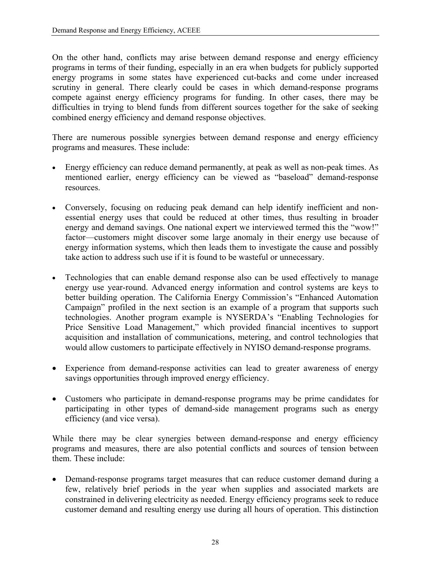On the other hand, conflicts may arise between demand response and energy efficiency programs in terms of their funding, especially in an era when budgets for publicly supported energy programs in some states have experienced cut-backs and come under increased scrutiny in general. There clearly could be cases in which demand-response programs compete against energy efficiency programs for funding. In other cases, there may be difficulties in trying to blend funds from different sources together for the sake of seeking combined energy efficiency and demand response objectives.

There are numerous possible synergies between demand response and energy efficiency programs and measures. These include:

- Energy efficiency can reduce demand permanently, at peak as well as non-peak times. As mentioned earlier, energy efficiency can be viewed as "baseload" demand-response resources.
- Conversely, focusing on reducing peak demand can help identify inefficient and nonessential energy uses that could be reduced at other times, thus resulting in broader energy and demand savings. One national expert we interviewed termed this the "wow!" factor—customers might discover some large anomaly in their energy use because of energy information systems, which then leads them to investigate the cause and possibly take action to address such use if it is found to be wasteful or unnecessary.
- Technologies that can enable demand response also can be used effectively to manage energy use year-round. Advanced energy information and control systems are keys to better building operation. The California Energy Commission's "Enhanced Automation Campaign" profiled in the next section is an example of a program that supports such technologies. Another program example is NYSERDA's "Enabling Technologies for Price Sensitive Load Management," which provided financial incentives to support acquisition and installation of communications, metering, and control technologies that would allow customers to participate effectively in NYISO demand-response programs.
- Experience from demand-response activities can lead to greater awareness of energy savings opportunities through improved energy efficiency.
- Customers who participate in demand-response programs may be prime candidates for participating in other types of demand-side management programs such as energy efficiency (and vice versa).

While there may be clear synergies between demand-response and energy efficiency programs and measures, there are also potential conflicts and sources of tension between them. These include:

• Demand-response programs target measures that can reduce customer demand during a few, relatively brief periods in the year when supplies and associated markets are constrained in delivering electricity as needed. Energy efficiency programs seek to reduce customer demand and resulting energy use during all hours of operation. This distinction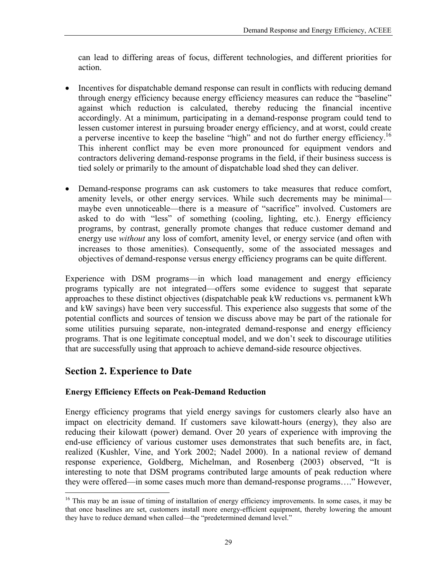can lead to differing areas of focus, different technologies, and different priorities for action.

- Incentives for dispatchable demand response can result in conflicts with reducing demand through energy efficiency because energy efficiency measures can reduce the "baseline" against which reduction is calculated, thereby reducing the financial incentive accordingly. At a minimum, participating in a demand-response program could tend to lessen customer interest in pursuing broader energy efficiency, and at worst, could create a perverse incentive to keep the baseline "high" and not do further energy efficiency[.16](#page-38-0) This inherent conflict may be even more pronounced for equipment vendors and contractors delivering demand-response programs in the field, if their business success is tied solely or primarily to the amount of dispatchable load shed they can deliver.
- Demand-response programs can ask customers to take measures that reduce comfort, amenity levels, or other energy services. While such decrements may be minimal maybe even unnoticeable—there is a measure of "sacrifice" involved. Customers are asked to do with "less" of something (cooling, lighting, etc.). Energy efficiency programs, by contrast, generally promote changes that reduce customer demand and energy use *without* any loss of comfort, amenity level, or energy service (and often with increases to those amenities). Consequently, some of the associated messages and objectives of demand-response versus energy efficiency programs can be quite different.

Experience with DSM programs—in which load management and energy efficiency programs typically are not integrated—offers some evidence to suggest that separate approaches to these distinct objectives (dispatchable peak kW reductions vs. permanent kWh and kW savings) have been very successful. This experience also suggests that some of the potential conflicts and sources of tension we discuss above may be part of the rationale for some utilities pursuing separate, non-integrated demand-response and energy efficiency programs. That is one legitimate conceptual model, and we don't seek to discourage utilities that are successfully using that approach to achieve demand-side resource objectives.

# **Section 2. Experience to Date**

 $\overline{a}$ 

# **Energy Efficiency Effects on Peak-Demand Reduction**

Energy efficiency programs that yield energy savings for customers clearly also have an impact on electricity demand. If customers save kilowatt-hours (energy), they also are reducing their kilowatt (power) demand. Over 20 years of experience with improving the end-use efficiency of various customer uses demonstrates that such benefits are, in fact, realized (Kushler, Vine, and York 2002; Nadel 2000). In a national review of demand response experience, Goldberg, Michelman, and Rosenberg (2003) observed, "It is interesting to note that DSM programs contributed large amounts of peak reduction where they were offered—in some cases much more than demand-response programs…." However,

<span id="page-38-0"></span><sup>&</sup>lt;sup>16</sup> This may be an issue of timing of installation of energy efficiency improvements. In some cases, it may be that once baselines are set, customers install more energy-efficient equipment, thereby lowering the amount they have to reduce demand when called—the "predetermined demand level."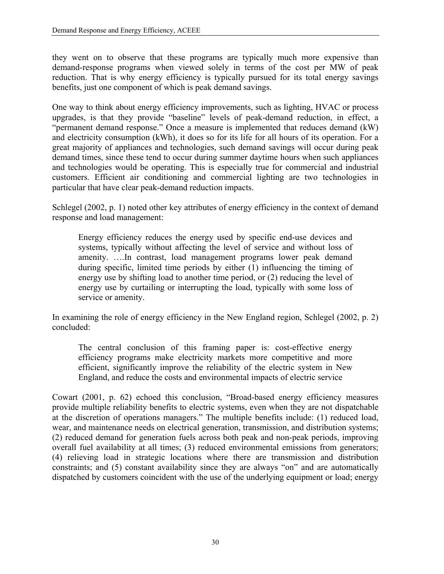they went on to observe that these programs are typically much more expensive than demand-response programs when viewed solely in terms of the cost per MW of peak reduction. That is why energy efficiency is typically pursued for its total energy savings benefits, just one component of which is peak demand savings.

One way to think about energy efficiency improvements, such as lighting, HVAC or process upgrades, is that they provide "baseline" levels of peak-demand reduction, in effect, a "permanent demand response." Once a measure is implemented that reduces demand (kW) and electricity consumption (kWh), it does so for its life for all hours of its operation. For a great majority of appliances and technologies, such demand savings will occur during peak demand times, since these tend to occur during summer daytime hours when such appliances and technologies would be operating. This is especially true for commercial and industrial customers. Efficient air conditioning and commercial lighting are two technologies in particular that have clear peak-demand reduction impacts.

Schlegel (2002, p. 1) noted other key attributes of energy efficiency in the context of demand response and load management:

Energy efficiency reduces the energy used by specific end-use devices and systems, typically without affecting the level of service and without loss of amenity. ….In contrast, load management programs lower peak demand during specific, limited time periods by either (1) influencing the timing of energy use by shifting load to another time period, or (2) reducing the level of energy use by curtailing or interrupting the load, typically with some loss of service or amenity.

In examining the role of energy efficiency in the New England region, Schlegel (2002, p. 2) concluded:

The central conclusion of this framing paper is: cost-effective energy efficiency programs make electricity markets more competitive and more efficient, significantly improve the reliability of the electric system in New England, and reduce the costs and environmental impacts of electric service

Cowart (2001, p. 62) echoed this conclusion, "Broad-based energy efficiency measures provide multiple reliability benefits to electric systems, even when they are not dispatchable at the discretion of operations managers." The multiple benefits include: (1) reduced load, wear, and maintenance needs on electrical generation, transmission, and distribution systems; (2) reduced demand for generation fuels across both peak and non-peak periods, improving overall fuel availability at all times; (3) reduced environmental emissions from generators; (4) relieving load in strategic locations where there are transmission and distribution constraints; and (5) constant availability since they are always "on" and are automatically dispatched by customers coincident with the use of the underlying equipment or load; energy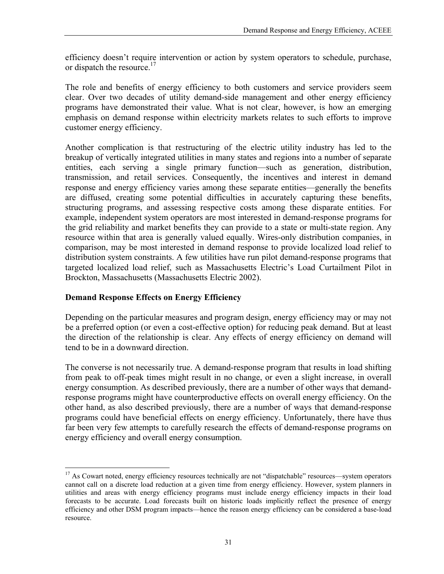efficiency doesn't require intervention or action by system operators to schedule, purchase, or dispatch the resource.<sup>17</sup>

The role and benefits of energy efficiency to both customers and service providers seem clear. Over two decades of utility demand-side management and other energy efficiency programs have demonstrated their value. What is not clear, however, is how an emerging emphasis on demand response within electricity markets relates to such efforts to improve customer energy efficiency.

Another complication is that restructuring of the electric utility industry has led to the breakup of vertically integrated utilities in many states and regions into a number of separate entities, each serving a single primary function—such as generation, distribution, transmission, and retail services. Consequently, the incentives and interest in demand response and energy efficiency varies among these separate entities—generally the benefits are diffused, creating some potential difficulties in accurately capturing these benefits, structuring programs, and assessing respective costs among these disparate entities. For example, independent system operators are most interested in demand-response programs for the grid reliability and market benefits they can provide to a state or multi-state region. Any resource within that area is generally valued equally. Wires-only distribution companies, in comparison, may be most interested in demand response to provide localized load relief to distribution system constraints. A few utilities have run pilot demand-response programs that targeted localized load relief, such as Massachusetts Electric's Load Curtailment Pilot in Brockton, Massachusetts (Massachusetts Electric 2002).

# **Demand Response Effects on Energy Efficiency**

1

Depending on the particular measures and program design, energy efficiency may or may not be a preferred option (or even a cost-effective option) for reducing peak demand. But at least the direction of the relationship is clear. Any effects of energy efficiency on demand will tend to be in a downward direction.

The converse is not necessarily true. A demand-response program that results in load shifting from peak to off-peak times might result in no change, or even a slight increase, in overall energy consumption. As described previously, there are a number of other ways that demandresponse programs might have counterproductive effects on overall energy efficiency. On the other hand, as also described previously, there are a number of ways that demand-response programs could have beneficial effects on energy efficiency. Unfortunately, there have thus far been very few attempts to carefully research the effects of demand-response programs on energy efficiency and overall energy consumption.

<span id="page-40-0"></span><sup>&</sup>lt;sup>17</sup> As Cowart noted, energy efficiency resources technically are not "dispatchable" resources—system operators cannot call on a discrete load reduction at a given time from energy efficiency. However, system planners in utilities and areas with energy efficiency programs must include energy efficiency impacts in their load forecasts to be accurate. Load forecasts built on historic loads implicitly reflect the presence of energy efficiency and other DSM program impacts—hence the reason energy efficiency can be considered a base-load resource.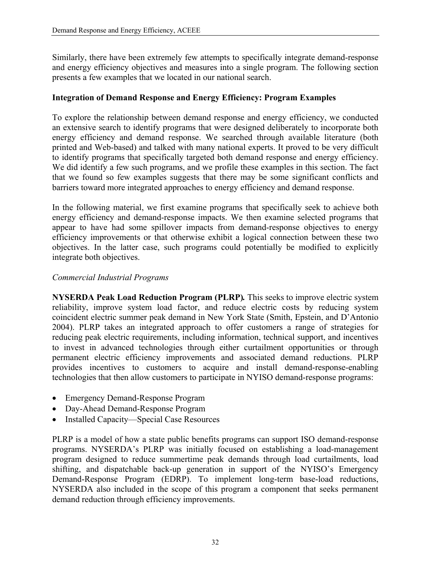Similarly, there have been extremely few attempts to specifically integrate demand-response and energy efficiency objectives and measures into a single program. The following section presents a few examples that we located in our national search.

### **Integration of Demand Response and Energy Efficiency: Program Examples**

To explore the relationship between demand response and energy efficiency, we conducted an extensive search to identify programs that were designed deliberately to incorporate both energy efficiency and demand response. We searched through available literature (both printed and Web-based) and talked with many national experts. It proved to be very difficult to identify programs that specifically targeted both demand response and energy efficiency. We did identify a few such programs, and we profile these examples in this section. The fact that we found so few examples suggests that there may be some significant conflicts and barriers toward more integrated approaches to energy efficiency and demand response.

In the following material, we first examine programs that specifically seek to achieve both energy efficiency and demand-response impacts. We then examine selected programs that appear to have had some spillover impacts from demand-response objectives to energy efficiency improvements or that otherwise exhibit a logical connection between these two objectives. In the latter case, such programs could potentially be modified to explicitly integrate both objectives.

### *Commercial Industrial Programs*

**NYSERDA Peak Load Reduction Program (PLRP)***.* This seeks to improve electric system reliability, improve system load factor, and reduce electric costs by reducing system coincident electric summer peak demand in New York State (Smith, Epstein, and D'Antonio 2004). PLRP takes an integrated approach to offer customers a range of strategies for reducing peak electric requirements, including information, technical support, and incentives to invest in advanced technologies through either curtailment opportunities or through permanent electric efficiency improvements and associated demand reductions. PLRP provides incentives to customers to acquire and install demand-response-enabling technologies that then allow customers to participate in NYISO demand-response programs:

- Emergency Demand-Response Program
- Day-Ahead Demand-Response Program
- Installed Capacity—Special Case Resources

PLRP is a model of how a state public benefits programs can support ISO demand-response programs. NYSERDA's PLRP was initially focused on establishing a load-management program designed to reduce summertime peak demands through load curtailments, load shifting, and dispatchable back-up generation in support of the NYISO's Emergency Demand-Response Program (EDRP). To implement long-term base-load reductions, NYSERDA also included in the scope of this program a component that seeks permanent demand reduction through efficiency improvements.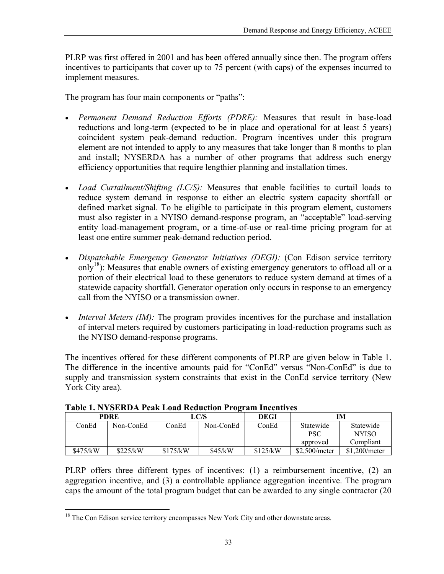PLRP was first offered in 2001 and has been offered annually since then. The program offers incentives to participants that cover up to 75 percent (with caps) of the expenses incurred to implement measures.

The program has four main components or "paths":

- *Permanent Demand Reduction Efforts (PDRE):* Measures that result in base-load reductions and long-term (expected to be in place and operational for at least 5 years) coincident system peak-demand reduction. Program incentives under this program element are not intended to apply to any measures that take longer than 8 months to plan and install; NYSERDA has a number of other programs that address such energy efficiency opportunities that require lengthier planning and installation times.
- *Load Curtailment/Shifting (LC/S):* Measures that enable facilities to curtail loads to reduce system demand in response to either an electric system capacity shortfall or defined market signal. To be eligible to participate in this program element, customers must also register in a NYISO demand-response program, an "acceptable" load-serving entity load-management program, or a time-of-use or real-time pricing program for at least one entire summer peak-demand reduction period.
- *Dispatchable Emergency Generator Initiatives (DEGI):* (Con Edison service territory only<sup>18</sup>): Measures that enable owners of existing emergency generators to offload all or a portion of their electrical load to these generators to reduce system demand at times of a statewide capacity shortfall. Generator operation only occurs in response to an emergency call from the NYISO or a transmission owner.
- *Interval Meters (IM)*: The program provides incentives for the purchase and installation of interval meters required by customers participating in load-reduction programs such as the NYISO demand-response programs.

The incentives offered for these different components of PLRP are given below in Table 1. The difference in the incentive amounts paid for "ConEd" versus "Non-ConEd" is due to supply and transmission system constraints that exist in the ConEd service territory (New York City area).

| PDRE     |           | -<br>LC/S |           | DEGI     | IМ                      |                           |
|----------|-----------|-----------|-----------|----------|-------------------------|---------------------------|
| ConEd    | Non-ConEd | ConEd     | Non-ConEd | ConEd    | Statewide<br><b>PSC</b> | Statewide<br><b>NYISO</b> |
|          |           |           |           |          | approved                | Compliant                 |
| \$475/kW | \$225/kW  | \$175/kW  | \$45/kW   | \$125/kW | \$2,500/meter           | \$1.200/meter             |

| <b>Table 1. NYSERDA Peak Load Reduction Program Incentives</b> |  |  |
|----------------------------------------------------------------|--|--|
|                                                                |  |  |

PLRP offers three different types of incentives: (1) a reimbursement incentive, (2) an aggregation incentive, and (3) a controllable appliance aggregation incentive. The program caps the amount of the total program budget that can be awarded to any single contractor (20

 $\overline{a}$ 

<span id="page-42-0"></span><sup>&</sup>lt;sup>18</sup> The Con Edison service territory encompasses New York City and other downstate areas.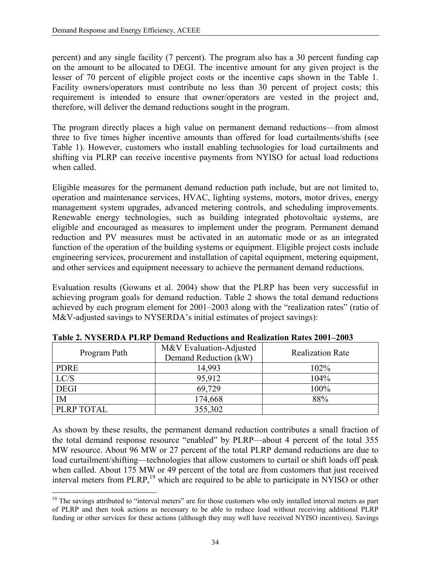percent) and any single facility (7 percent). The program also has a 30 percent funding cap on the amount to be allocated to DEGI. The incentive amount for any given project is the lesser of 70 percent of eligible project costs or the incentive caps shown in the Table 1. Facility owners/operators must contribute no less than 30 percent of project costs; this requirement is intended to ensure that owner/operators are vested in the project and, therefore, will deliver the demand reductions sought in the program.

The program directly places a high value on permanent demand reductions—from almost three to five times higher incentive amounts than offered for load curtailments/shifts (see Table 1). However, customers who install enabling technologies for load curtailments and shifting via PLRP can receive incentive payments from NYISO for actual load reductions when called.

Eligible measures for the permanent demand reduction path include, but are not limited to, operation and maintenance services, HVAC, lighting systems, motors, motor drives, energy management system upgrades, advanced metering controls, and scheduling improvements. Renewable energy technologies, such as building integrated photovoltaic systems, are eligible and encouraged as measures to implement under the program. Permanent demand reduction and PV measures must be activated in an automatic mode or as an integrated function of the operation of the building systems or equipment. Eligible project costs include engineering services, procurement and installation of capital equipment, metering equipment, and other services and equipment necessary to achieve the permanent demand reductions.

Evaluation results (Gowans et al. 2004) show that the PLRP has been very successful in achieving program goals for demand reduction. Table 2 shows the total demand reductions achieved by each program element for 2001–2003 along with the "realization rates" (ratio of M&V-adjusted savings to NYSERDA's initial estimates of project savings):

| Program Path | M&V Evaluation-Adjusted<br>Demand Reduction (kW) | <b>Realization Rate</b> |
|--------------|--------------------------------------------------|-------------------------|
| <b>PDRE</b>  | 14,993                                           | 102%                    |
| LC/S         | 95,912                                           | 104%                    |
| <b>DEGI</b>  | 69,729                                           | 100%                    |
| <b>IM</b>    | 174,668                                          | 88%                     |
| PLRP TOTAL   | 355,302                                          |                         |

**Table 2. NYSERDA PLRP Demand Reductions and Realization Rates 2001–2003** 

As shown by these results, the permanent demand reduction contributes a small fraction of the total demand response resource "enabled" by PLRP—about 4 percent of the total 355 MW resource. About 96 MW or 27 percent of the total PLRP demand reductions are due to load curtailment/shifting—technologies that allow customers to curtail or shift loads off peak when called. About 175 MW or 49 percent of the total are from customers that just received interval meters from PLRP,<sup>19</sup> which are required to be able to participate in NYISO or other

<span id="page-43-0"></span> $\overline{a}$  $19$  The savings attributed to "interval meters" are for those customers who only installed interval meters as part of PLRP and then took actions as necessary to be able to reduce load without receiving additional PLRP funding or other services for these actions (although they may well have received NYISO incentives). Savings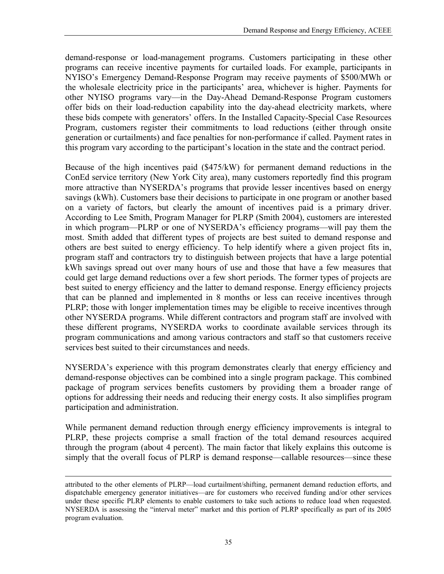demand-response or load-management programs. Customers participating in these other programs can receive incentive payments for curtailed loads. For example, participants in NYISO's Emergency Demand-Response Program may receive payments of \$500/MWh or the wholesale electricity price in the participants' area, whichever is higher. Payments for other NYISO programs vary—in the Day-Ahead Demand-Response Program customers offer bids on their load-reduction capability into the day-ahead electricity markets, where these bids compete with generators' offers. In the Installed Capacity-Special Case Resources Program, customers register their commitments to load reductions (either through onsite generation or curtailments) and face penalties for non-performance if called. Payment rates in this program vary according to the participant's location in the state and the contract period.

Because of the high incentives paid (\$475/kW) for permanent demand reductions in the ConEd service territory (New York City area), many customers reportedly find this program more attractive than NYSERDA's programs that provide lesser incentives based on energy savings (kWh). Customers base their decisions to participate in one program or another based on a variety of factors, but clearly the amount of incentives paid is a primary driver. According to Lee Smith, Program Manager for PLRP (Smith 2004), customers are interested in which program—PLRP or one of NYSERDA's efficiency programs—will pay them the most. Smith added that different types of projects are best suited to demand response and others are best suited to energy efficiency. To help identify where a given project fits in, program staff and contractors try to distinguish between projects that have a large potential kWh savings spread out over many hours of use and those that have a few measures that could get large demand reductions over a few short periods. The former types of projects are best suited to energy efficiency and the latter to demand response. Energy efficiency projects that can be planned and implemented in 8 months or less can receive incentives through PLRP; those with longer implementation times may be eligible to receive incentives through other NYSERDA programs. While different contractors and program staff are involved with these different programs, NYSERDA works to coordinate available services through its program communications and among various contractors and staff so that customers receive services best suited to their circumstances and needs.

NYSERDA's experience with this program demonstrates clearly that energy efficiency and demand-response objectives can be combined into a single program package. This combined package of program services benefits customers by providing them a broader range of options for addressing their needs and reducing their energy costs. It also simplifies program participation and administration.

While permanent demand reduction through energy efficiency improvements is integral to PLRP, these projects comprise a small fraction of the total demand resources acquired through the program (about 4 percent). The main factor that likely explains this outcome is simply that the overall focus of PLRP is demand response—callable resources—since these

1

attributed to the other elements of PLRP—load curtailment/shifting, permanent demand reduction efforts, and dispatchable emergency generator initiatives—are for customers who received funding and/or other services under these specific PLRP elements to enable customers to take such actions to reduce load when requested. NYSERDA is assessing the "interval meter" market and this portion of PLRP specifically as part of its 2005 program evaluation.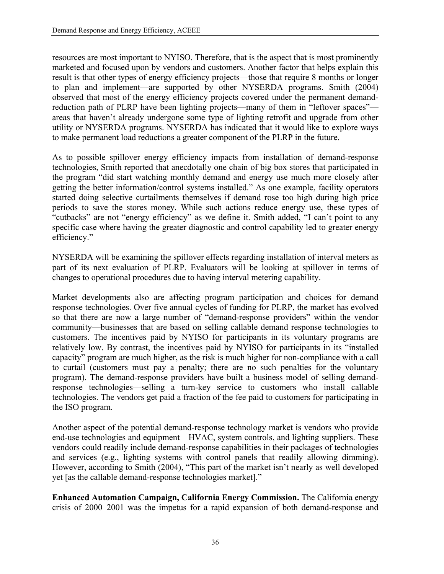resources are most important to NYISO. Therefore, that is the aspect that is most prominently marketed and focused upon by vendors and customers. Another factor that helps explain this result is that other types of energy efficiency projects—those that require 8 months or longer to plan and implement—are supported by other NYSERDA programs. Smith (2004) observed that most of the energy efficiency projects covered under the permanent demandreduction path of PLRP have been lighting projects—many of them in "leftover spaces" areas that haven't already undergone some type of lighting retrofit and upgrade from other utility or NYSERDA programs. NYSERDA has indicated that it would like to explore ways to make permanent load reductions a greater component of the PLRP in the future.

As to possible spillover energy efficiency impacts from installation of demand-response technologies, Smith reported that anecdotally one chain of big box stores that participated in the program "did start watching monthly demand and energy use much more closely after getting the better information/control systems installed." As one example, facility operators started doing selective curtailments themselves if demand rose too high during high price periods to save the stores money. While such actions reduce energy use, these types of "cutbacks" are not "energy efficiency" as we define it. Smith added, "I can't point to any specific case where having the greater diagnostic and control capability led to greater energy efficiency."

NYSERDA will be examining the spillover effects regarding installation of interval meters as part of its next evaluation of PLRP. Evaluators will be looking at spillover in terms of changes to operational procedures due to having interval metering capability.

Market developments also are affecting program participation and choices for demand response technologies. Over five annual cycles of funding for PLRP, the market has evolved so that there are now a large number of "demand-response providers" within the vendor community—businesses that are based on selling callable demand response technologies to customers. The incentives paid by NYISO for participants in its voluntary programs are relatively low. By contrast, the incentives paid by NYISO for participants in its "installed capacity" program are much higher, as the risk is much higher for non-compliance with a call to curtail (customers must pay a penalty; there are no such penalties for the voluntary program). The demand-response providers have built a business model of selling demandresponse technologies—selling a turn-key service to customers who install callable technologies. The vendors get paid a fraction of the fee paid to customers for participating in the ISO program.

Another aspect of the potential demand-response technology market is vendors who provide end-use technologies and equipment—HVAC, system controls, and lighting suppliers. These vendors could readily include demand-response capabilities in their packages of technologies and services (e.g., lighting systems with control panels that readily allowing dimming). However, according to Smith (2004), "This part of the market isn't nearly as well developed yet [as the callable demand-response technologies market]."

**Enhanced Automation Campaign, California Energy Commission.** The California energy crisis of 2000–2001 was the impetus for a rapid expansion of both demand-response and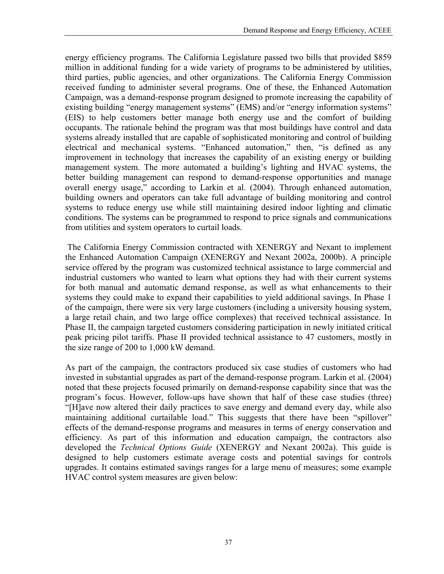energy efficiency programs. The California Legislature passed two bills that provided \$859 million in additional funding for a wide variety of programs to be administered by utilities, third parties, public agencies, and other organizations. The California Energy Commission received funding to administer several programs. One of these, the Enhanced Automation Campaign, was a demand-response program designed to promote increasing the capability of existing building "energy management systems" (EMS) and/or "energy information systems" (EIS) to help customers better manage both energy use and the comfort of building occupants. The rationale behind the program was that most buildings have control and data systems already installed that are capable of sophisticated monitoring and control of building electrical and mechanical systems. "Enhanced automation," then, "is defined as any improvement in technology that increases the capability of an existing energy or building management system. The more automated a building's lighting and HVAC systems, the better building management can respond to demand-response opportunities and manage overall energy usage," according to Larkin et al. (2004). Through enhanced automation, building owners and operators can take full advantage of building monitoring and control systems to reduce energy use while still maintaining desired indoor lighting and climatic conditions. The systems can be programmed to respond to price signals and communications from utilities and system operators to curtail loads.

The California Energy Commission contracted with XENERGY and Nexant to implement the Enhanced Automation Campaign (XENERGY and Nexant 2002a, 2000b). A principle service offered by the program was customized technical assistance to large commercial and industrial customers who wanted to learn what options they had with their current systems for both manual and automatic demand response, as well as what enhancements to their systems they could make to expand their capabilities to yield additional savings. In Phase 1 of the campaign, there were six very large customers (including a university housing system, a large retail chain, and two large office complexes) that received technical assistance. In Phase II, the campaign targeted customers considering participation in newly initiated critical peak pricing pilot tariffs. Phase II provided technical assistance to 47 customers, mostly in the size range of 200 to 1,000 kW demand.

As part of the campaign, the contractors produced six case studies of customers who had invested in substantial upgrades as part of the demand-response program. Larkin et al. (2004) noted that these projects focused primarily on demand-response capability since that was the program's focus. However, follow-ups have shown that half of these case studies (three) "[H]ave now altered their daily practices to save energy and demand every day, while also maintaining additional curtailable load." This suggests that there have been "spillover" effects of the demand-response programs and measures in terms of energy conservation and efficiency. As part of this information and education campaign, the contractors also developed the *Technical Options Guide* (XENERGY and Nexant 2002a). This guide is designed to help customers estimate average costs and potential savings for controls upgrades. It contains estimated savings ranges for a large menu of measures; some example HVAC control system measures are given below: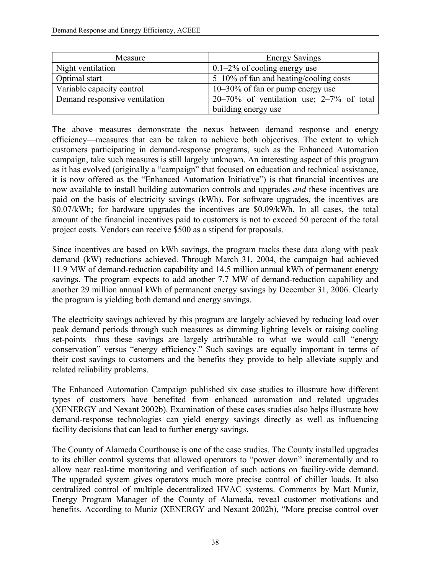| Measure                       | <b>Energy Savings</b>                          |
|-------------------------------|------------------------------------------------|
| Night ventilation             | $0.1-2\%$ of cooling energy use                |
| Optimal start                 | $5-10\%$ of fan and heating/cooling costs      |
| Variable capacity control     | $10-30\%$ of fan or pump energy use            |
| Demand responsive ventilation | $20-70\%$ of ventilation use; $2-7\%$ of total |
|                               | building energy use                            |

The above measures demonstrate the nexus between demand response and energy efficiency—measures that can be taken to achieve both objectives. The extent to which customers participating in demand-response programs, such as the Enhanced Automation campaign, take such measures is still largely unknown. An interesting aspect of this program as it has evolved (originally a "campaign" that focused on education and technical assistance, it is now offered as the "Enhanced Automation Initiative") is that financial incentives are now available to install building automation controls and upgrades *and* these incentives are paid on the basis of electricity savings (kWh). For software upgrades, the incentives are \$0.07/kWh; for hardware upgrades the incentives are \$0.09/kWh. In all cases, the total amount of the financial incentives paid to customers is not to exceed 50 percent of the total project costs. Vendors can receive \$500 as a stipend for proposals.

Since incentives are based on kWh savings, the program tracks these data along with peak demand (kW) reductions achieved. Through March 31, 2004, the campaign had achieved 11.9 MW of demand-reduction capability and 14.5 million annual kWh of permanent energy savings. The program expects to add another 7.7 MW of demand-reduction capability and another 29 million annual kWh of permanent energy savings by December 31, 2006. Clearly the program is yielding both demand and energy savings.

The electricity savings achieved by this program are largely achieved by reducing load over peak demand periods through such measures as dimming lighting levels or raising cooling set-points—thus these savings are largely attributable to what we would call "energy conservation" versus "energy efficiency." Such savings are equally important in terms of their cost savings to customers and the benefits they provide to help alleviate supply and related reliability problems.

The Enhanced Automation Campaign published six case studies to illustrate how different types of customers have benefited from enhanced automation and related upgrades (XENERGY and Nexant 2002b). Examination of these cases studies also helps illustrate how demand-response technologies can yield energy savings directly as well as influencing facility decisions that can lead to further energy savings.

The County of Alameda Courthouse is one of the case studies. The County installed upgrades to its chiller control systems that allowed operators to "power down" incrementally and to allow near real-time monitoring and verification of such actions on facility-wide demand. The upgraded system gives operators much more precise control of chiller loads. It also centralized control of multiple decentralized HVAC systems. Comments by Matt Muniz, Energy Program Manager of the County of Alameda, reveal customer motivations and benefits. According to Muniz (XENERGY and Nexant 2002b), "More precise control over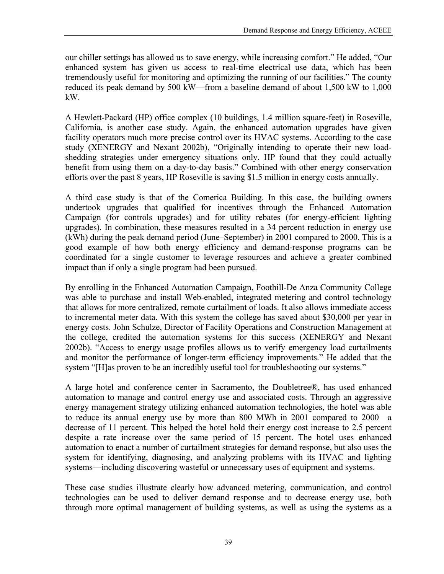our chiller settings has allowed us to save energy, while increasing comfort." He added, "Our enhanced system has given us access to real-time electrical use data, which has been tremendously useful for monitoring and optimizing the running of our facilities." The county reduced its peak demand by 500 kW—from a baseline demand of about 1,500 kW to 1,000 kW.

A Hewlett-Packard (HP) office complex (10 buildings, 1.4 million square-feet) in Roseville, California, is another case study. Again, the enhanced automation upgrades have given facility operators much more precise control over its HVAC systems. According to the case study (XENERGY and Nexant 2002b), "Originally intending to operate their new loadshedding strategies under emergency situations only, HP found that they could actually benefit from using them on a day-to-day basis." Combined with other energy conservation efforts over the past 8 years, HP Roseville is saving \$1.5 million in energy costs annually.

A third case study is that of the Comerica Building. In this case, the building owners undertook upgrades that qualified for incentives through the Enhanced Automation Campaign (for controls upgrades) and for utility rebates (for energy-efficient lighting upgrades). In combination, these measures resulted in a 34 percent reduction in energy use (kWh) during the peak demand period (June–September) in 2001 compared to 2000. This is a good example of how both energy efficiency and demand-response programs can be coordinated for a single customer to leverage resources and achieve a greater combined impact than if only a single program had been pursued.

By enrolling in the Enhanced Automation Campaign, Foothill-De Anza Community College was able to purchase and install Web-enabled, integrated metering and control technology that allows for more centralized, remote curtailment of loads. It also allows immediate access to incremental meter data. With this system the college has saved about \$30,000 per year in energy costs. John Schulze, Director of Facility Operations and Construction Management at the college, credited the automation systems for this success (XENERGY and Nexant 2002b). "Access to energy usage profiles allows us to verify emergency load curtailments and monitor the performance of longer-term efficiency improvements." He added that the system "[H]as proven to be an incredibly useful tool for troubleshooting our systems."

A large hotel and conference center in Sacramento, the Doubletree®, has used enhanced automation to manage and control energy use and associated costs. Through an aggressive energy management strategy utilizing enhanced automation technologies, the hotel was able to reduce its annual energy use by more than 800 MWh in 2001 compared to 2000—a decrease of 11 percent. This helped the hotel hold their energy cost increase to 2.5 percent despite a rate increase over the same period of 15 percent. The hotel uses enhanced automation to enact a number of curtailment strategies for demand response, but also uses the system for identifying, diagnosing, and analyzing problems with its HVAC and lighting systems—including discovering wasteful or unnecessary uses of equipment and systems.

These case studies illustrate clearly how advanced metering, communication, and control technologies can be used to deliver demand response and to decrease energy use, both through more optimal management of building systems, as well as using the systems as a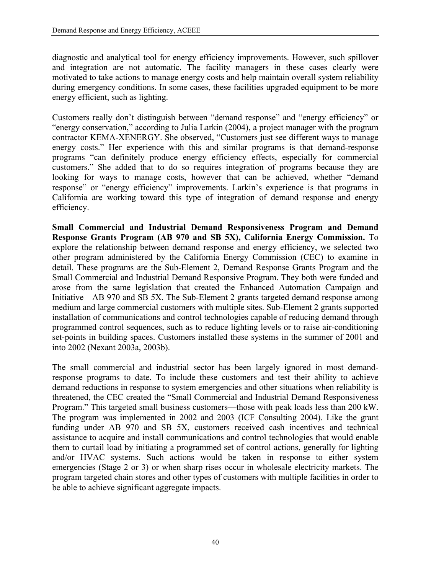diagnostic and analytical tool for energy efficiency improvements. However, such spillover and integration are not automatic. The facility managers in these cases clearly were motivated to take actions to manage energy costs and help maintain overall system reliability during emergency conditions. In some cases, these facilities upgraded equipment to be more energy efficient, such as lighting.

Customers really don't distinguish between "demand response" and "energy efficiency" or "energy conservation," according to Julia Larkin (2004), a project manager with the program contractor KEMA-XENERGY. She observed, "Customers just see different ways to manage energy costs." Her experience with this and similar programs is that demand-response programs "can definitely produce energy efficiency effects, especially for commercial customers." She added that to do so requires integration of programs because they are looking for ways to manage costs, however that can be achieved, whether "demand response" or "energy efficiency" improvements. Larkin's experience is that programs in California are working toward this type of integration of demand response and energy efficiency.

**Small Commercial and Industrial Demand Responsiveness Program and Demand Response Grants Program (AB 970 and SB 5X), California Energy Commission.** To explore the relationship between demand response and energy efficiency, we selected two other program administered by the California Energy Commission (CEC) to examine in detail. These programs are the Sub-Element 2, Demand Response Grants Program and the Small Commercial and Industrial Demand Responsive Program. They both were funded and arose from the same legislation that created the Enhanced Automation Campaign and Initiative—AB 970 and SB 5X. The Sub-Element 2 grants targeted demand response among medium and large commercial customers with multiple sites. Sub-Element 2 grants supported installation of communications and control technologies capable of reducing demand through programmed control sequences, such as to reduce lighting levels or to raise air-conditioning set-points in building spaces. Customers installed these systems in the summer of 2001 and into 2002 (Nexant 2003a, 2003b).

The small commercial and industrial sector has been largely ignored in most demandresponse programs to date. To include these customers and test their ability to achieve demand reductions in response to system emergencies and other situations when reliability is threatened, the CEC created the "Small Commercial and Industrial Demand Responsiveness Program." This targeted small business customers—those with peak loads less than 200 kW. The program was implemented in 2002 and 2003 (ICF Consulting 2004). Like the grant funding under AB 970 and SB 5X, customers received cash incentives and technical assistance to acquire and install communications and control technologies that would enable them to curtail load by initiating a programmed set of control actions, generally for lighting and/or HVAC systems. Such actions would be taken in response to either system emergencies (Stage 2 or 3) or when sharp rises occur in wholesale electricity markets. The program targeted chain stores and other types of customers with multiple facilities in order to be able to achieve significant aggregate impacts.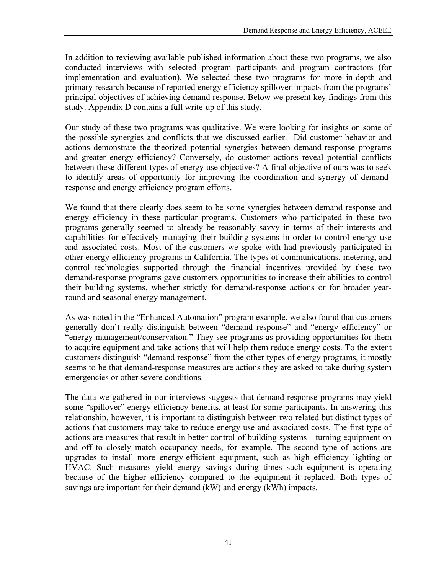In addition to reviewing available published information about these two programs, we also conducted interviews with selected program participants and program contractors (for implementation and evaluation). We selected these two programs for more in-depth and primary research because of reported energy efficiency spillover impacts from the programs' principal objectives of achieving demand response. Below we present key findings from this study. Appendix D contains a full write-up of this study.

Our study of these two programs was qualitative. We were looking for insights on some of the possible synergies and conflicts that we discussed earlier. Did customer behavior and actions demonstrate the theorized potential synergies between demand-response programs and greater energy efficiency? Conversely, do customer actions reveal potential conflicts between these different types of energy use objectives? A final objective of ours was to seek to identify areas of opportunity for improving the coordination and synergy of demandresponse and energy efficiency program efforts.

We found that there clearly does seem to be some synergies between demand response and energy efficiency in these particular programs. Customers who participated in these two programs generally seemed to already be reasonably savvy in terms of their interests and capabilities for effectively managing their building systems in order to control energy use and associated costs. Most of the customers we spoke with had previously participated in other energy efficiency programs in California. The types of communications, metering, and control technologies supported through the financial incentives provided by these two demand-response programs gave customers opportunities to increase their abilities to control their building systems, whether strictly for demand-response actions or for broader yearround and seasonal energy management.

As was noted in the "Enhanced Automation" program example, we also found that customers generally don't really distinguish between "demand response" and "energy efficiency" or "energy management/conservation." They see programs as providing opportunities for them to acquire equipment and take actions that will help them reduce energy costs. To the extent customers distinguish "demand response" from the other types of energy programs, it mostly seems to be that demand-response measures are actions they are asked to take during system emergencies or other severe conditions.

The data we gathered in our interviews suggests that demand-response programs may yield some "spillover" energy efficiency benefits, at least for some participants. In answering this relationship, however, it is important to distinguish between two related but distinct types of actions that customers may take to reduce energy use and associated costs. The first type of actions are measures that result in better control of building systems—turning equipment on and off to closely match occupancy needs, for example. The second type of actions are upgrades to install more energy-efficient equipment, such as high efficiency lighting or HVAC. Such measures yield energy savings during times such equipment is operating because of the higher efficiency compared to the equipment it replaced. Both types of savings are important for their demand (kW) and energy (kWh) impacts.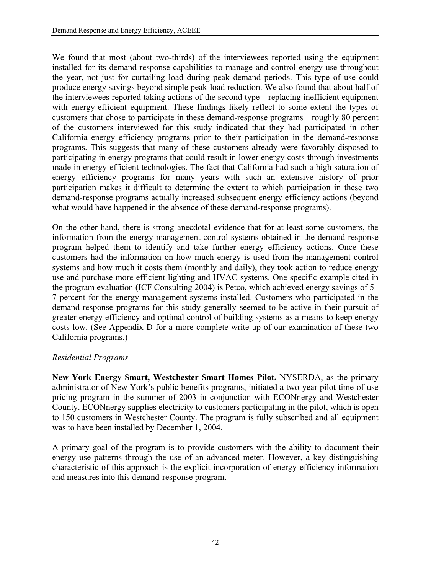We found that most (about two-thirds) of the interviewees reported using the equipment installed for its demand-response capabilities to manage and control energy use throughout the year, not just for curtailing load during peak demand periods. This type of use could produce energy savings beyond simple peak-load reduction. We also found that about half of the interviewees reported taking actions of the second type—replacing inefficient equipment with energy-efficient equipment. These findings likely reflect to some extent the types of customers that chose to participate in these demand-response programs—roughly 80 percent of the customers interviewed for this study indicated that they had participated in other California energy efficiency programs prior to their participation in the demand-response programs. This suggests that many of these customers already were favorably disposed to participating in energy programs that could result in lower energy costs through investments made in energy-efficient technologies. The fact that California had such a high saturation of energy efficiency programs for many years with such an extensive history of prior participation makes it difficult to determine the extent to which participation in these two demand-response programs actually increased subsequent energy efficiency actions (beyond what would have happened in the absence of these demand-response programs).

On the other hand, there is strong anecdotal evidence that for at least some customers, the information from the energy management control systems obtained in the demand-response program helped them to identify and take further energy efficiency actions. Once these customers had the information on how much energy is used from the management control systems and how much it costs them (monthly and daily), they took action to reduce energy use and purchase more efficient lighting and HVAC systems. One specific example cited in the program evaluation (ICF Consulting 2004) is Petco, which achieved energy savings of 5– 7 percent for the energy management systems installed. Customers who participated in the demand-response programs for this study generally seemed to be active in their pursuit of greater energy efficiency and optimal control of building systems as a means to keep energy costs low. (See Appendix D for a more complete write-up of our examination of these two California programs.)

### *Residential Programs*

**New York Energy \$mart, Westchester \$mart Homes Pilot.** NYSERDA, as the primary administrator of New York's public benefits programs, initiated a two-year pilot time-of-use pricing program in the summer of 2003 in conjunction with ECONnergy and Westchester County. ECONnergy supplies electricity to customers participating in the pilot, which is open to 150 customers in Westchester County. The program is fully subscribed and all equipment was to have been installed by December 1, 2004.

A primary goal of the program is to provide customers with the ability to document their energy use patterns through the use of an advanced meter. However, a key distinguishing characteristic of this approach is the explicit incorporation of energy efficiency information and measures into this demand-response program.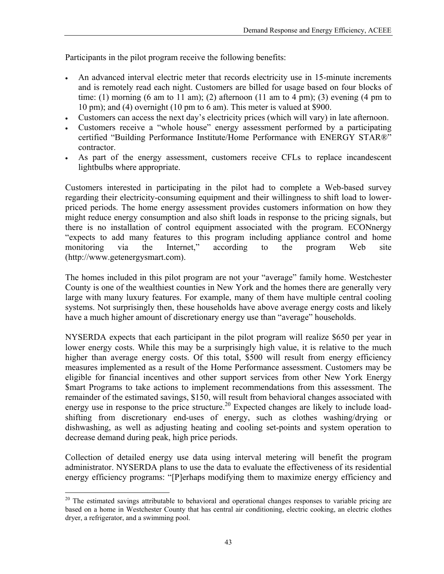Participants in the pilot program receive the following benefits:

- An advanced interval electric meter that records electricity use in 15-minute increments and is remotely read each night. Customers are billed for usage based on four blocks of time: (1) morning (6 am to 11 am); (2) afternoon (11 am to 4 pm); (3) evening (4 pm to 10 pm); and (4) overnight (10 pm to 6 am). This meter is valued at \$900.
- Customers can access the next day's electricity prices (which will vary) in late afternoon.
- Customers receive a "whole house" energy assessment performed by a participating certified "Building Performance Institute/Home Performance with ENERGY STAR®" contractor.
- As part of the energy assessment, customers receive CFLs to replace incandescent lightbulbs where appropriate.

Customers interested in participating in the pilot had to complete a Web-based survey regarding their electricity-consuming equipment and their willingness to shift load to lowerpriced periods. The home energy assessment provides customers information on how they might reduce energy consumption and also shift loads in response to the pricing signals, but there is no installation of control equipment associated with the program. ECONnergy "expects to add many features to this program including appliance control and home monitoring via the Internet," according to the program Web site (http://www.getenergysmart.com).

The homes included in this pilot program are not your "average" family home. Westchester County is one of the wealthiest counties in New York and the homes there are generally very large with many luxury features. For example, many of them have multiple central cooling systems. Not surprisingly then, these households have above average energy costs and likely have a much higher amount of discretionary energy use than "average" households.

NYSERDA expects that each participant in the pilot program will realize \$650 per year in lower energy costs. While this may be a surprisingly high value, it is relative to the much higher than average energy costs. Of this total, \$500 will result from energy efficiency measures implemented as a result of the Home Performance assessment. Customers may be eligible for financial incentives and other support services from other New York Energy \$mart Programs to take actions to implement recommendations from this assessment. The remainder of the estimated savings, \$150, will result from behavioral changes associated with energy use in response to the price structure.<sup>20</sup> Expected changes are likely to include loadshifting from discretionary end-uses of energy, such as clothes washing/drying or dishwashing, as well as adjusting heating and cooling set-points and system operation to decrease demand during peak, high price periods.

Collection of detailed energy use data using interval metering will benefit the program administrator. NYSERDA plans to use the data to evaluate the effectiveness of its residential energy efficiency programs: "[P]erhaps modifying them to maximize energy efficiency and

<span id="page-52-0"></span> $\overline{a}$ <sup>20</sup> The estimated savings attributable to behavioral and operational changes responses to variable pricing are based on a home in Westchester County that has central air conditioning, electric cooking, an electric clothes dryer, a refrigerator, and a swimming pool.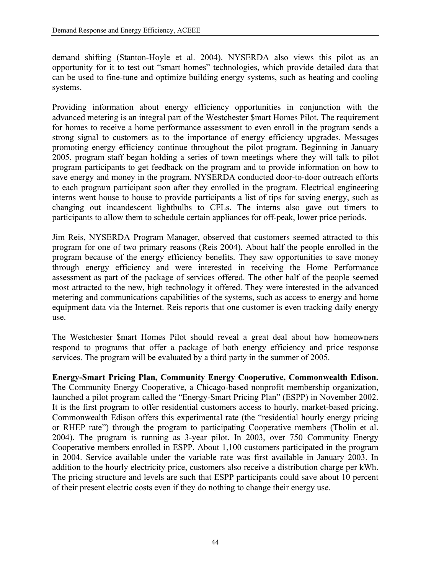demand shifting (Stanton-Hoyle et al. 2004). NYSERDA also views this pilot as an opportunity for it to test out "smart homes" technologies, which provide detailed data that can be used to fine-tune and optimize building energy systems, such as heating and cooling systems.

Providing information about energy efficiency opportunities in conjunction with the advanced metering is an integral part of the Westchester \$mart Homes Pilot. The requirement for homes to receive a home performance assessment to even enroll in the program sends a strong signal to customers as to the importance of energy efficiency upgrades. Messages promoting energy efficiency continue throughout the pilot program. Beginning in January 2005, program staff began holding a series of town meetings where they will talk to pilot program participants to get feedback on the program and to provide information on how to save energy and money in the program. NYSERDA conducted door-to-door outreach efforts to each program participant soon after they enrolled in the program. Electrical engineering interns went house to house to provide participants a list of tips for saving energy, such as changing out incandescent lightbulbs to CFLs. The interns also gave out timers to participants to allow them to schedule certain appliances for off-peak, lower price periods.

Jim Reis, NYSERDA Program Manager, observed that customers seemed attracted to this program for one of two primary reasons (Reis 2004). About half the people enrolled in the program because of the energy efficiency benefits. They saw opportunities to save money through energy efficiency and were interested in receiving the Home Performance assessment as part of the package of services offered. The other half of the people seemed most attracted to the new, high technology it offered. They were interested in the advanced metering and communications capabilities of the systems, such as access to energy and home equipment data via the Internet. Reis reports that one customer is even tracking daily energy use.

The Westchester \$mart Homes Pilot should reveal a great deal about how homeowners respond to programs that offer a package of both energy efficiency and price response services. The program will be evaluated by a third party in the summer of 2005.

**Energy-Smart Pricing Plan, Community Energy Cooperative, Commonwealth Edison.** The Community Energy Cooperative, a Chicago-based nonprofit membership organization, launched a pilot program called the "Energy-Smart Pricing Plan" (ESPP) in November 2002. It is the first program to offer residential customers access to hourly, market-based pricing. Commonwealth Edison offers this experimental rate (the "residential hourly energy pricing or RHEP rate") through the program to participating Cooperative members (Tholin et al. 2004). The program is running as 3-year pilot. In 2003, over 750 Community Energy Cooperative members enrolled in ESPP. About 1,100 customers participated in the program in 2004. Service available under the variable rate was first available in January 2003. In addition to the hourly electricity price, customers also receive a distribution charge per kWh. The pricing structure and levels are such that ESPP participants could save about 10 percent of their present electric costs even if they do nothing to change their energy use.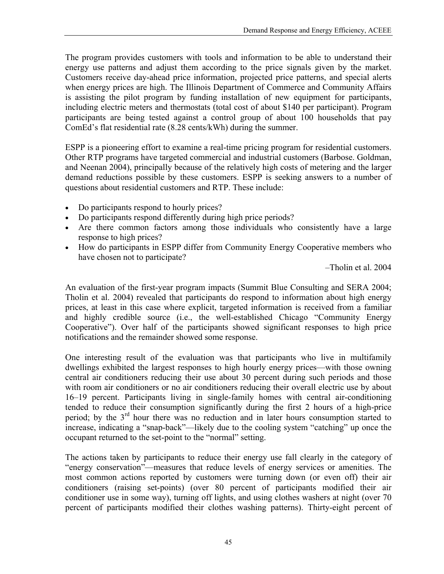The program provides customers with tools and information to be able to understand their energy use patterns and adjust them according to the price signals given by the market. Customers receive day-ahead price information, projected price patterns, and special alerts when energy prices are high. The Illinois Department of Commerce and Community Affairs is assisting the pilot program by funding installation of new equipment for participants, including electric meters and thermostats (total cost of about \$140 per participant). Program participants are being tested against a control group of about 100 households that pay ComEd's flat residential rate (8.28 cents/kWh) during the summer.

ESPP is a pioneering effort to examine a real-time pricing program for residential customers. Other RTP programs have targeted commercial and industrial customers (Barbose. Goldman, and Neenan 2004), principally because of the relatively high costs of metering and the larger demand reductions possible by these customers. ESPP is seeking answers to a number of questions about residential customers and RTP. These include:

- Do participants respond to hourly prices?
- Do participants respond differently during high price periods?
- Are there common factors among those individuals who consistently have a large response to high prices?
- How do participants in ESPP differ from Community Energy Cooperative members who have chosen not to participate?

–Tholin et al. 2004

An evaluation of the first-year program impacts (Summit Blue Consulting and SERA 2004; Tholin et al. 2004) revealed that participants do respond to information about high energy prices, at least in this case where explicit, targeted information is received from a familiar and highly credible source (i.e., the well-established Chicago "Community Energy Cooperative"). Over half of the participants showed significant responses to high price notifications and the remainder showed some response.

One interesting result of the evaluation was that participants who live in multifamily dwellings exhibited the largest responses to high hourly energy prices—with those owning central air conditioners reducing their use about 30 percent during such periods and those with room air conditioners or no air conditioners reducing their overall electric use by about 16–19 percent. Participants living in single-family homes with central air-conditioning tended to reduce their consumption significantly during the first 2 hours of a high-price period; by the  $3<sup>rd</sup>$  hour there was no reduction and in later hours consumption started to increase, indicating a "snap-back"—likely due to the cooling system "catching" up once the occupant returned to the set-point to the "normal" setting.

The actions taken by participants to reduce their energy use fall clearly in the category of "energy conservation"—measures that reduce levels of energy services or amenities. The most common actions reported by customers were turning down (or even off) their air conditioners (raising set-points) (over 80 percent of participants modified their air conditioner use in some way), turning off lights, and using clothes washers at night (over 70 percent of participants modified their clothes washing patterns). Thirty-eight percent of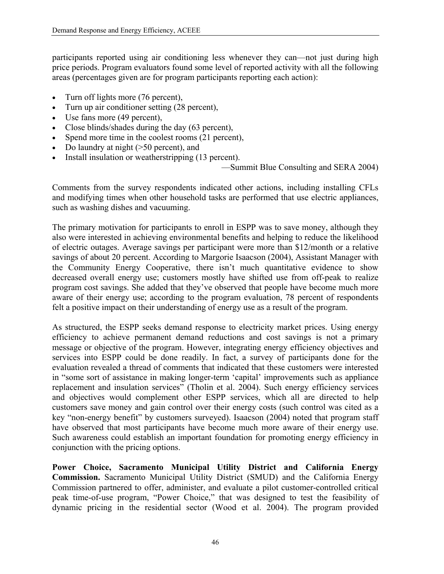participants reported using air conditioning less whenever they can—not just during high price periods. Program evaluators found some level of reported activity with all the following areas (percentages given are for program participants reporting each action):

- Turn off lights more (76 percent),
- Turn up air conditioner setting (28 percent),
- Use fans more (49 percent),
- Close blinds/shades during the day (63 percent),
- Spend more time in the coolest rooms (21 percent),
- Do laundry at night (>50 percent), and
- Install insulation or weatherstripping (13 percent).

—Summit Blue Consulting and SERA 2004)

Comments from the survey respondents indicated other actions, including installing CFLs and modifying times when other household tasks are performed that use electric appliances, such as washing dishes and vacuuming.

The primary motivation for participants to enroll in ESPP was to save money, although they also were interested in achieving environmental benefits and helping to reduce the likelihood of electric outages. Average savings per participant were more than \$12/month or a relative savings of about 20 percent. According to Margorie Isaacson (2004), Assistant Manager with the Community Energy Cooperative, there isn't much quantitative evidence to show decreased overall energy use; customers mostly have shifted use from off-peak to realize program cost savings. She added that they've observed that people have become much more aware of their energy use; according to the program evaluation, 78 percent of respondents felt a positive impact on their understanding of energy use as a result of the program.

As structured, the ESPP seeks demand response to electricity market prices. Using energy efficiency to achieve permanent demand reductions and cost savings is not a primary message or objective of the program. However, integrating energy efficiency objectives and services into ESPP could be done readily. In fact, a survey of participants done for the evaluation revealed a thread of comments that indicated that these customers were interested in "some sort of assistance in making longer-term 'capital' improvements such as appliance replacement and insulation services" (Tholin et al. 2004). Such energy efficiency services and objectives would complement other ESPP services, which all are directed to help customers save money and gain control over their energy costs (such control was cited as a key "non-energy benefit" by customers surveyed). Isaacson (2004) noted that program staff have observed that most participants have become much more aware of their energy use. Such awareness could establish an important foundation for promoting energy efficiency in conjunction with the pricing options.

**Power Choice, Sacramento Municipal Utility District and California Energy Commission.** Sacramento Municipal Utility District (SMUD) and the California Energy Commission partnered to offer, administer, and evaluate a pilot customer-controlled critical peak time-of-use program, "Power Choice," that was designed to test the feasibility of dynamic pricing in the residential sector (Wood et al. 2004). The program provided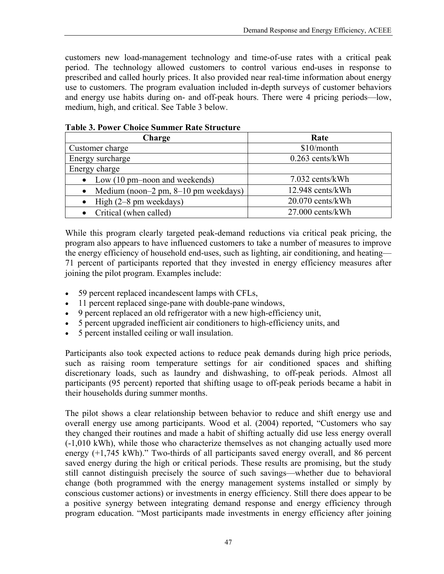customers new load-management technology and time-of-use rates with a critical peak period. The technology allowed customers to control various end-uses in response to prescribed and called hourly prices. It also provided near real-time information about energy use to customers. The program evaluation included in-depth surveys of customer behaviors and energy use habits during on- and off-peak hours. There were 4 pricing periods—low, medium, high, and critical. See Table 3 below.

| Charge                                                           | Rate               |  |
|------------------------------------------------------------------|--------------------|--|
| Customer charge                                                  | $$10/m$ onth       |  |
| Energy surcharge                                                 | $0.263$ cents/kWh  |  |
| Energy charge                                                    |                    |  |
| • Low $(10 \text{ pm}-\text{noon} \text{ and} \text{ weekends})$ | 7.032 cents/kWh    |  |
| Medium (noon-2 pm, $8-10$ pm weekdays)                           | 12.948 cents/kWh   |  |
| High $(2-8$ pm weekdays)                                         | 20.070 cents/kWh   |  |
| Critical (when called)                                           | $27.000$ cents/kWh |  |

### **Table 3. Power Choice Summer Rate Structure**

While this program clearly targeted peak-demand reductions via critical peak pricing, the program also appears to have influenced customers to take a number of measures to improve the energy efficiency of household end-uses, such as lighting, air conditioning, and heating— 71 percent of participants reported that they invested in energy efficiency measures after joining the pilot program. Examples include:

- 59 percent replaced incandescent lamps with CFLs,
- 11 percent replaced singe-pane with double-pane windows,
- 9 percent replaced an old refrigerator with a new high-efficiency unit,
- 5 percent upgraded inefficient air conditioners to high-efficiency units, and
- 5 percent installed ceiling or wall insulation.

Participants also took expected actions to reduce peak demands during high price periods, such as raising room temperature settings for air conditioned spaces and shifting discretionary loads, such as laundry and dishwashing, to off-peak periods. Almost all participants (95 percent) reported that shifting usage to off-peak periods became a habit in their households during summer months.

The pilot shows a clear relationship between behavior to reduce and shift energy use and overall energy use among participants. Wood et al. (2004) reported, "Customers who say they changed their routines and made a habit of shifting actually did use less energy overall (-1,010 kWh), while those who characterize themselves as not changing actually used more energy (+1,745 kWh)." Two-thirds of all participants saved energy overall, and 86 percent saved energy during the high or critical periods. These results are promising, but the study still cannot distinguish precisely the source of such savings—whether due to behavioral change (both programmed with the energy management systems installed or simply by conscious customer actions) or investments in energy efficiency. Still there does appear to be a positive synergy between integrating demand response and energy efficiency through program education. "Most participants made investments in energy efficiency after joining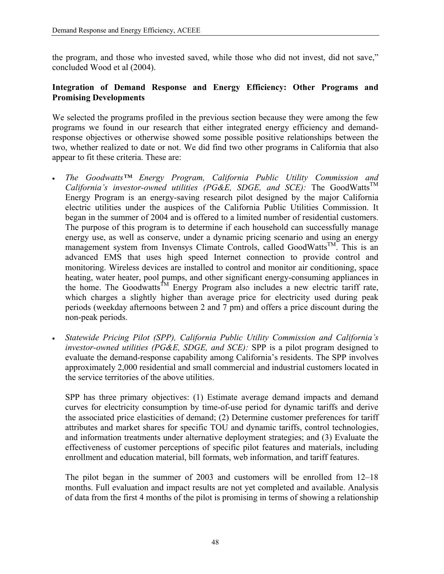the program, and those who invested saved, while those who did not invest, did not save," concluded Wood et al (2004).

### **Integration of Demand Response and Energy Efficiency: Other Programs and Promising Developments**

We selected the programs profiled in the previous section because they were among the few programs we found in our research that either integrated energy efficiency and demandresponse objectives or otherwise showed some possible positive relationships between the two, whether realized to date or not. We did find two other programs in California that also appear to fit these criteria. These are:

- *The Goodwatts™ Energy Program, California Public Utility Commission and California's investor-owned utilities (PG&E, SDGE, and SCE):* The GoodWatts<sup>TM</sup> Energy Program is an energy-saving research pilot designed by the major California electric utilities under the auspices of the California Public Utilities Commission. It began in the summer of 2004 and is offered to a limited number of residential customers. The purpose of this program is to determine if each household can successfully manage energy use, as well as conserve, under a dynamic pricing scenario and using an energy management system from Invensys Climate Controls, called GoodWatts<sup>TM</sup>. This is an advanced EMS that uses high speed Internet connection to provide control and monitoring. Wireless devices are installed to control and monitor air conditioning, space heating, water heater, pool pumps, and other significant energy-consuming appliances in the home. The Goodwatts<sup>TM</sup> Energy Program also includes a new electric tariff rate, which charges a slightly higher than average price for electricity used during peak periods (weekday afternoons between 2 and 7 pm) and offers a price discount during the non-peak periods.
- *Statewide Pricing Pilot (SPP), California Public Utility Commission and California's investor-owned utilities (PG&E, SDGE, and SCE):* SPP is a pilot program designed to evaluate the demand-response capability among California's residents. The SPP involves approximately 2,000 residential and small commercial and industrial customers located in the service territories of the above utilities.

SPP has three primary objectives: (1) Estimate average demand impacts and demand curves for electricity consumption by time-of-use period for dynamic tariffs and derive the associated price elasticities of demand; (2) Determine customer preferences for tariff attributes and market shares for specific TOU and dynamic tariffs, control technologies, and information treatments under alternative deployment strategies; and (3) Evaluate the effectiveness of customer perceptions of specific pilot features and materials, including enrollment and education material, bill formats, web information, and tariff features.

The pilot began in the summer of 2003 and customers will be enrolled from 12–18 months. Full evaluation and impact results are not yet completed and available. Analysis of data from the first 4 months of the pilot is promising in terms of showing a relationship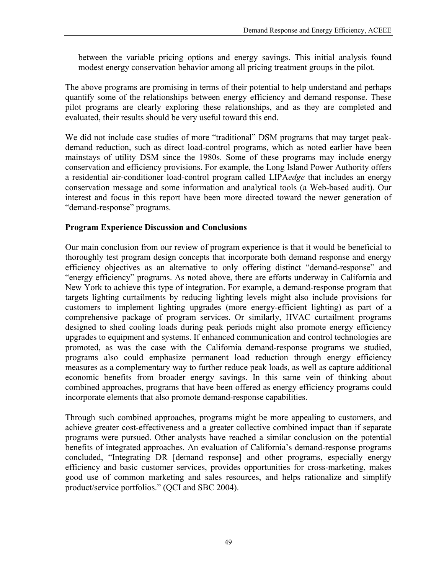between the variable pricing options and energy savings. This initial analysis found modest energy conservation behavior among all pricing treatment groups in the pilot.

The above programs are promising in terms of their potential to help understand and perhaps quantify some of the relationships between energy efficiency and demand response. These pilot programs are clearly exploring these relationships, and as they are completed and evaluated, their results should be very useful toward this end.

We did not include case studies of more "traditional" DSM programs that may target peakdemand reduction, such as direct load-control programs, which as noted earlier have been mainstays of utility DSM since the 1980s. Some of these programs may include energy conservation and efficiency provisions. For example, the Long Island Power Authority offers a residential air-conditioner load-control program called LIPA*edge* that includes an energy conservation message and some information and analytical tools (a Web-based audit). Our interest and focus in this report have been more directed toward the newer generation of "demand-response" programs.

### **Program Experience Discussion and Conclusions**

Our main conclusion from our review of program experience is that it would be beneficial to thoroughly test program design concepts that incorporate both demand response and energy efficiency objectives as an alternative to only offering distinct "demand-response" and "energy efficiency" programs. As noted above, there are efforts underway in California and New York to achieve this type of integration. For example, a demand-response program that targets lighting curtailments by reducing lighting levels might also include provisions for customers to implement lighting upgrades (more energy-efficient lighting) as part of a comprehensive package of program services. Or similarly, HVAC curtailment programs designed to shed cooling loads during peak periods might also promote energy efficiency upgrades to equipment and systems. If enhanced communication and control technologies are promoted, as was the case with the California demand-response programs we studied, programs also could emphasize permanent load reduction through energy efficiency measures as a complementary way to further reduce peak loads, as well as capture additional economic benefits from broader energy savings. In this same vein of thinking about combined approaches, programs that have been offered as energy efficiency programs could incorporate elements that also promote demand-response capabilities.

Through such combined approaches, programs might be more appealing to customers, and achieve greater cost-effectiveness and a greater collective combined impact than if separate programs were pursued. Other analysts have reached a similar conclusion on the potential benefits of integrated approaches. An evaluation of California's demand-response programs concluded, "Integrating DR [demand response] and other programs, especially energy efficiency and basic customer services, provides opportunities for cross-marketing, makes good use of common marketing and sales resources, and helps rationalize and simplify product/service portfolios." (QCI and SBC 2004).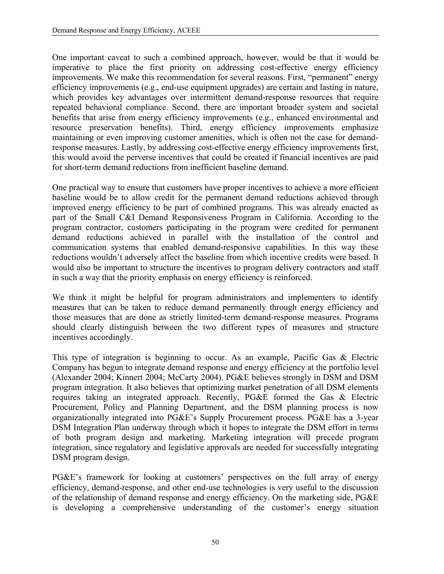One important caveat to such a combined approach, however, would be that it would be imperative to place the first priority on addressing cost-effective energy efficiency improvements. We make this recommendation for several reasons. First, "permanent" energy efficiency improvements (e.g., end-use equipment upgrades) are certain and lasting in nature, which provides key advantages over intermittent demand-response resources that require repeated behavioral compliance. Second, there are important broader system and societal benefits that arise from energy efficiency improvements (e.g., enhanced environmental and resource preservation benefits). Third, energy efficiency improvements emphasize maintaining or even improving customer amenities, which is often not the case for demandresponse measures. Lastly, by addressing cost-effective energy efficiency improvements first, this would avoid the perverse incentives that could be created if financial incentives are paid for short-term demand reductions from inefficient baseline demand.

One practical way to ensure that customers have proper incentives to achieve a more efficient baseline would be to allow credit for the permanent demand reductions achieved through improved energy efficiency to be part of combined programs. This was already enacted as part of the Small C&I Demand Responsiveness Program in California. According to the program contractor, customers participating in the program were credited for permanent demand reductions achieved in parallel with the installation of the control and communication systems that enabled demand-responsive capabilities. In this way these reductions wouldn't adversely affect the baseline from which incentive credits were based. It would also be important to structure the incentives to program delivery contractors and staff in such a way that the priority emphasis on energy efficiency is reinforced.

We think it might be helpful for program administrators and implementers to identify measures that can be taken to reduce demand permanently through energy efficiency and those measures that are done as strictly limited-term demand-response measures. Programs should clearly distinguish between the two different types of measures and structure incentives accordingly.

This type of integration is beginning to occur. As an example, Pacific Gas & Electric Company has begun to integrate demand response and energy efficiency at the portfolio level (Alexander 2004; Kinnert 2004; McCarty 2004). PG&E believes strongly in DSM and DSM program integration. It also believes that optimizing market penetration of all DSM elements requires taking an integrated approach. Recently, PG&E formed the Gas & Electric Procurement, Policy and Planning Department, and the DSM planning process is now organizationally integrated into PG&E's Supply Procurement process. PG&E has a 3-year DSM Integration Plan underway through which it hopes to integrate the DSM effort in terms of both program design and marketing. Marketing integration will precede program integration, since regulatory and legislative approvals are needed for successfully integrating DSM program design.

PG&E's framework for looking at customers' perspectives on the full array of energy efficiency, demand-response, and other end-use technologies is very useful to the discussion of the relationship of demand response and energy efficiency. On the marketing side, PG&E is developing a comprehensive understanding of the customer's energy situation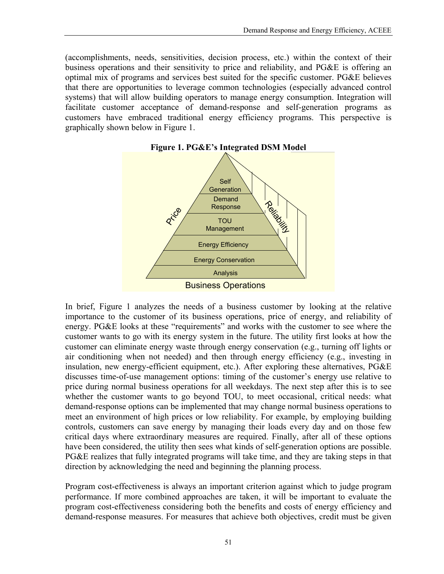(accomplishments, needs, sensitivities, decision process, etc.) within the context of their business operations and their sensitivity to price and reliability, and PG&E is offering an optimal mix of programs and services best suited for the specific customer. PG&E believes that there are opportunities to leverage common technologies (especially advanced control systems) that will allow building operators to manage energy consumption. Integration will facilitate customer acceptance of demand-response and self-generation programs as customers have embraced traditional energy efficiency programs. This perspective is graphically shown below in Figure 1.



In brief, Figure 1 analyzes the needs of a business customer by looking at the relative importance to the customer of its business operations, price of energy, and reliability of energy. PG&E looks at these "requirements" and works with the customer to see where the customer wants to go with its energy system in the future. The utility first looks at how the customer can eliminate energy waste through energy conservation (e.g., turning off lights or air conditioning when not needed) and then through energy efficiency (e.g., investing in insulation, new energy-efficient equipment, etc.). After exploring these alternatives, PG&E discusses time-of-use management options: timing of the customer's energy use relative to price during normal business operations for all weekdays. The next step after this is to see whether the customer wants to go beyond TOU, to meet occasional, critical needs: what demand-response options can be implemented that may change normal business operations to meet an environment of high prices or low reliability. For example, by employing building controls, customers can save energy by managing their loads every day and on those few critical days where extraordinary measures are required. Finally, after all of these options have been considered, the utility then sees what kinds of self-generation options are possible. PG&E realizes that fully integrated programs will take time, and they are taking steps in that direction by acknowledging the need and beginning the planning process.

Program cost-effectiveness is always an important criterion against which to judge program performance. If more combined approaches are taken, it will be important to evaluate the program cost-effectiveness considering both the benefits and costs of energy efficiency and demand-response measures. For measures that achieve both objectives, credit must be given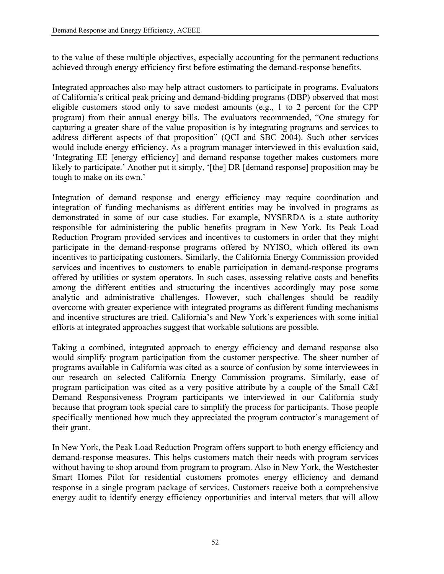to the value of these multiple objectives, especially accounting for the permanent reductions achieved through energy efficiency first before estimating the demand-response benefits.

Integrated approaches also may help attract customers to participate in programs. Evaluators of California's critical peak pricing and demand-bidding programs (DBP) observed that most eligible customers stood only to save modest amounts (e.g., 1 to 2 percent for the CPP program) from their annual energy bills. The evaluators recommended, "One strategy for capturing a greater share of the value proposition is by integrating programs and services to address different aspects of that proposition" (QCI and SBC 2004). Such other services would include energy efficiency. As a program manager interviewed in this evaluation said, 'Integrating EE [energy efficiency] and demand response together makes customers more likely to participate.' Another put it simply, '[the] DR [demand response] proposition may be tough to make on its own.'

Integration of demand response and energy efficiency may require coordination and integration of funding mechanisms as different entities may be involved in programs as demonstrated in some of our case studies. For example, NYSERDA is a state authority responsible for administering the public benefits program in New York. Its Peak Load Reduction Program provided services and incentives to customers in order that they might participate in the demand-response programs offered by NYISO, which offered its own incentives to participating customers. Similarly, the California Energy Commission provided services and incentives to customers to enable participation in demand-response programs offered by utilities or system operators. In such cases, assessing relative costs and benefits among the different entities and structuring the incentives accordingly may pose some analytic and administrative challenges. However, such challenges should be readily overcome with greater experience with integrated programs as different funding mechanisms and incentive structures are tried. California's and New York's experiences with some initial efforts at integrated approaches suggest that workable solutions are possible.

Taking a combined, integrated approach to energy efficiency and demand response also would simplify program participation from the customer perspective. The sheer number of programs available in California was cited as a source of confusion by some interviewees in our research on selected California Energy Commission programs. Similarly, ease of program participation was cited as a very positive attribute by a couple of the Small C&I Demand Responsiveness Program participants we interviewed in our California study because that program took special care to simplify the process for participants. Those people specifically mentioned how much they appreciated the program contractor's management of their grant.

In New York, the Peak Load Reduction Program offers support to both energy efficiency and demand-response measures. This helps customers match their needs with program services without having to shop around from program to program. Also in New York, the Westchester \$mart Homes Pilot for residential customers promotes energy efficiency and demand response in a single program package of services. Customers receive both a comprehensive energy audit to identify energy efficiency opportunities and interval meters that will allow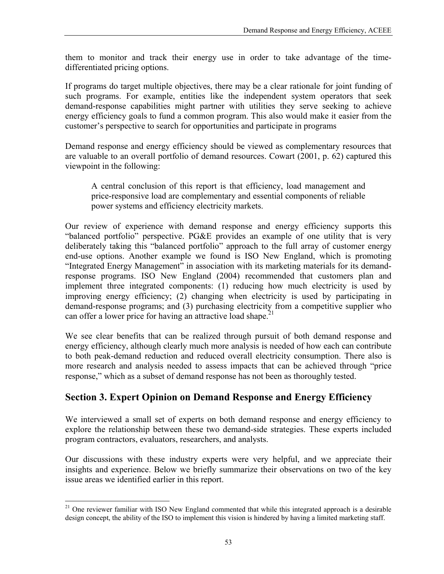them to monitor and track their energy use in order to take advantage of the timedifferentiated pricing options.

If programs do target multiple objectives, there may be a clear rationale for joint funding of such programs. For example, entities like the independent system operators that seek demand-response capabilities might partner with utilities they serve seeking to achieve energy efficiency goals to fund a common program. This also would make it easier from the customer's perspective to search for opportunities and participate in programs

Demand response and energy efficiency should be viewed as complementary resources that are valuable to an overall portfolio of demand resources. Cowart (2001, p. 62) captured this viewpoint in the following:

A central conclusion of this report is that efficiency, load management and price-responsive load are complementary and essential components of reliable power systems and efficiency electricity markets.

Our review of experience with demand response and energy efficiency supports this "balanced portfolio" perspective. PG&E provides an example of one utility that is very deliberately taking this "balanced portfolio" approach to the full array of customer energy end-use options. Another example we found is ISO New England, which is promoting "Integrated Energy Management" in association with its marketing materials for its demandresponse programs. ISO New England (2004) recommended that customers plan and implement three integrated components: (1) reducing how much electricity is used by improving energy efficiency; (2) changing when electricity is used by participating in demand-response programs; and (3) purchasing electricity from a competitive supplier who can offer a lower price for having an attractive load shape.<sup>21</sup>

We see clear benefits that can be realized through pursuit of both demand response and energy efficiency, although clearly much more analysis is needed of how each can contribute to both peak-demand reduction and reduced overall electricity consumption. There also is more research and analysis needed to assess impacts that can be achieved through "price response," which as a subset of demand response has not been as thoroughly tested.

# **Section 3. Expert Opinion on Demand Response and Energy Efficiency**

We interviewed a small set of experts on both demand response and energy efficiency to explore the relationship between these two demand-side strategies. These experts included program contractors, evaluators, researchers, and analysts.

Our discussions with these industry experts were very helpful, and we appreciate their insights and experience. Below we briefly summarize their observations on two of the key issue areas we identified earlier in this report.

 $\overline{a}$ 

<span id="page-62-0"></span> $21$  One reviewer familiar with ISO New England commented that while this integrated approach is a desirable design concept, the ability of the ISO to implement this vision is hindered by having a limited marketing staff.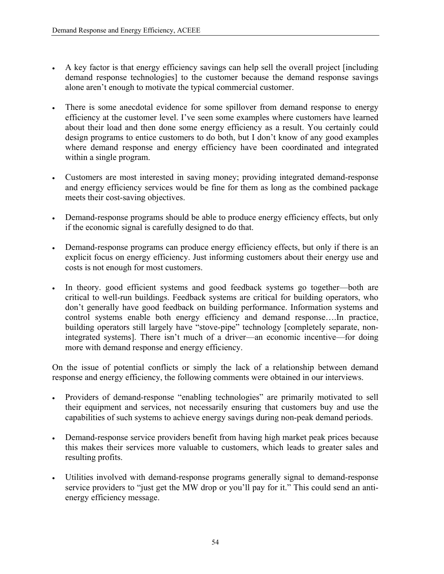- A key factor is that energy efficiency savings can help sell the overall project [including demand response technologies] to the customer because the demand response savings alone aren't enough to motivate the typical commercial customer.
- There is some anecdotal evidence for some spillover from demand response to energy efficiency at the customer level. I've seen some examples where customers have learned about their load and then done some energy efficiency as a result. You certainly could design programs to entice customers to do both, but I don't know of any good examples where demand response and energy efficiency have been coordinated and integrated within a single program.
- Customers are most interested in saving money; providing integrated demand-response and energy efficiency services would be fine for them as long as the combined package meets their cost-saving objectives.
- Demand-response programs should be able to produce energy efficiency effects, but only if the economic signal is carefully designed to do that.
- Demand-response programs can produce energy efficiency effects, but only if there is an explicit focus on energy efficiency. Just informing customers about their energy use and costs is not enough for most customers.
- In theory. good efficient systems and good feedback systems go together—both are critical to well-run buildings. Feedback systems are critical for building operators, who don't generally have good feedback on building performance. Information systems and control systems enable both energy efficiency and demand response….In practice, building operators still largely have "stove-pipe" technology [completely separate, nonintegrated systems]. There isn't much of a driver—an economic incentive—for doing more with demand response and energy efficiency.

On the issue of potential conflicts or simply the lack of a relationship between demand response and energy efficiency, the following comments were obtained in our interviews.

- Providers of demand-response "enabling technologies" are primarily motivated to sell their equipment and services, not necessarily ensuring that customers buy and use the capabilities of such systems to achieve energy savings during non-peak demand periods.
- Demand-response service providers benefit from having high market peak prices because this makes their services more valuable to customers, which leads to greater sales and resulting profits.
- Utilities involved with demand-response programs generally signal to demand-response service providers to "just get the MW drop or you'll pay for it." This could send an antienergy efficiency message.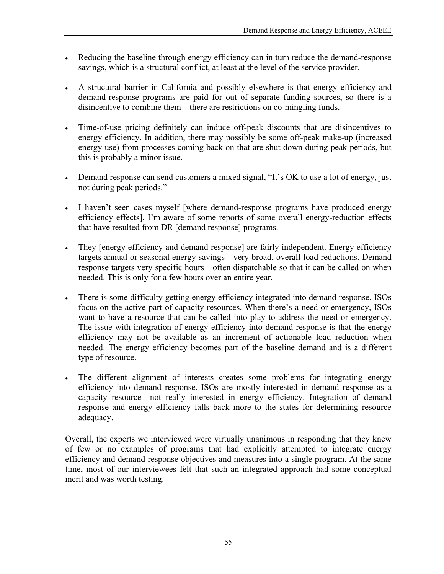- Reducing the baseline through energy efficiency can in turn reduce the demand-response savings, which is a structural conflict, at least at the level of the service provider.
- A structural barrier in California and possibly elsewhere is that energy efficiency and demand-response programs are paid for out of separate funding sources, so there is a disincentive to combine them—there are restrictions on co-mingling funds.
- Time-of-use pricing definitely can induce off-peak discounts that are disincentives to energy efficiency. In addition, there may possibly be some off-peak make-up (increased energy use) from processes coming back on that are shut down during peak periods, but this is probably a minor issue.
- Demand response can send customers a mixed signal, "It's OK to use a lot of energy, just not during peak periods."
- I haven't seen cases myself [where demand-response programs have produced energy efficiency effects]. I'm aware of some reports of some overall energy-reduction effects that have resulted from DR [demand response] programs.
- They [energy efficiency and demand response] are fairly independent. Energy efficiency targets annual or seasonal energy savings—very broad, overall load reductions. Demand response targets very specific hours—often dispatchable so that it can be called on when needed. This is only for a few hours over an entire year.
- There is some difficulty getting energy efficiency integrated into demand response. ISOs focus on the active part of capacity resources. When there's a need or emergency, ISOs want to have a resource that can be called into play to address the need or emergency. The issue with integration of energy efficiency into demand response is that the energy efficiency may not be available as an increment of actionable load reduction when needed. The energy efficiency becomes part of the baseline demand and is a different type of resource.
- The different alignment of interests creates some problems for integrating energy efficiency into demand response. ISOs are mostly interested in demand response as a capacity resource—not really interested in energy efficiency. Integration of demand response and energy efficiency falls back more to the states for determining resource adequacy.

Overall, the experts we interviewed were virtually unanimous in responding that they knew of few or no examples of programs that had explicitly attempted to integrate energy efficiency and demand response objectives and measures into a single program. At the same time, most of our interviewees felt that such an integrated approach had some conceptual merit and was worth testing.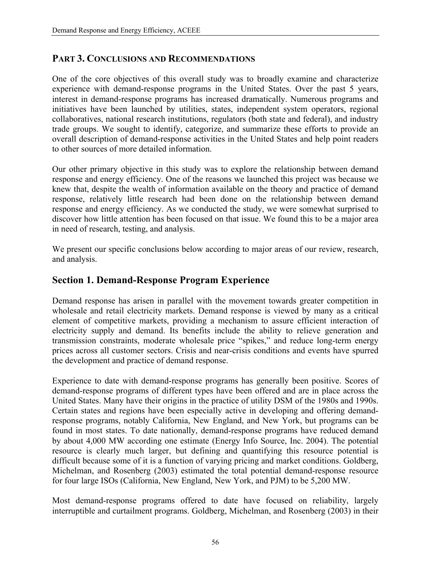# **PART 3. CONCLUSIONS AND RECOMMENDATIONS**

One of the core objectives of this overall study was to broadly examine and characterize experience with demand-response programs in the United States. Over the past 5 years, interest in demand-response programs has increased dramatically. Numerous programs and initiatives have been launched by utilities, states, independent system operators, regional collaboratives, national research institutions, regulators (both state and federal), and industry trade groups. We sought to identify, categorize, and summarize these efforts to provide an overall description of demand-response activities in the United States and help point readers to other sources of more detailed information.

Our other primary objective in this study was to explore the relationship between demand response and energy efficiency. One of the reasons we launched this project was because we knew that, despite the wealth of information available on the theory and practice of demand response, relatively little research had been done on the relationship between demand response and energy efficiency. As we conducted the study, we were somewhat surprised to discover how little attention has been focused on that issue. We found this to be a major area in need of research, testing, and analysis.

We present our specific conclusions below according to major areas of our review, research, and analysis.

# **Section 1. Demand-Response Program Experience**

Demand response has arisen in parallel with the movement towards greater competition in wholesale and retail electricity markets. Demand response is viewed by many as a critical element of competitive markets, providing a mechanism to assure efficient interaction of electricity supply and demand. Its benefits include the ability to relieve generation and transmission constraints, moderate wholesale price "spikes," and reduce long-term energy prices across all customer sectors. Crisis and near-crisis conditions and events have spurred the development and practice of demand response.

Experience to date with demand-response programs has generally been positive. Scores of demand-response programs of different types have been offered and are in place across the United States. Many have their origins in the practice of utility DSM of the 1980s and 1990s. Certain states and regions have been especially active in developing and offering demandresponse programs, notably California, New England, and New York, but programs can be found in most states. To date nationally, demand-response programs have reduced demand by about 4,000 MW according one estimate (Energy Info Source, Inc. 2004). The potential resource is clearly much larger, but defining and quantifying this resource potential is difficult because some of it is a function of varying pricing and market conditions. Goldberg, Michelman, and Rosenberg (2003) estimated the total potential demand-response resource for four large ISOs (California, New England, New York, and PJM) to be 5,200 MW.

Most demand-response programs offered to date have focused on reliability, largely interruptible and curtailment programs. Goldberg, Michelman, and Rosenberg (2003) in their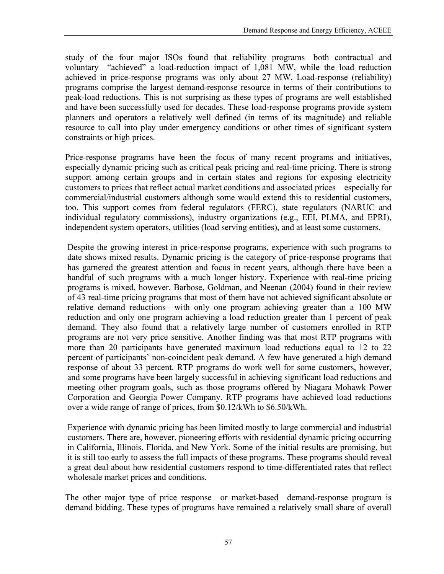study of the four major ISOs found that reliability programs—both contractual and voluntary—"achieved" a load-reduction impact of 1,081 MW, while the load reduction achieved in price-response programs was only about 27 MW. Load-response (reliability) programs comprise the largest demand-response resource in terms of their contributions to peak-load reductions. This is not surprising as these types of programs are well established and have been successfully used for decades. These load-response programs provide system planners and operators a relatively well defined (in terms of its magnitude) and reliable resource to call into play under emergency conditions or other times of significant system constraints or high prices.

Price-response programs have been the focus of many recent programs and initiatives, especially dynamic pricing such as critical peak pricing and real-time pricing. There is strong support among certain groups and in certain states and regions for exposing electricity customers to prices that reflect actual market conditions and associated prices—especially for commercial/industrial customers although some would extend this to residential customers, too. This support comes from federal regulators (FERC), state regulators (NARUC and individual regulatory commissions), industry organizations (e.g., EEI, PLMA, and EPRI), independent system operators, utilities (load serving entities), and at least some customers.

Despite the growing interest in price-response programs, experience with such programs to date shows mixed results. Dynamic pricing is the category of price-response programs that has garnered the greatest attention and focus in recent years, although there have been a handful of such programs with a much longer history. Experience with real-time pricing programs is mixed, however. Barbose, Goldman, and Neenan (2004) found in their review of 43 real-time pricing programs that most of them have not achieved significant absolute or relative demand reductions—with only one program achieving greater than a 100 MW reduction and only one program achieving a load reduction greater than 1 percent of peak demand. They also found that a relatively large number of customers enrolled in RTP programs are not very price sensitive. Another finding was that most RTP programs with more than 20 participants have generated maximum load reductions equal to 12 to 22 percent of participants' non-coincident peak demand. A few have generated a high demand response of about 33 percent. RTP programs do work well for some customers, however, and some programs have been largely successful in achieving significant load reductions and meeting other program goals, such as those programs offered by Niagara Mohawk Power Corporation and Georgia Power Company. RTP programs have achieved load reductions over a wide range of range of prices, from \$0.12/kWh to \$6.50/kWh.

Experience with dynamic pricing has been limited mostly to large commercial and industrial customers. There are, however, pioneering efforts with residential dynamic pricing occurring in California, Illinois, Florida, and New York. Some of the initial results are promising, but it is still too early to assess the full impacts of these programs. These programs should reveal a great deal about how residential customers respond to time-differentiated rates that reflect wholesale market prices and conditions.

The other major type of price response—or market-based—demand-response program is demand bidding. These types of programs have remained a relatively small share of overall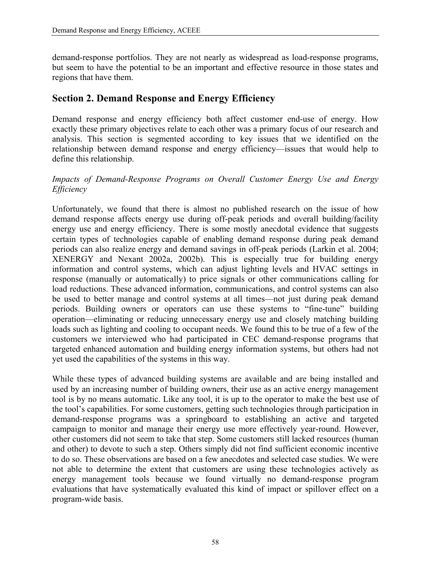demand-response portfolios. They are not nearly as widespread as load-response programs, but seem to have the potential to be an important and effective resource in those states and regions that have them.

# **Section 2. Demand Response and Energy Efficiency**

Demand response and energy efficiency both affect customer end-use of energy. How exactly these primary objectives relate to each other was a primary focus of our research and analysis. This section is segmented according to key issues that we identified on the relationship between demand response and energy efficiency—issues that would help to define this relationship.

### *Impacts of Demand-Response Programs on Overall Customer Energy Use and Energy Efficiency*

Unfortunately, we found that there is almost no published research on the issue of how demand response affects energy use during off-peak periods and overall building/facility energy use and energy efficiency. There is some mostly anecdotal evidence that suggests certain types of technologies capable of enabling demand response during peak demand periods can also realize energy and demand savings in off-peak periods (Larkin et al. 2004; XENERGY and Nexant 2002a, 2002b). This is especially true for building energy information and control systems, which can adjust lighting levels and HVAC settings in response (manually or automatically) to price signals or other communications calling for load reductions. These advanced information, communications, and control systems can also be used to better manage and control systems at all times—not just during peak demand periods. Building owners or operators can use these systems to "fine-tune" building operation—eliminating or reducing unnecessary energy use and closely matching building loads such as lighting and cooling to occupant needs. We found this to be true of a few of the customers we interviewed who had participated in CEC demand-response programs that targeted enhanced automation and building energy information systems, but others had not yet used the capabilities of the systems in this way.

While these types of advanced building systems are available and are being installed and used by an increasing number of building owners, their use as an active energy management tool is by no means automatic. Like any tool, it is up to the operator to make the best use of the tool's capabilities. For some customers, getting such technologies through participation in demand-response programs was a springboard to establishing an active and targeted campaign to monitor and manage their energy use more effectively year-round. However, other customers did not seem to take that step. Some customers still lacked resources (human and other) to devote to such a step. Others simply did not find sufficient economic incentive to do so. These observations are based on a few anecdotes and selected case studies. We were not able to determine the extent that customers are using these technologies actively as energy management tools because we found virtually no demand-response program evaluations that have systematically evaluated this kind of impact or spillover effect on a program-wide basis.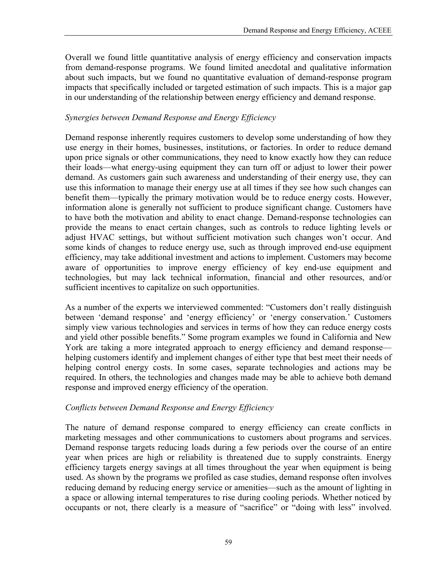Overall we found little quantitative analysis of energy efficiency and conservation impacts from demand-response programs. We found limited anecdotal and qualitative information about such impacts, but we found no quantitative evaluation of demand-response program impacts that specifically included or targeted estimation of such impacts. This is a major gap in our understanding of the relationship between energy efficiency and demand response.

### *Synergies between Demand Response and Energy Efficiency*

Demand response inherently requires customers to develop some understanding of how they use energy in their homes, businesses, institutions, or factories. In order to reduce demand upon price signals or other communications, they need to know exactly how they can reduce their loads—what energy-using equipment they can turn off or adjust to lower their power demand. As customers gain such awareness and understanding of their energy use, they can use this information to manage their energy use at all times if they see how such changes can benefit them—typically the primary motivation would be to reduce energy costs. However, information alone is generally not sufficient to produce significant change. Customers have to have both the motivation and ability to enact change. Demand-response technologies can provide the means to enact certain changes, such as controls to reduce lighting levels or adjust HVAC settings, but without sufficient motivation such changes won't occur. And some kinds of changes to reduce energy use, such as through improved end-use equipment efficiency, may take additional investment and actions to implement. Customers may become aware of opportunities to improve energy efficiency of key end-use equipment and technologies, but may lack technical information, financial and other resources, and/or sufficient incentives to capitalize on such opportunities.

As a number of the experts we interviewed commented: "Customers don't really distinguish between 'demand response' and 'energy efficiency' or 'energy conservation.' Customers simply view various technologies and services in terms of how they can reduce energy costs and yield other possible benefits." Some program examples we found in California and New York are taking a more integrated approach to energy efficiency and demand response helping customers identify and implement changes of either type that best meet their needs of helping control energy costs. In some cases, separate technologies and actions may be required. In others, the technologies and changes made may be able to achieve both demand response and improved energy efficiency of the operation.

# *Conflicts between Demand Response and Energy Efficiency*

The nature of demand response compared to energy efficiency can create conflicts in marketing messages and other communications to customers about programs and services. Demand response targets reducing loads during a few periods over the course of an entire year when prices are high or reliability is threatened due to supply constraints. Energy efficiency targets energy savings at all times throughout the year when equipment is being used. As shown by the programs we profiled as case studies, demand response often involves reducing demand by reducing energy service or amenities—such as the amount of lighting in a space or allowing internal temperatures to rise during cooling periods. Whether noticed by occupants or not, there clearly is a measure of "sacrifice" or "doing with less" involved.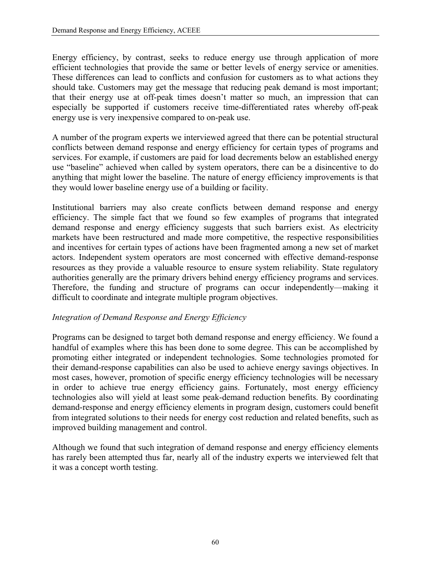Energy efficiency, by contrast, seeks to reduce energy use through application of more efficient technologies that provide the same or better levels of energy service or amenities. These differences can lead to conflicts and confusion for customers as to what actions they should take. Customers may get the message that reducing peak demand is most important; that their energy use at off-peak times doesn't matter so much, an impression that can especially be supported if customers receive time-differentiated rates whereby off-peak energy use is very inexpensive compared to on-peak use.

A number of the program experts we interviewed agreed that there can be potential structural conflicts between demand response and energy efficiency for certain types of programs and services. For example, if customers are paid for load decrements below an established energy use "baseline" achieved when called by system operators, there can be a disincentive to do anything that might lower the baseline. The nature of energy efficiency improvements is that they would lower baseline energy use of a building or facility.

Institutional barriers may also create conflicts between demand response and energy efficiency. The simple fact that we found so few examples of programs that integrated demand response and energy efficiency suggests that such barriers exist. As electricity markets have been restructured and made more competitive, the respective responsibilities and incentives for certain types of actions have been fragmented among a new set of market actors. Independent system operators are most concerned with effective demand-response resources as they provide a valuable resource to ensure system reliability. State regulatory authorities generally are the primary drivers behind energy efficiency programs and services. Therefore, the funding and structure of programs can occur independently—making it difficult to coordinate and integrate multiple program objectives.

### *Integration of Demand Response and Energy Efficiency*

Programs can be designed to target both demand response and energy efficiency. We found a handful of examples where this has been done to some degree. This can be accomplished by promoting either integrated or independent technologies. Some technologies promoted for their demand-response capabilities can also be used to achieve energy savings objectives. In most cases, however, promotion of specific energy efficiency technologies will be necessary in order to achieve true energy efficiency gains. Fortunately, most energy efficiency technologies also will yield at least some peak-demand reduction benefits. By coordinating demand-response and energy efficiency elements in program design, customers could benefit from integrated solutions to their needs for energy cost reduction and related benefits, such as improved building management and control.

Although we found that such integration of demand response and energy efficiency elements has rarely been attempted thus far, nearly all of the industry experts we interviewed felt that it was a concept worth testing.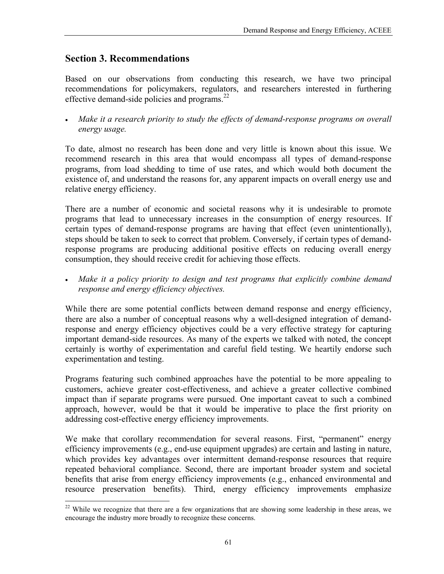# **Section 3. Recommendations**

 $\overline{a}$ 

Based on our observations from conducting this research, we have two principal recommendations for policymakers, regulators, and researchers interested in furthering effective demand-side policies and programs.<sup>[22](#page-70-0)</sup>

• *Make it a research priority to study the effects of demand-response programs on overall energy usage.* 

To date, almost no research has been done and very little is known about this issue. We recommend research in this area that would encompass all types of demand-response programs, from load shedding to time of use rates, and which would both document the existence of, and understand the reasons for, any apparent impacts on overall energy use and relative energy efficiency.

There are a number of economic and societal reasons why it is undesirable to promote programs that lead to unnecessary increases in the consumption of energy resources. If certain types of demand-response programs are having that effect (even unintentionally), steps should be taken to seek to correct that problem. Conversely, if certain types of demandresponse programs are producing additional positive effects on reducing overall energy consumption, they should receive credit for achieving those effects.

• *Make it a policy priority to design and test programs that explicitly combine demand response and energy efficiency objectives.* 

While there are some potential conflicts between demand response and energy efficiency, there are also a number of conceptual reasons why a well-designed integration of demandresponse and energy efficiency objectives could be a very effective strategy for capturing important demand-side resources. As many of the experts we talked with noted, the concept certainly is worthy of experimentation and careful field testing. We heartily endorse such experimentation and testing.

Programs featuring such combined approaches have the potential to be more appealing to customers, achieve greater cost-effectiveness, and achieve a greater collective combined impact than if separate programs were pursued. One important caveat to such a combined approach, however, would be that it would be imperative to place the first priority on addressing cost-effective energy efficiency improvements.

We make that corollary recommendation for several reasons. First, "permanent" energy efficiency improvements (e.g., end-use equipment upgrades) are certain and lasting in nature, which provides key advantages over intermittent demand-response resources that require repeated behavioral compliance. Second, there are important broader system and societal benefits that arise from energy efficiency improvements (e.g., enhanced environmental and resource preservation benefits). Third, energy efficiency improvements emphasize

<span id="page-70-0"></span> $22$  While we recognize that there are a few organizations that are showing some leadership in these areas, we encourage the industry more broadly to recognize these concerns.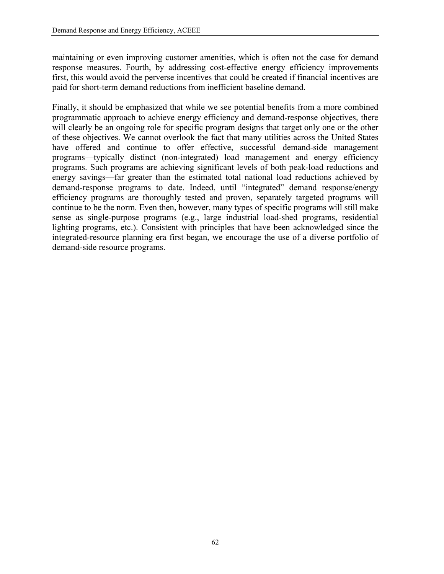maintaining or even improving customer amenities, which is often not the case for demand response measures. Fourth, by addressing cost-effective energy efficiency improvements first, this would avoid the perverse incentives that could be created if financial incentives are paid for short-term demand reductions from inefficient baseline demand.

Finally, it should be emphasized that while we see potential benefits from a more combined programmatic approach to achieve energy efficiency and demand-response objectives, there will clearly be an ongoing role for specific program designs that target only one or the other of these objectives. We cannot overlook the fact that many utilities across the United States have offered and continue to offer effective, successful demand-side management programs—typically distinct (non-integrated) load management and energy efficiency programs. Such programs are achieving significant levels of both peak-load reductions and energy savings—far greater than the estimated total national load reductions achieved by demand-response programs to date. Indeed, until "integrated" demand response/energy efficiency programs are thoroughly tested and proven, separately targeted programs will continue to be the norm. Even then, however, many types of specific programs will still make sense as single-purpose programs (e.g., large industrial load-shed programs, residential lighting programs, etc.). Consistent with principles that have been acknowledged since the integrated-resource planning era first began, we encourage the use of a diverse portfolio of demand-side resource programs.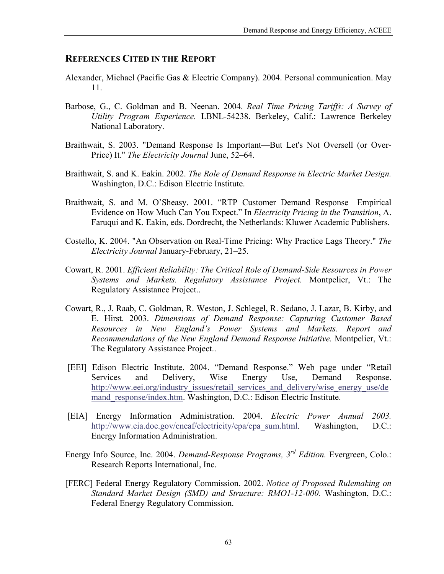#### **REFERENCES CITED IN THE REPORT**

- Alexander, Michael (Pacific Gas & Electric Company). 2004. Personal communication. May 11.
- Barbose, G., C. Goldman and B. Neenan. 2004. *Real Time Pricing Tariffs: A Survey of Utility Program Experience.* LBNL-54238. Berkeley, Calif.: Lawrence Berkeley National Laboratory.
- Braithwait, S. 2003. "Demand Response Is Important—But Let's Not Oversell (or Over-Price) It." *The Electricity Journal June*, 52–64.
- Braithwait, S. and K. Eakin. 2002. *The Role of Demand Response in Electric Market Design.* Washington, D.C.: Edison Electric Institute.
- Braithwait, S. and M. O'Sheasy. 2001. "RTP Customer Demand Response—Empirical Evidence on How Much Can You Expect." In *Electricity Pricing in the Transition*, A. Faruqui and K. Eakin, eds. Dordrecht, the Netherlands: Kluwer Academic Publishers.
- Costello, K. 2004. "An Observation on Real-Time Pricing: Why Practice Lags Theory." *The Electricity Journal* January-February, 21–25.
- Cowart, R. 2001. *Efficient Reliability: The Critical Role of Demand-Side Resources in Power Systems and Markets. Regulatory Assistance Project.* Montpelier, Vt.: The Regulatory Assistance Project..
- Cowart, R., J. Raab, C. Goldman, R. Weston, J. Schlegel, R. Sedano, J. Lazar, B. Kirby, and E. Hirst. 2003. *Dimensions of Demand Response: Capturing Customer Based Resources in New England's Power Systems and Markets. Report and Recommendations of the New England Demand Response Initiative.* Montpelier, Vt.: The Regulatory Assistance Project..
- [EEI] Edison Electric Institute. 2004. "Demand Response." Web page under "Retail Services and Delivery, Wise Energy Use, Demand Response. [http://www.eei.org/industry\\_issues/retail\\_services\\_and\\_delivery/wise\\_energy\\_use/de](http://www.eei.org/industry_issues/retail_services_and_delivery/wise_energy_use/demand_response/index.htm) mand response/index.htm. Washington, D.C.: Edison Electric Institute.
- [EIA] Energy Information Administration. 2004. *Electric Power Annual 2003.*  [http://www.eia.doe.gov/cneaf/electricity/epa/epa\\_sum.html](http://www.eia.doe.gov/cneaf/electricity/epa/epa_sum.html). Washington, D.C.: Energy Information Administration.
- Energy Info Source, Inc. 2004. *Demand-Response Programs, 3rd Edition.* Evergreen, Colo.: Research Reports International, Inc.
- [FERC] Federal Energy Regulatory Commission. 2002. *Notice of Proposed Rulemaking on Standard Market Design (SMD) and Structure: RMO1-12-000.* Washington, D.C.: Federal Energy Regulatory Commission.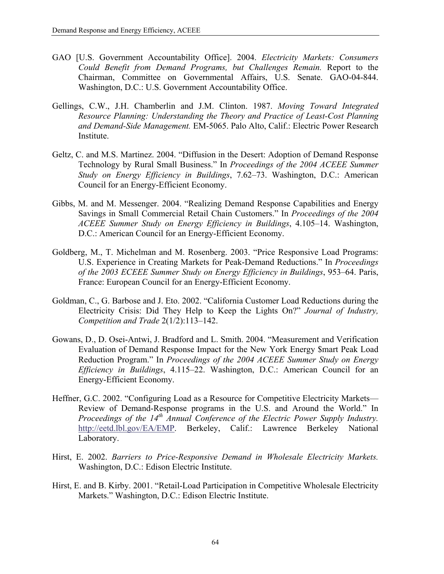- GAO [U.S. Government Accountability Office]. 2004. *Electricity Markets: Consumers Could Benefit from Demand Programs, but Challenges Remain.* Report to the Chairman, Committee on Governmental Affairs, U.S. Senate. GAO-04-844. Washington, D.C.: U.S. Government Accountability Office.
- Gellings, C.W., J.H. Chamberlin and J.M. Clinton. 1987. *Moving Toward Integrated Resource Planning: Understanding the Theory and Practice of Least-Cost Planning and Demand-Side Management.* EM-5065. Palo Alto, Calif.: Electric Power Research Institute.
- Geltz, C. and M.S. Martinez. 2004. "Diffusion in the Desert: Adoption of Demand Response Technology by Rural Small Business." In *Proceedings of the 2004 ACEEE Summer Study on Energy Efficiency in Buildings*, 7.62–73. Washington, D.C.: American Council for an Energy-Efficient Economy.
- Gibbs, M. and M. Messenger. 2004. "Realizing Demand Response Capabilities and Energy Savings in Small Commercial Retail Chain Customers." In *Proceedings of the 2004 ACEEE Summer Study on Energy Efficiency in Buildings*, 4.105–14. Washington, D.C.: American Council for an Energy-Efficient Economy.
- Goldberg, M., T. Michelman and M. Rosenberg. 2003. "Price Responsive Load Programs: U.S. Experience in Creating Markets for Peak-Demand Reductions." In *Proceedings of the 2003 ECEEE Summer Study on Energy Efficiency in Buildings*, 953–64. Paris, France: European Council for an Energy-Efficient Economy.
- Goldman, C., G. Barbose and J. Eto. 2002. "California Customer Load Reductions during the Electricity Crisis: Did They Help to Keep the Lights On?" *Journal of Industry, Competition and Trade* 2(1/2):113–142.
- Gowans, D., D. Osei-Antwi, J. Bradford and L. Smith. 2004. "Measurement and Verification Evaluation of Demand Response Impact for the New York Energy \$mart Peak Load Reduction Program." In *Proceedings of the 2004 ACEEE Summer Study on Energy Efficiency in Buildings*, 4.115–22. Washington, D.C.: American Council for an Energy-Efficient Economy.
- Heffner, G.C. 2002. "Configuring Load as a Resource for Competitive Electricity Markets— Review of Demand-Response programs in the U.S. and Around the World." In *Proceedings of the 14<sup>th</sup> Annual Conference of the Electric Power Supply Industry.* [http://eetd.lbl.gov/EA/EMP.](http://eetd.lbl.gov/EA/EMP) Berkeley, Calif.: Lawrence Berkeley National Laboratory.
- Hirst, E. 2002. *Barriers to Price-Responsive Demand in Wholesale Electricity Markets.* Washington, D.C.: Edison Electric Institute.
- Hirst, E. and B. Kirby. 2001. "Retail-Load Participation in Competitive Wholesale Electricity Markets." Washington, D.C.: Edison Electric Institute.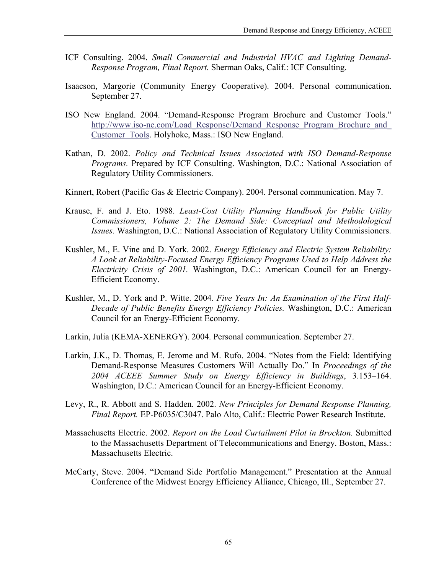- ICF Consulting. 2004. *Small Commercial and Industrial HVAC and Lighting Demand-Response Program, Final Report.* Sherman Oaks, Calif.: ICF Consulting.
- Isaacson, Margorie (Community Energy Cooperative). 2004. Personal communication. September 27.
- ISO New England. 2004. "Demand-Response Program Brochure and Customer Tools." http://www.iso-ne.com/Load\_Response/Demand\_Response\_Program\_Brochure\_and [Customer\\_Tools](http://www.iso-ne.com/Load_Response/Demand_Response_Program_Brochure_and_Customer_Tools/). Holyhoke, Mass.: ISO New England.
- Kathan, D. 2002. *Policy and Technical Issues Associated with ISO Demand-Response Programs.* Prepared by ICF Consulting. Washington, D.C.: National Association of Regulatory Utility Commissioners.
- Kinnert, Robert (Pacific Gas & Electric Company). 2004. Personal communication. May 7.
- Krause, F. and J. Eto. 1988. *Least-Cost Utility Planning Handbook for Public Utility Commissioners, Volume 2: The Demand Side: Conceptual and Methodological Issues.* Washington, D.C.: National Association of Regulatory Utility Commissioners.
- Kushler, M., E. Vine and D. York. 2002. *Energy Efficiency and Electric System Reliability: A Look at Reliability-Focused Energy Efficiency Programs Used to Help Address the Electricity Crisis of 2001.* Washington, D.C.: American Council for an Energy-Efficient Economy.
- Kushler, M., D. York and P. Witte. 2004. *Five Years In: An Examination of the First Half-Decade of Public Benefits Energy Efficiency Policies.* Washington, D.C.: American Council for an Energy-Efficient Economy.
- Larkin, Julia (KEMA-XENERGY). 2004. Personal communication. September 27.
- Larkin, J.K., D. Thomas, E. Jerome and M. Rufo. 2004. "Notes from the Field: Identifying Demand-Response Measures Customers Will Actually Do." In *Proceedings of the 2004 ACEEE Summer Study on Energy Efficiency in Buildings*, 3.153–164. Washington, D.C.: American Council for an Energy-Efficient Economy.
- Levy, R., R. Abbott and S. Hadden. 2002. *New Principles for Demand Response Planning, Final Report.* EP-P6035/C3047. Palo Alto, Calif.: Electric Power Research Institute.
- Massachusetts Electric. 2002. *Report on the Load Curtailment Pilot in Brockton.* Submitted to the Massachusetts Department of Telecommunications and Energy. Boston, Mass.: Massachusetts Electric.
- McCarty, Steve. 2004. "Demand Side Portfolio Management." Presentation at the Annual Conference of the Midwest Energy Efficiency Alliance, Chicago, Ill., September 27.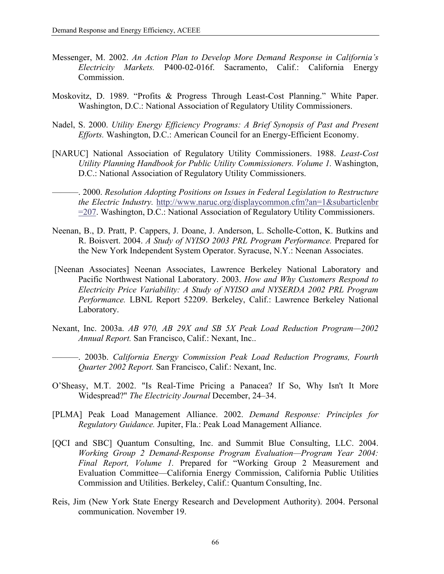- Messenger, M. 2002. *An Action Plan to Develop More Demand Response in California's Electricity Markets.* P400-02-016f. Sacramento, Calif.: California Energy Commission.
- Moskovitz, D. 1989. "Profits & Progress Through Least-Cost Planning." White Paper. Washington, D.C.: National Association of Regulatory Utility Commissioners.
- Nadel, S. 2000. *Utility Energy Efficiency Programs: A Brief Synopsis of Past and Present Efforts.* Washington, D.C.: American Council for an Energy-Efficient Economy.
- [NARUC] National Association of Regulatory Utility Commissioners. 1988. *Least-Cost Utility Planning Handbook for Public Utility Commissioners. Volume 1.* Washington, D.C.: National Association of Regulatory Utility Commissioners.
- ———. 2000. *Resolution Adopting Positions on Issues in Federal Legislation to Restructure the Electric Industry.* [http://www.naruc.org/displaycommon.cfm?an=1&subarticlenbr](http://www.naruc.org/displaycommon.cfm?an=1&subarticlenbr=207) [=207.](http://www.naruc.org/displaycommon.cfm?an=1&subarticlenbr=207) Washington, D.C.: National Association of Regulatory Utility Commissioners.
- Neenan, B., D. Pratt, P. Cappers, J. Doane, J. Anderson, L. Scholle-Cotton, K. Butkins and R. Boisvert. 2004. *A Study of NYISO 2003 PRL Program Performance.* Prepared for the New York Independent System Operator. Syracuse, N.Y.: Neenan Associates.
- [Neenan Associates] Neenan Associates, Lawrence Berkeley National Laboratory and Pacific Northwest National Laboratory. 2003. *How and Why Customers Respond to Electricity Price Variability: A Study of NYISO and NYSERDA 2002 PRL Program Performance.* LBNL Report 52209. Berkeley, Calif.: Lawrence Berkeley National Laboratory.
- Nexant, Inc. 2003a. *AB 970, AB 29X and SB 5X Peak Load Reduction Program—2002 Annual Report.* San Francisco, Calif.: Nexant, Inc..

———. 2003b. *California Energy Commission Peak Load Reduction Programs, Fourth Quarter 2002 Report.* San Francisco, Calif.: Nexant, Inc.

- O'Sheasy, M.T. 2002. "Is Real-Time Pricing a Panacea? If So, Why Isn't It More Widespread?" *The Electricity Journal* December, 24–34.
- [PLMA] Peak Load Management Alliance. 2002. *Demand Response: Principles for Regulatory Guidance.* Jupiter, Fla.: Peak Load Management Alliance.
- [QCI and SBC] Quantum Consulting, Inc. and Summit Blue Consulting, LLC. 2004. *Working Group 2 Demand-Response Program Evaluation—Program Year 2004:* Final Report, Volume 1. Prepared for "Working Group 2 Measurement and Evaluation Committee—California Energy Commission, California Public Utilities Commission and Utilities. Berkeley, Calif.: Quantum Consulting, Inc.
- Reis, Jim (New York State Energy Research and Development Authority). 2004. Personal communication. November 19.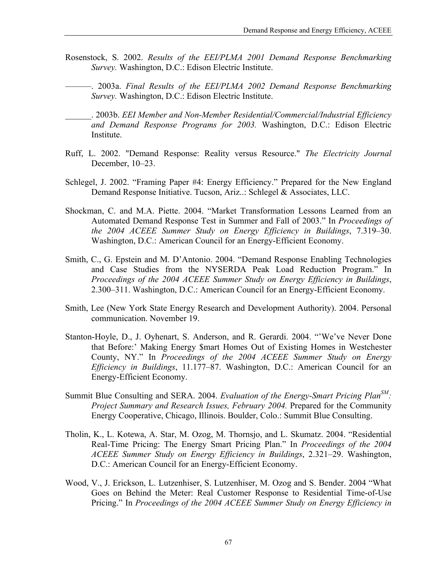- Rosenstock, S. 2002. *Results of the EEI/PLMA 2001 Demand Response Benchmarking Survey.* Washington, D.C.: Edison Electric Institute.
- ———. 2003a. *Final Results of the EEI/PLMA 2002 Demand Response Benchmarking Survey.* Washington, D.C.: Edison Electric Institute.
	- \_\_\_\_\_\_. 2003b. *EEI Member and Non-Member Residential/Commercial/Industrial Efficiency and Demand Response Programs for 2003.* Washington, D.C.: Edison Electric Institute.
- Ruff, L. 2002. "Demand Response: Reality versus Resource." *The Electricity Journal*  December, 10–23.
- Schlegel, J. 2002. "Framing Paper #4: Energy Efficiency." Prepared for the New England Demand Response Initiative. Tucson, Ariz..: Schlegel & Associates, LLC.
- Shockman, C. and M.A. Piette. 2004. "Market Transformation Lessons Learned from an Automated Demand Response Test in Summer and Fall of 2003." In *Proceedings of the 2004 ACEEE Summer Study on Energy Efficiency in Buildings*, 7.319–30. Washington, D.C.: American Council for an Energy-Efficient Economy.
- Smith, C., G. Epstein and M. D'Antonio. 2004. "Demand Response Enabling Technologies and Case Studies from the NYSERDA Peak Load Reduction Program." In *Proceedings of the 2004 ACEEE Summer Study on Energy Efficiency in Buildings*, 2.300–311. Washington, D.C.: American Council for an Energy-Efficient Economy.
- Smith, Lee (New York State Energy Research and Development Authority). 2004. Personal communication. November 19.
- Stanton-Hoyle, D., J. Oyhenart, S. Anderson, and R. Gerardi. 2004. "'We've Never Done that Before:' Making Energy \$mart Homes Out of Existing Homes in Westchester County, NY." In *Proceedings of the 2004 ACEEE Summer Study on Energy Efficiency in Buildings*, 11.177–87. Washington, D.C.: American Council for an Energy-Efficient Economy.
- Summit Blue Consulting and SERA. 2004. *Evaluation of the Energy-Smart Pricing PlanSM : Project Summary and Research Issues, February 2004.* Prepared for the Community Energy Cooperative, Chicago, Illinois. Boulder, Colo.: Summit Blue Consulting.
- Tholin, K., L. Kotewa, A. Star, M. Ozog, M. Thornsjo, and L. Skumatz. 2004. "Residential Real-Time Pricing: The Energy Smart Pricing Plan." In *Proceedings of the 2004 ACEEE Summer Study on Energy Efficiency in Buildings*, 2.321–29. Washington, D.C.: American Council for an Energy-Efficient Economy.
- Wood, V., J. Erickson, L. Lutzenhiser, S. Lutzenhiser, M. Ozog and S. Bender. 2004 "What Goes on Behind the Meter: Real Customer Response to Residential Time-of-Use Pricing." In *Proceedings of the 2004 ACEEE Summer Study on Energy Efficiency in*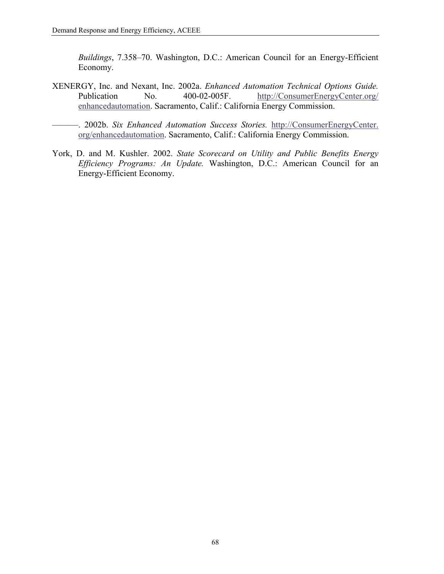*Buildings*, 7.358–70. Washington, D.C.: American Council for an Energy-Efficient Economy.

XENERGY, Inc. and Nexant, Inc. 2002a. *Enhanced Automation Technical Options Guide.* Publication No. 400-02-005F. [http://ConsumerEnergyCenter.org/](http://consumerenergycenter.org/enhancedautomation) [enhancedautomation](http://consumerenergycenter.org/enhancedautomation). Sacramento, Calif.: California Energy Commission.

———. 2002b. *Six Enhanced Automation Success Stories.* [http://ConsumerEnergyCenter.](http://consumerenergycenter.org/enhancedautomation) [org/enhancedautomation.](http://consumerenergycenter.org/enhancedautomation) Sacramento, Calif.: California Energy Commission.

York, D. and M. Kushler. 2002. *State Scorecard on Utility and Public Benefits Energy Efficiency Programs: An Update.* Washington, D.C.: American Council for an Energy-Efficient Economy.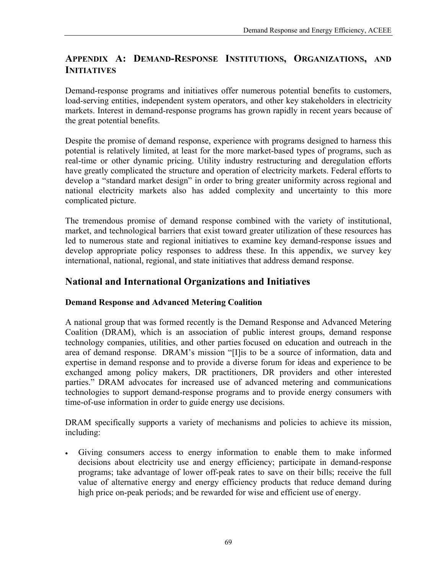# **APPENDIX A: DEMAND-RESPONSE INSTITUTIONS, ORGANIZATIONS, AND INITIATIVES**

Demand-response programs and initiatives offer numerous potential benefits to customers, load-serving entities, independent system operators, and other key stakeholders in electricity markets. Interest in demand-response programs has grown rapidly in recent years because of the great potential benefits.

Despite the promise of demand response, experience with programs designed to harness this potential is relatively limited, at least for the more market-based types of programs, such as real-time or other dynamic pricing. Utility industry restructuring and deregulation efforts have greatly complicated the structure and operation of electricity markets. Federal efforts to develop a "standard market design" in order to bring greater uniformity across regional and national electricity markets also has added complexity and uncertainty to this more complicated picture.

The tremendous promise of demand response combined with the variety of institutional, market, and technological barriers that exist toward greater utilization of these resources has led to numerous state and regional initiatives to examine key demand-response issues and develop appropriate policy responses to address these. In this appendix, we survey key international, national, regional, and state initiatives that address demand response.

# **National and International Organizations and Initiatives**

## **Demand Response and Advanced Metering Coalition**

A national group that was formed recently is the Demand Response and Advanced Metering Coalition (DRAM), which is an association of public interest groups, demand response technology companies, utilities, and other parties focused on education and outreach in the area of demand response. DRAM's mission "[I]is to be a source of information, data and expertise in demand response and to provide a diverse forum for ideas and experience to be exchanged among policy makers, DR practitioners, DR providers and other interested parties." DRAM advocates for increased use of advanced metering and communications technologies to support demand-response programs and to provide energy consumers with time-of-use information in order to guide energy use decisions.

DRAM specifically supports a variety of mechanisms and policies to achieve its mission, including:

• Giving consumers access to energy information to enable them to make informed decisions about electricity use and energy efficiency; participate in demand-response programs; take advantage of lower off-peak rates to save on their bills; receive the full value of alternative energy and energy efficiency products that reduce demand during high price on-peak periods; and be rewarded for wise and efficient use of energy.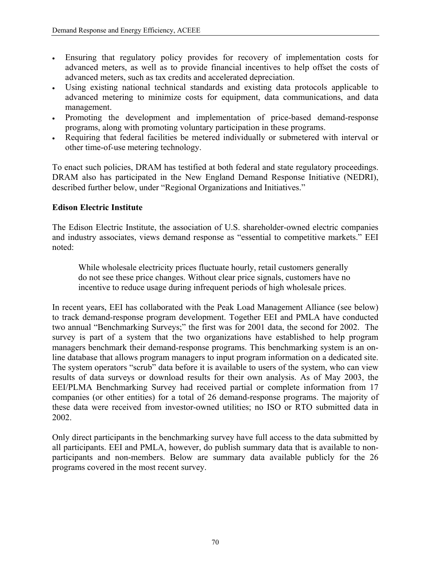- Ensuring that regulatory policy provides for recovery of implementation costs for advanced meters, as well as to provide financial incentives to help offset the costs of advanced meters, such as tax credits and accelerated depreciation.
- Using existing national technical standards and existing data protocols applicable to advanced metering to minimize costs for equipment, data communications, and data management.
- Promoting the development and implementation of price-based demand-response programs, along with promoting voluntary participation in these programs.
- Requiring that federal facilities be metered individually or submetered with interval or other time-of-use metering technology.

To enact such policies, DRAM has testified at both federal and state regulatory proceedings. DRAM also has participated in the New England Demand Response Initiative (NEDRI), described further below, under "Regional Organizations and Initiatives."

### **Edison Electric Institute**

The Edison Electric Institute, the association of U.S. shareholder-owned electric companies and industry associates, views demand response as "essential to competitive markets." EEI noted:

While wholesale electricity prices fluctuate hourly, retail customers generally do not see these price changes. Without clear price signals, customers have no incentive to reduce usage during infrequent periods of high wholesale prices.

In recent years, EEI has collaborated with the Peak Load Management Alliance (see below) to track demand-response program development. Together EEI and PMLA have conducted two annual "Benchmarking Surveys;" the first was for 2001 data, the second for 2002. The survey is part of a system that the two organizations have established to help program managers benchmark their demand-response programs. This benchmarking system is an online database that allows program managers to input program information on a dedicated site. The system operators "scrub" data before it is available to users of the system, who can view results of data surveys or download results for their own analysis. As of May 2003, the EEI/PLMA Benchmarking Survey had received partial or complete information from 17 companies (or other entities) for a total of 26 demand-response programs. The majority of these data were received from investor-owned utilities; no ISO or RTO submitted data in 2002.

Only direct participants in the benchmarking survey have full access to the data submitted by all participants. EEI and PMLA, however, do publish summary data that is available to nonparticipants and non-members. Below are summary data available publicly for the 26 programs covered in the most recent survey.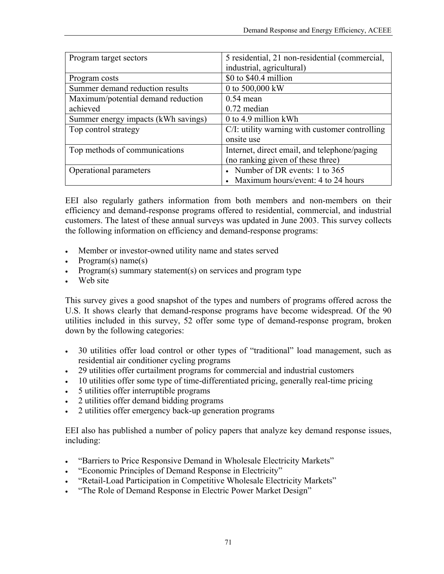| Program target sectors              | 5 residential, 21 non-residential (commercial,<br>industrial, agricultural) |
|-------------------------------------|-----------------------------------------------------------------------------|
| Program costs                       | \$0 to \$40.4 million                                                       |
| Summer demand reduction results     | 0 to 500,000 kW                                                             |
| Maximum/potential demand reduction  | $0.54$ mean                                                                 |
| achieved                            | $0.72$ median                                                               |
| Summer energy impacts (kWh savings) | 0 to 4.9 million kWh                                                        |
| Top control strategy                | C/I: utility warning with customer controlling                              |
|                                     | onsite use                                                                  |
| Top methods of communications       | Internet, direct email, and telephone/paging                                |
|                                     | (no ranking given of these three)                                           |
| Operational parameters              | • Number of DR events: 1 to 365                                             |
|                                     | Maximum hours/event: 4 to 24 hours                                          |

EEI also regularly gathers information from both members and non-members on their efficiency and demand-response programs offered to residential, commercial, and industrial customers. The latest of these annual surveys was updated in June 2003. This survey collects the following information on efficiency and demand-response programs:

- Member or investor-owned utility name and states served
- Program(s) name(s)
- Program(s) summary statement(s) on services and program type
- Web site

This survey gives a good snapshot of the types and numbers of programs offered across the U.S. It shows clearly that demand-response programs have become widespread. Of the 90 utilities included in this survey, 52 offer some type of demand-response program, broken down by the following categories:

- 30 utilities offer load control or other types of "traditional" load management, such as residential air conditioner cycling programs
- 29 utilities offer curtailment programs for commercial and industrial customers
- 10 utilities offer some type of time-differentiated pricing, generally real-time pricing
- 5 utilities offer interruptible programs
- 2 utilities offer demand bidding programs
- 2 utilities offer emergency back-up generation programs

EEI also has published a number of policy papers that analyze key demand response issues, including:

- "Barriers to Price Responsive Demand in Wholesale Electricity Markets"
- "Economic Principles of Demand Response in Electricity"
- "Retail-Load Participation in Competitive Wholesale Electricity Markets"
- "The Role of Demand Response in Electric Power Market Design"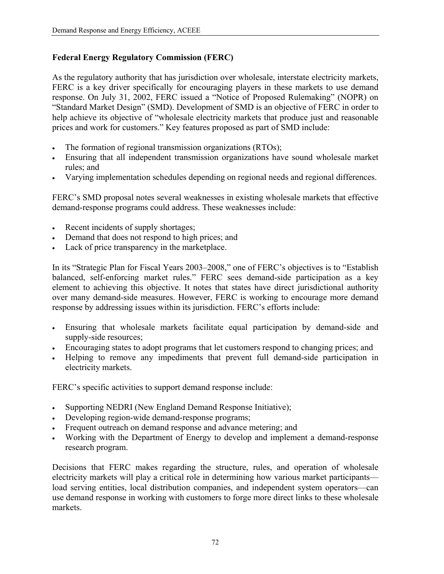## **Federal Energy Regulatory Commission (FERC)**

As the regulatory authority that has jurisdiction over wholesale, interstate electricity markets, FERC is a key driver specifically for encouraging players in these markets to use demand response. On July 31, 2002, FERC issued a "Notice of Proposed Rulemaking" (NOPR) on "Standard Market Design" (SMD). Development of SMD is an objective of FERC in order to help achieve its objective of "wholesale electricity markets that produce just and reasonable prices and work for customers." Key features proposed as part of SMD include:

- The formation of regional transmission organizations (RTOs);
- Ensuring that all independent transmission organizations have sound wholesale market rules; and
- Varying implementation schedules depending on regional needs and regional differences.

FERC's SMD proposal notes several weaknesses in existing wholesale markets that effective demand-response programs could address. These weaknesses include:

- Recent incidents of supply shortages;
- Demand that does not respond to high prices; and
- Lack of price transparency in the marketplace.

In its "Strategic Plan for Fiscal Years 2003–2008," one of FERC's objectives is to "Establish balanced, self-enforcing market rules." FERC sees demand-side participation as a key element to achieving this objective. It notes that states have direct jurisdictional authority over many demand-side measures. However, FERC is working to encourage more demand response by addressing issues within its jurisdiction. FERC's efforts include:

- Ensuring that wholesale markets facilitate equal participation by demand-side and supply-side resources;
- Encouraging states to adopt programs that let customers respond to changing prices; and
- Helping to remove any impediments that prevent full demand-side participation in electricity markets.

FERC's specific activities to support demand response include:

- Supporting NEDRI (New England Demand Response Initiative);
- Developing region-wide demand-response programs;
- Frequent outreach on demand response and advance metering; and
- Working with the Department of Energy to develop and implement a demand-response research program.

Decisions that FERC makes regarding the structure, rules, and operation of wholesale electricity markets will play a critical role in determining how various market participants load serving entities, local distribution companies, and independent system operators—can use demand response in working with customers to forge more direct links to these wholesale markets.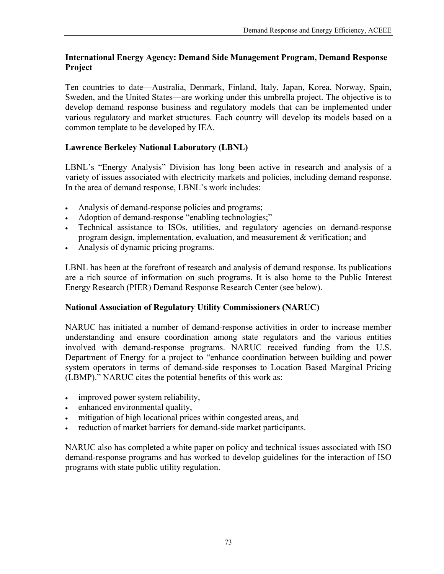### **International Energy Agency: Demand Side Management Program, Demand Response Project**

Ten countries to date—Australia, Denmark, Finland, Italy, Japan, Korea, Norway, Spain, Sweden, and the United States—are working under this umbrella project. The objective is to develop demand response business and regulatory models that can be implemented under various regulatory and market structures. Each country will develop its models based on a common template to be developed by IEA.

## **Lawrence Berkeley National Laboratory (LBNL)**

LBNL's "Energy Analysis" Division has long been active in research and analysis of a variety of issues associated with electricity markets and policies, including demand response. In the area of demand response, LBNL's work includes:

- Analysis of demand-response policies and programs;
- Adoption of demand-response "enabling technologies;"
- Technical assistance to ISOs, utilities, and regulatory agencies on demand-response program design, implementation, evaluation, and measurement & verification; and
- Analysis of dynamic pricing programs.

LBNL has been at the forefront of research and analysis of demand response. Its publications are a rich source of information on such programs. It is also home to the Public Interest Energy Research (PIER) Demand Response Research Center (see below).

## **National Association of Regulatory Utility Commissioners (NARUC)**

NARUC has initiated a number of demand-response activities in order to increase member understanding and ensure coordination among state regulators and the various entities involved with demand-response programs. NARUC received funding from the U.S. Department of Energy for a project to "enhance coordination between building and power system operators in terms of demand-side responses to Location Based Marginal Pricing (LBMP)." NARUC cites the potential benefits of this work as:

- improved power system reliability,
- enhanced environmental quality,
- mitigation of high locational prices within congested areas, and
- reduction of market barriers for demand-side market participants.

NARUC also has completed a white paper on policy and technical issues associated with ISO demand-response programs and has worked to develop guidelines for the interaction of ISO programs with state public utility regulation.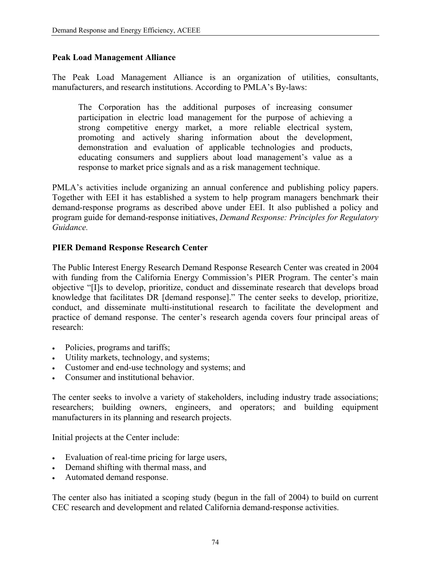#### **Peak Load Management Alliance**

The Peak Load Management Alliance is an organization of utilities, consultants, manufacturers, and research institutions. According to PMLA's By-laws:

The Corporation has the additional purposes of increasing consumer participation in electric load management for the purpose of achieving a strong competitive energy market, a more reliable electrical system, promoting and actively sharing information about the development, demonstration and evaluation of applicable technologies and products, educating consumers and suppliers about load management's value as a response to market price signals and as a risk management technique.

PMLA's activities include organizing an annual conference and publishing policy papers. Together with EEI it has established a system to help program managers benchmark their demand-response programs as described above under EEI. It also published a policy and program guide for demand-response initiatives, *Demand Response: Principles for Regulatory Guidance.*

### **PIER Demand Response Research Center**

The Public Interest Energy Research Demand Response Research Center was created in 2004 with funding from the California Energy Commission's PIER Program. The center's main objective "[I]s to develop, prioritize, conduct and disseminate research that develops broad knowledge that facilitates DR [demand response]." The center seeks to develop, prioritize, conduct, and disseminate multi-institutional research to facilitate the development and practice of demand response. The center's research agenda covers four principal areas of research:

- Policies, programs and tariffs;
- Utility markets, technology, and systems;
- Customer and end-use technology and systems; and
- Consumer and institutional behavior.

The center seeks to involve a variety of stakeholders, including industry trade associations; researchers; building owners, engineers, and operators; and building equipment manufacturers in its planning and research projects.

Initial projects at the Center include:

- Evaluation of real-time pricing for large users,
- Demand shifting with thermal mass, and
- Automated demand response.

The center also has initiated a scoping study (begun in the fall of 2004) to build on current CEC research and development and related California demand-response activities.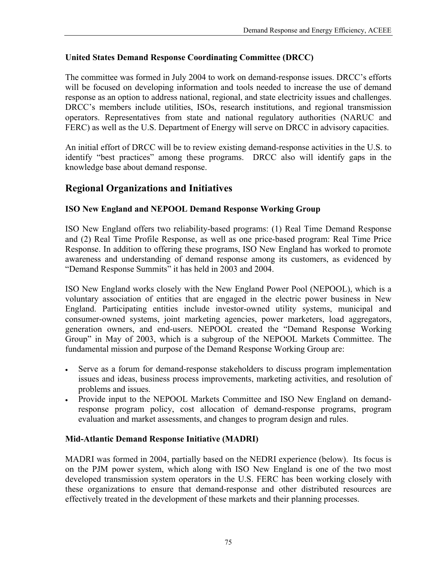## **United States Demand Response Coordinating Committee (DRCC)**

The committee was formed in July 2004 to work on demand-response issues. DRCC's efforts will be focused on developing information and tools needed to increase the use of demand response as an option to address national, regional, and state electricity issues and challenges. DRCC's members include utilities, ISOs, research institutions, and regional transmission operators. Representatives from state and national regulatory authorities (NARUC and FERC) as well as the U.S. Department of Energy will serve on DRCC in advisory capacities.

An initial effort of DRCC will be to review existing demand-response activities in the U.S. to identify "best practices" among these programs. DRCC also will identify gaps in the knowledge base about demand response.

# **Regional Organizations and Initiatives**

## **ISO New England and NEPOOL Demand Response Working Group**

ISO New England offers two reliability-based programs: (1) Real Time Demand Response and (2) Real Time Profile Response, as well as one price-based program: Real Time Price Response. In addition to offering these programs, ISO New England has worked to promote awareness and understanding of demand response among its customers, as evidenced by "Demand Response Summits" it has held in 2003 and 2004.

ISO New England works closely with the New England Power Pool (NEPOOL), which is a voluntary association of entities that are engaged in the electric power business in New England. Participating entities include investor-owned utility systems, municipal and consumer-owned systems, joint marketing agencies, power marketers, load aggregators, generation owners, and end-users. NEPOOL created the "Demand Response Working Group" in May of 2003, which is a subgroup of the NEPOOL Markets Committee. The fundamental mission and purpose of the Demand Response Working Group are:

- Serve as a forum for demand-response stakeholders to discuss program implementation issues and ideas, business process improvements, marketing activities, and resolution of problems and issues.
- Provide input to the NEPOOL Markets Committee and ISO New England on demandresponse program policy, cost allocation of demand-response programs, program evaluation and market assessments, and changes to program design and rules.

## **Mid-Atlantic Demand Response Initiative (MADRI)**

MADRI was formed in 2004, partially based on the NEDRI experience (below). Its focus is on the PJM power system, which along with ISO New England is one of the two most developed transmission system operators in the U.S. FERC has been working closely with these organizations to ensure that demand-response and other distributed resources are effectively treated in the development of these markets and their planning processes.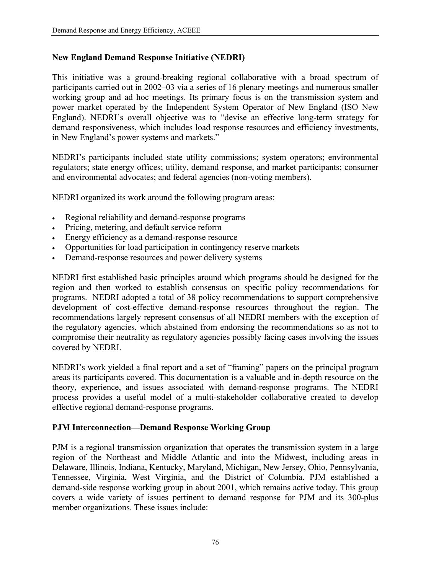### **New England Demand Response Initiative (NEDRI)**

This initiative was a ground-breaking regional collaborative with a broad spectrum of participants carried out in 2002–03 via a series of 16 plenary meetings and numerous smaller working group and ad hoc meetings. Its primary focus is on the transmission system and power market operated by the Independent System Operator of New England (ISO New England). NEDRI's overall objective was to "devise an effective long-term strategy for demand responsiveness, which includes load response resources and efficiency investments, in New England's power systems and markets."

NEDRI's participants included state utility commissions; system operators; environmental regulators; state energy offices; utility, demand response, and market participants; consumer and environmental advocates; and federal agencies (non-voting members).

NEDRI organized its work around the following program areas:

- Regional reliability and demand-response programs
- Pricing, metering, and default service reform
- Energy efficiency as a demand-response resource
- Opportunities for load participation in contingency reserve markets
- Demand-response resources and power delivery systems

NEDRI first established basic principles around which programs should be designed for the region and then worked to establish consensus on specific policy recommendations for programs. NEDRI adopted a total of 38 policy recommendations to support comprehensive development of cost-effective demand-response resources throughout the region. The recommendations largely represent consensus of all NEDRI members with the exception of the regulatory agencies, which abstained from endorsing the recommendations so as not to compromise their neutrality as regulatory agencies possibly facing cases involving the issues covered by NEDRI.

NEDRI's work yielded a final report and a set of "framing" papers on the principal program areas its participants covered. This documentation is a valuable and in-depth resource on the theory, experience, and issues associated with demand-response programs. The NEDRI process provides a useful model of a multi-stakeholder collaborative created to develop effective regional demand-response programs.

### **PJM Interconnection—Demand Response Working Group**

PJM is a regional transmission organization that operates the transmission system in a large region of the Northeast and Middle Atlantic and into the Midwest, including areas in Delaware, Illinois, Indiana, Kentucky, Maryland, Michigan, New Jersey, Ohio, Pennsylvania, Tennessee, Virginia, West Virginia, and the District of Columbia. PJM established a demand-side response working group in about 2001, which remains active today. This group covers a wide variety of issues pertinent to demand response for PJM and its 300-plus member organizations. These issues include: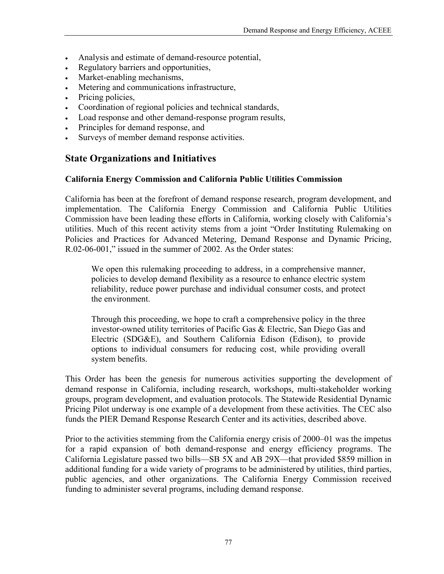- Analysis and estimate of demand-resource potential,
- Regulatory barriers and opportunities,
- Market-enabling mechanisms,
- Metering and communications infrastructure,
- Pricing policies,
- Coordination of regional policies and technical standards,
- Load response and other demand-response program results,
- Principles for demand response, and
- Surveys of member demand response activities.

## **State Organizations and Initiatives**

#### **California Energy Commission and California Public Utilities Commission**

California has been at the forefront of demand response research, program development, and implementation. The California Energy Commission and California Public Utilities Commission have been leading these efforts in California, working closely with California's utilities. Much of this recent activity stems from a joint "Order Instituting Rulemaking on Policies and Practices for Advanced Metering, Demand Response and Dynamic Pricing, R.02-06-001," issued in the summer of 2002. As the Order states:

We open this rulemaking proceeding to address, in a comprehensive manner, policies to develop demand flexibility as a resource to enhance electric system reliability, reduce power purchase and individual consumer costs, and protect the environment.

Through this proceeding, we hope to craft a comprehensive policy in the three investor-owned utility territories of Pacific Gas & Electric, San Diego Gas and Electric (SDG&E), and Southern California Edison (Edison), to provide options to individual consumers for reducing cost, while providing overall system benefits.

This Order has been the genesis for numerous activities supporting the development of demand response in California, including research, workshops, multi-stakeholder working groups, program development, and evaluation protocols. The Statewide Residential Dynamic Pricing Pilot underway is one example of a development from these activities. The CEC also funds the PIER Demand Response Research Center and its activities, described above.

Prior to the activities stemming from the California energy crisis of 2000–01 was the impetus for a rapid expansion of both demand-response and energy efficiency programs. The California Legislature passed two bills—SB 5X and AB 29X—that provided \$859 million in additional funding for a wide variety of programs to be administered by utilities, third parties, public agencies, and other organizations. The California Energy Commission received funding to administer several programs, including demand response.